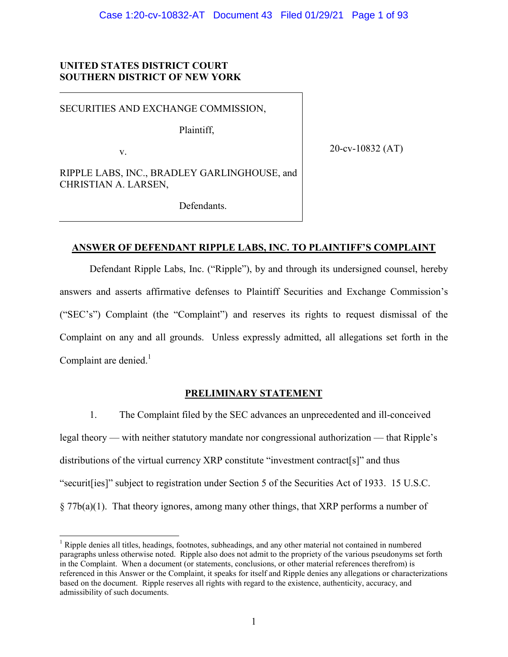# **UNITED STATES DISTRICT COURT SOUTHERN DISTRICT OF NEW YORK**

SECURITIES AND EXCHANGE COMMISSION,

Plaintiff,

v.

20-cv-10832 (AT)

RIPPLE LABS, INC., BRADLEY GARLINGHOUSE, and CHRISTIAN A. LARSEN,

Defendants.

# **ANSWER OF DEFENDANT RIPPLE LABS, INC. TO PLAINTIFF'S COMPLAINT**

Defendant Ripple Labs, Inc. ("Ripple"), by and through its undersigned counsel, hereby answers and asserts affirmative defenses to Plaintiff Securities and Exchange Commission's ("SEC's") Complaint (the "Complaint") and reserves its rights to request dismissal of the Complaint on any and all grounds. Unless expressly admitted, all allegations set forth in the Complaint are denied. $<sup>1</sup>$ </sup>

# **PRELIMINARY STATEMENT**

1. The Complaint filed by the SEC advances an unprecedented and ill-conceived legal theory — with neither statutory mandate nor congressional authorization — that Ripple's distributions of the virtual currency XRP constitute "investment contract[s]" and thus "securit[ies]" subject to registration under Section 5 of the Securities Act of 1933. 15 U.S.C. § 77b(a)(1). That theory ignores, among many other things, that XRP performs a number of

<sup>&</sup>lt;sup>1</sup> Ripple denies all titles, headings, footnotes, subheadings, and any other material not contained in numbered paragraphs unless otherwise noted. Ripple also does not admit to the propriety of the various pseudonyms set forth in the Complaint. When a document (or statements, conclusions, or other material references therefrom) is referenced in this Answer or the Complaint, it speaks for itself and Ripple denies any allegations or characterizations based on the document. Ripple reserves all rights with regard to the existence, authenticity, accuracy, and admissibility of such documents.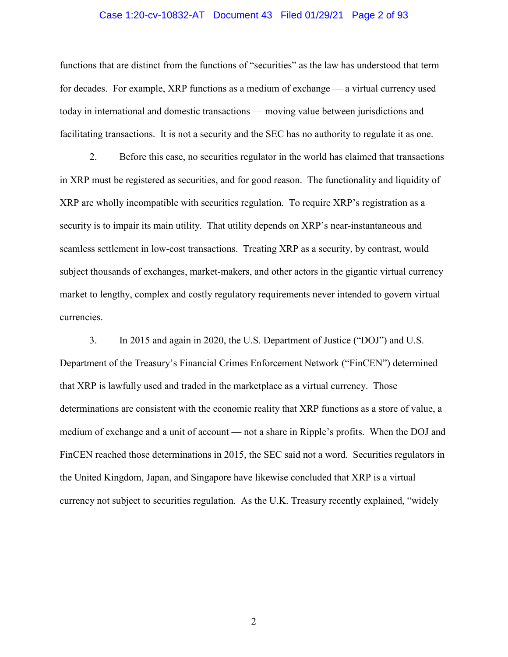#### Case 1:20-cv-10832-AT Document 43 Filed 01/29/21 Page 2 of 93

functions that are distinct from the functions of "securities" as the law has understood that term for decades. For example, XRP functions as a medium of exchange — a virtual currency used today in international and domestic transactions — moving value between jurisdictions and facilitating transactions. It is not a security and the SEC has no authority to regulate it as one.

2. Before this case, no securities regulator in the world has claimed that transactions in XRP must be registered as securities, and for good reason. The functionality and liquidity of XRP are wholly incompatible with securities regulation. To require XRP's registration as a security is to impair its main utility. That utility depends on XRP's near-instantaneous and seamless settlement in low-cost transactions. Treating XRP as a security, by contrast, would subject thousands of exchanges, market-makers, and other actors in the gigantic virtual currency market to lengthy, complex and costly regulatory requirements never intended to govern virtual currencies.

3. In 2015 and again in 2020, the U.S. Department of Justice ("DOJ") and U.S. Department of the Treasury's Financial Crimes Enforcement Network ("FinCEN") determined that XRP is lawfully used and traded in the marketplace as a virtual currency. Those determinations are consistent with the economic reality that XRP functions as a store of value, a medium of exchange and a unit of account — not a share in Ripple's profits. When the DOJ and FinCEN reached those determinations in 2015, the SEC said not a word. Securities regulators in the United Kingdom, Japan, and Singapore have likewise concluded that XRP is a virtual currency not subject to securities regulation. As the U.K. Treasury recently explained, "widely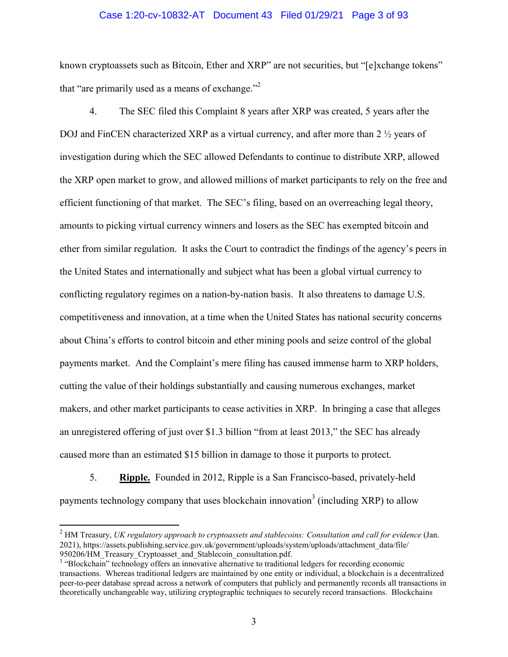# Case 1:20-cv-10832-AT Document 43 Filed 01/29/21 Page 3 of 93

known cryptoassets such as Bitcoin, Ether and XRP" are not securities, but "[e]xchange tokens" that "are primarily used as a means of exchange."<sup>2</sup>

4. The SEC filed this Complaint 8 years after XRP was created, 5 years after the DOJ and FinCEN characterized XRP as a virtual currency, and after more than 2  $\frac{1}{2}$  years of investigation during which the SEC allowed Defendants to continue to distribute XRP, allowed the XRP open market to grow, and allowed millions of market participants to rely on the free and efficient functioning of that market. The SEC's filing, based on an overreaching legal theory, amounts to picking virtual currency winners and losers as the SEC has exempted bitcoin and ether from similar regulation. It asks the Court to contradict the findings of the agency's peers in the United States and internationally and subject what has been a global virtual currency to conflicting regulatory regimes on a nation-by-nation basis. It also threatens to damage U.S. competitiveness and innovation, at a time when the United States has national security concerns about China's efforts to control bitcoin and ether mining pools and seize control of the global payments market. And the Complaint's mere filing has caused immense harm to XRP holders, cutting the value of their holdings substantially and causing numerous exchanges, market makers, and other market participants to cease activities in XRP. In bringing a case that alleges an unregistered offering of just over \$1.3 billion "from at least 2013," the SEC has already caused more than an estimated \$15 billion in damage to those it purports to protect.

5. **Ripple.** Founded in 2012, Ripple is a San Francisco-based, privately-held payments technology company that uses blockchain innovation<sup>3</sup> (including XRP) to allow

<sup>2</sup> HM Treasury, *UK regulatory approach to cryptoassets and stablecoins: Consultation and call for evidence* (Jan. 2021), https://assets.publishing.service.gov.uk/government/uploads/system/uploads/attachment\_data/file/ 950206/HM\_Treasury\_Cryptoasset\_and\_Stablecoin\_consultation.pdf.

<sup>&</sup>lt;sup>3</sup> "Blockchain" technology offers an innovative alternative to traditional ledgers for recording economic transactions. Whereas traditional ledgers are maintained by one entity or individual, a blockchain is a decentralized peer-to-peer database spread across a network of computers that publicly and permanently records all transactions in theoretically unchangeable way, utilizing cryptographic techniques to securely record transactions. Blockchains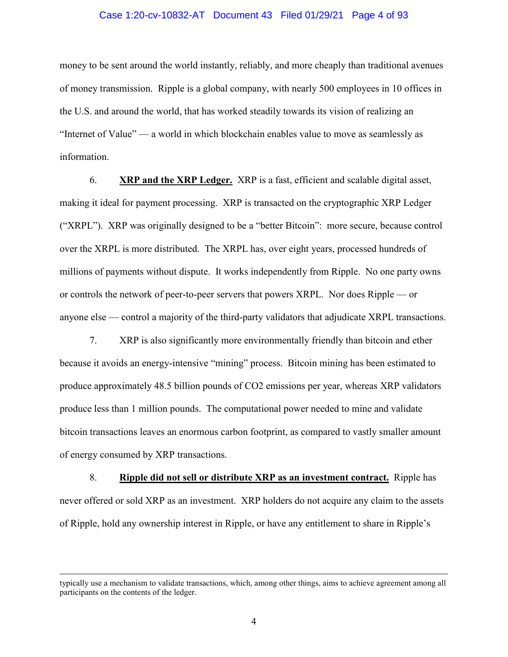# Case 1:20-cv-10832-AT Document 43 Filed 01/29/21 Page 4 of 93

money to be sent around the world instantly, reliably, and more cheaply than traditional avenues of money transmission. Ripple is a global company, with nearly 500 employees in 10 offices in the U.S. and around the world, that has worked steadily towards its vision of realizing an "Internet of Value" — a world in which blockchain enables value to move as seamlessly as information.

6. **XRP and the XRP Ledger.** XRP is a fast, efficient and scalable digital asset, making it ideal for payment processing. XRP is transacted on the cryptographic XRP Ledger ("XRPL"). XRP was originally designed to be a "better Bitcoin": more secure, because control over the XRPL is more distributed. The XRPL has, over eight years, processed hundreds of millions of payments without dispute. It works independently from Ripple. No one party owns or controls the network of peer-to-peer servers that powers XRPL. Nor does Ripple — or anyone else — control a majority of the third-party validators that adjudicate XRPL transactions.

7. XRP is also significantly more environmentally friendly than bitcoin and ether because it avoids an energy-intensive "mining" process. Bitcoin mining has been estimated to produce approximately 48.5 billion pounds of CO2 emissions per year, whereas XRP validators produce less than 1 million pounds. The computational power needed to mine and validate bitcoin transactions leaves an enormous carbon footprint, as compared to vastly smaller amount of energy consumed by XRP transactions.

8. **Ripple did not sell or distribute XRP as an investment contract.** Ripple has never offered or sold XRP as an investment. XRP holders do not acquire any claim to the assets of Ripple, hold any ownership interest in Ripple, or have any entitlement to share in Ripple's

typically use a mechanism to validate transactions, which, among other things, aims to achieve agreement among all participants on the contents of the ledger.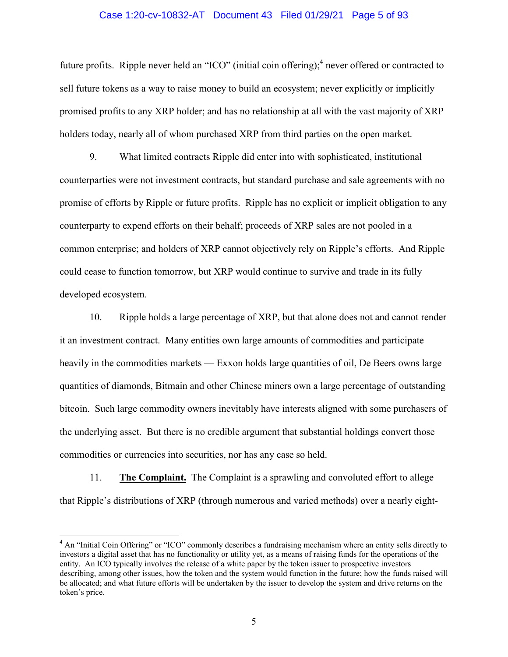#### Case 1:20-cv-10832-AT Document 43 Filed 01/29/21 Page 5 of 93

future profits. Ripple never held an "ICO" (initial coin offering); <sup>4</sup> never offered or contracted to sell future tokens as a way to raise money to build an ecosystem; never explicitly or implicitly promised profits to any XRP holder; and has no relationship at all with the vast majority of XRP holders today, nearly all of whom purchased XRP from third parties on the open market.

9. What limited contracts Ripple did enter into with sophisticated, institutional counterparties were not investment contracts, but standard purchase and sale agreements with no promise of efforts by Ripple or future profits. Ripple has no explicit or implicit obligation to any counterparty to expend efforts on their behalf; proceeds of XRP sales are not pooled in a common enterprise; and holders of XRP cannot objectively rely on Ripple's efforts. And Ripple could cease to function tomorrow, but XRP would continue to survive and trade in its fully developed ecosystem.

10. Ripple holds a large percentage of XRP, but that alone does not and cannot render it an investment contract. Many entities own large amounts of commodities and participate heavily in the commodities markets — Exxon holds large quantities of oil, De Beers owns large quantities of diamonds, Bitmain and other Chinese miners own a large percentage of outstanding bitcoin. Such large commodity owners inevitably have interests aligned with some purchasers of the underlying asset. But there is no credible argument that substantial holdings convert those commodities or currencies into securities, nor has any case so held.

11. **The Complaint.** The Complaint is a sprawling and convoluted effort to allege that Ripple's distributions of XRP (through numerous and varied methods) over a nearly eight-

<sup>&</sup>lt;sup>4</sup> An "Initial Coin Offering" or "ICO" commonly describes a fundraising mechanism where an entity sells directly to investors a digital asset that has no functionality or utility yet, as a means of raising funds for the operations of the entity. An ICO typically involves the release of a white paper by the token issuer to prospective investors describing, among other issues, how the token and the system would function in the future; how the funds raised will be allocated; and what future efforts will be undertaken by the issuer to develop the system and drive returns on the token's price.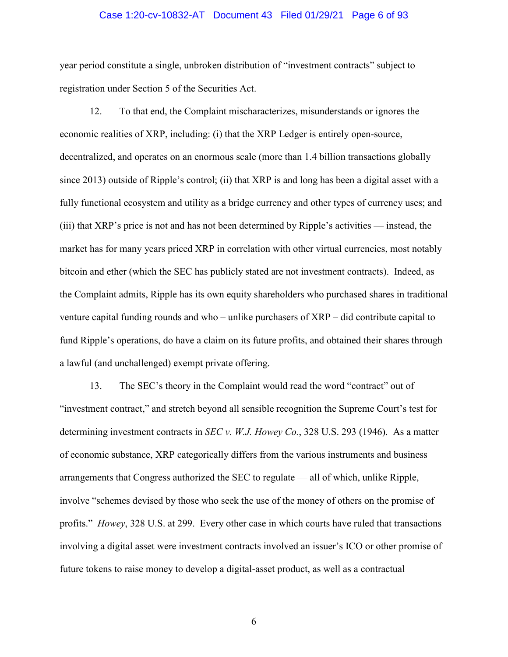### Case 1:20-cv-10832-AT Document 43 Filed 01/29/21 Page 6 of 93

year period constitute a single, unbroken distribution of "investment contracts" subject to registration under Section 5 of the Securities Act.

12. To that end, the Complaint mischaracterizes, misunderstands or ignores the economic realities of XRP, including: (i) that the XRP Ledger is entirely open-source, decentralized, and operates on an enormous scale (more than 1.4 billion transactions globally since 2013) outside of Ripple's control; (ii) that XRP is and long has been a digital asset with a fully functional ecosystem and utility as a bridge currency and other types of currency uses; and (iii) that XRP's price is not and has not been determined by Ripple's activities — instead, the market has for many years priced XRP in correlation with other virtual currencies, most notably bitcoin and ether (which the SEC has publicly stated are not investment contracts). Indeed, as the Complaint admits, Ripple has its own equity shareholders who purchased shares in traditional venture capital funding rounds and who – unlike purchasers of XRP – did contribute capital to fund Ripple's operations, do have a claim on its future profits, and obtained their shares through a lawful (and unchallenged) exempt private offering.

13. The SEC's theory in the Complaint would read the word "contract" out of "investment contract," and stretch beyond all sensible recognition the Supreme Court's test for determining investment contracts in *SEC v. W.J. Howey Co.*, 328 U.S. 293 (1946). As a matter of economic substance, XRP categorically differs from the various instruments and business arrangements that Congress authorized the SEC to regulate — all of which, unlike Ripple, involve "schemes devised by those who seek the use of the money of others on the promise of profits." *Howey*, 328 U.S. at 299. Every other case in which courts have ruled that transactions involving a digital asset were investment contracts involved an issuer's ICO or other promise of future tokens to raise money to develop a digital-asset product, as well as a contractual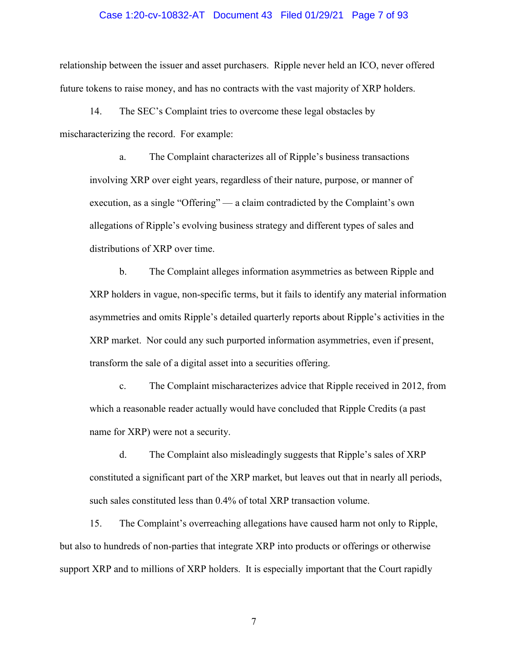#### Case 1:20-cv-10832-AT Document 43 Filed 01/29/21 Page 7 of 93

relationship between the issuer and asset purchasers. Ripple never held an ICO, never offered future tokens to raise money, and has no contracts with the vast majority of XRP holders.

14. The SEC's Complaint tries to overcome these legal obstacles by mischaracterizing the record. For example:

a. The Complaint characterizes all of Ripple's business transactions involving XRP over eight years, regardless of their nature, purpose, or manner of execution, as a single "Offering" — a claim contradicted by the Complaint's own allegations of Ripple's evolving business strategy and different types of sales and distributions of XRP over time.

b. The Complaint alleges information asymmetries as between Ripple and XRP holders in vague, non-specific terms, but it fails to identify any material information asymmetries and omits Ripple's detailed quarterly reports about Ripple's activities in the XRP market. Nor could any such purported information asymmetries, even if present, transform the sale of a digital asset into a securities offering.

c. The Complaint mischaracterizes advice that Ripple received in 2012, from which a reasonable reader actually would have concluded that Ripple Credits (a past name for XRP) were not a security.

d. The Complaint also misleadingly suggests that Ripple's sales of XRP constituted a significant part of the XRP market, but leaves out that in nearly all periods, such sales constituted less than 0.4% of total XRP transaction volume.

15. The Complaint's overreaching allegations have caused harm not only to Ripple, but also to hundreds of non-parties that integrate XRP into products or offerings or otherwise support XRP and to millions of XRP holders. It is especially important that the Court rapidly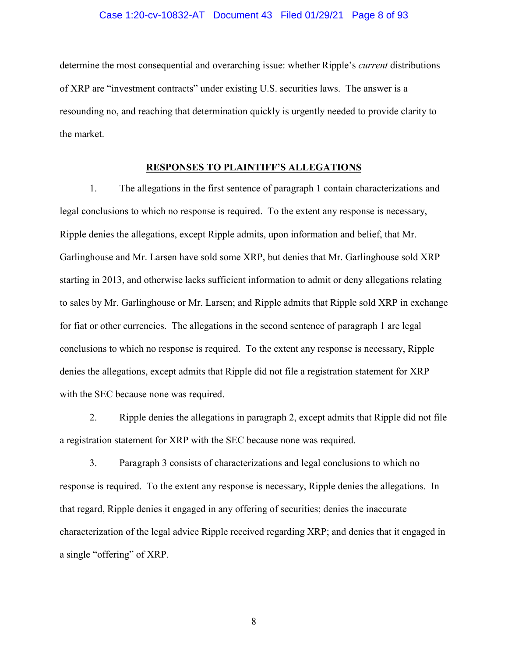#### Case 1:20-cv-10832-AT Document 43 Filed 01/29/21 Page 8 of 93

determine the most consequential and overarching issue: whether Ripple's *current* distributions of XRP are "investment contracts" under existing U.S. securities laws. The answer is a resounding no, and reaching that determination quickly is urgently needed to provide clarity to the market.

#### **RESPONSES TO PLAINTIFF'S ALLEGATIONS**

1. The allegations in the first sentence of paragraph 1 contain characterizations and legal conclusions to which no response is required. To the extent any response is necessary, Ripple denies the allegations, except Ripple admits, upon information and belief, that Mr. Garlinghouse and Mr. Larsen have sold some XRP, but denies that Mr. Garlinghouse sold XRP starting in 2013, and otherwise lacks sufficient information to admit or deny allegations relating to sales by Mr. Garlinghouse or Mr. Larsen; and Ripple admits that Ripple sold XRP in exchange for fiat or other currencies. The allegations in the second sentence of paragraph 1 are legal conclusions to which no response is required. To the extent any response is necessary, Ripple denies the allegations, except admits that Ripple did not file a registration statement for XRP with the SEC because none was required.

2. Ripple denies the allegations in paragraph 2, except admits that Ripple did not file a registration statement for XRP with the SEC because none was required.

3. Paragraph 3 consists of characterizations and legal conclusions to which no response is required. To the extent any response is necessary, Ripple denies the allegations. In that regard, Ripple denies it engaged in any offering of securities; denies the inaccurate characterization of the legal advice Ripple received regarding XRP; and denies that it engaged in a single "offering" of XRP.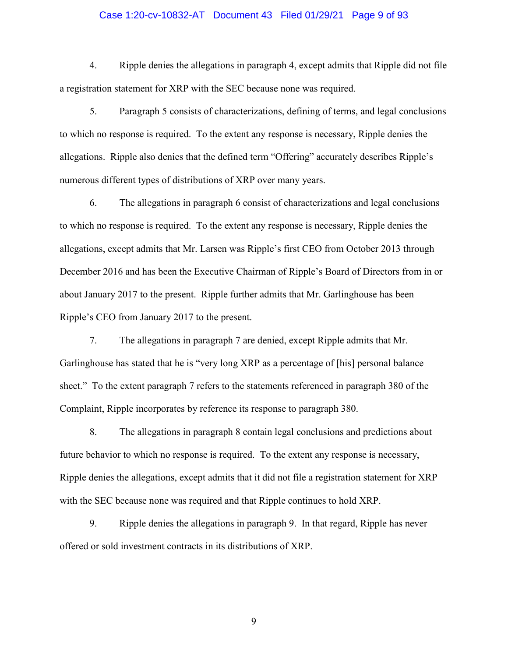# Case 1:20-cv-10832-AT Document 43 Filed 01/29/21 Page 9 of 93

4. Ripple denies the allegations in paragraph 4, except admits that Ripple did not file a registration statement for XRP with the SEC because none was required.

5. Paragraph 5 consists of characterizations, defining of terms, and legal conclusions to which no response is required. To the extent any response is necessary, Ripple denies the allegations. Ripple also denies that the defined term "Offering" accurately describes Ripple's numerous different types of distributions of XRP over many years.

6. The allegations in paragraph 6 consist of characterizations and legal conclusions to which no response is required. To the extent any response is necessary, Ripple denies the allegations, except admits that Mr. Larsen was Ripple's first CEO from October 2013 through December 2016 and has been the Executive Chairman of Ripple's Board of Directors from in or about January 2017 to the present. Ripple further admits that Mr. Garlinghouse has been Ripple's CEO from January 2017 to the present.

7. The allegations in paragraph 7 are denied, except Ripple admits that Mr. Garlinghouse has stated that he is "very long XRP as a percentage of [his] personal balance sheet." To the extent paragraph 7 refers to the statements referenced in paragraph 380 of the Complaint, Ripple incorporates by reference its response to paragraph 380.

8. The allegations in paragraph 8 contain legal conclusions and predictions about future behavior to which no response is required. To the extent any response is necessary, Ripple denies the allegations, except admits that it did not file a registration statement for XRP with the SEC because none was required and that Ripple continues to hold XRP.

9. Ripple denies the allegations in paragraph 9. In that regard, Ripple has never offered or sold investment contracts in its distributions of XRP.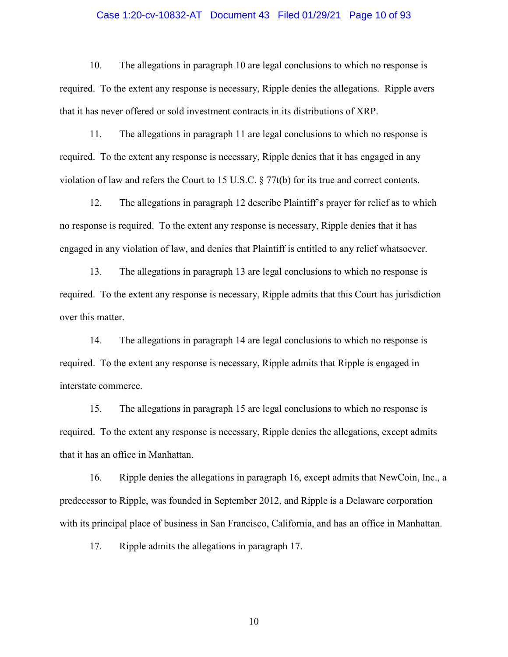# Case 1:20-cv-10832-AT Document 43 Filed 01/29/21 Page 10 of 93

10. The allegations in paragraph 10 are legal conclusions to which no response is required. To the extent any response is necessary, Ripple denies the allegations. Ripple avers that it has never offered or sold investment contracts in its distributions of XRP.

11. The allegations in paragraph 11 are legal conclusions to which no response is required. To the extent any response is necessary, Ripple denies that it has engaged in any violation of law and refers the Court to 15 U.S.C. § 77t(b) for its true and correct contents.

12. The allegations in paragraph 12 describe Plaintiff's prayer for relief as to which no response is required. To the extent any response is necessary, Ripple denies that it has engaged in any violation of law, and denies that Plaintiff is entitled to any relief whatsoever.

13. The allegations in paragraph 13 are legal conclusions to which no response is required. To the extent any response is necessary, Ripple admits that this Court has jurisdiction over this matter.

14. The allegations in paragraph 14 are legal conclusions to which no response is required. To the extent any response is necessary, Ripple admits that Ripple is engaged in interstate commerce.

15. The allegations in paragraph 15 are legal conclusions to which no response is required. To the extent any response is necessary, Ripple denies the allegations, except admits that it has an office in Manhattan.

16. Ripple denies the allegations in paragraph 16, except admits that NewCoin, Inc., a predecessor to Ripple, was founded in September 2012, and Ripple is a Delaware corporation with its principal place of business in San Francisco, California, and has an office in Manhattan.

17. Ripple admits the allegations in paragraph 17.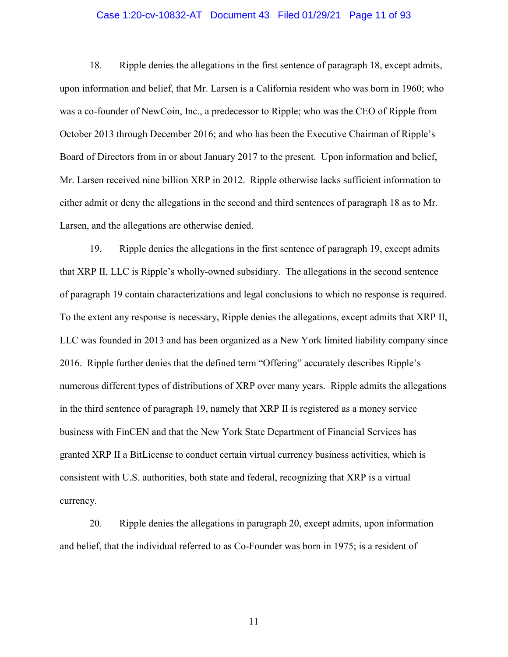# Case 1:20-cv-10832-AT Document 43 Filed 01/29/21 Page 11 of 93

18. Ripple denies the allegations in the first sentence of paragraph 18, except admits, upon information and belief, that Mr. Larsen is a California resident who was born in 1960; who was a co-founder of NewCoin, Inc., a predecessor to Ripple; who was the CEO of Ripple from October 2013 through December 2016; and who has been the Executive Chairman of Ripple's Board of Directors from in or about January 2017 to the present. Upon information and belief, Mr. Larsen received nine billion XRP in 2012. Ripple otherwise lacks sufficient information to either admit or deny the allegations in the second and third sentences of paragraph 18 as to Mr. Larsen, and the allegations are otherwise denied.

19. Ripple denies the allegations in the first sentence of paragraph 19, except admits that XRP II, LLC is Ripple's wholly-owned subsidiary. The allegations in the second sentence of paragraph 19 contain characterizations and legal conclusions to which no response is required. To the extent any response is necessary, Ripple denies the allegations, except admits that XRP II, LLC was founded in 2013 and has been organized as a New York limited liability company since 2016. Ripple further denies that the defined term "Offering" accurately describes Ripple's numerous different types of distributions of XRP over many years. Ripple admits the allegations in the third sentence of paragraph 19, namely that XRP II is registered as a money service business with FinCEN and that the New York State Department of Financial Services has granted XRP II a BitLicense to conduct certain virtual currency business activities, which is consistent with U.S. authorities, both state and federal, recognizing that XRP is a virtual currency.

20. Ripple denies the allegations in paragraph 20, except admits, upon information and belief, that the individual referred to as Co-Founder was born in 1975; is a resident of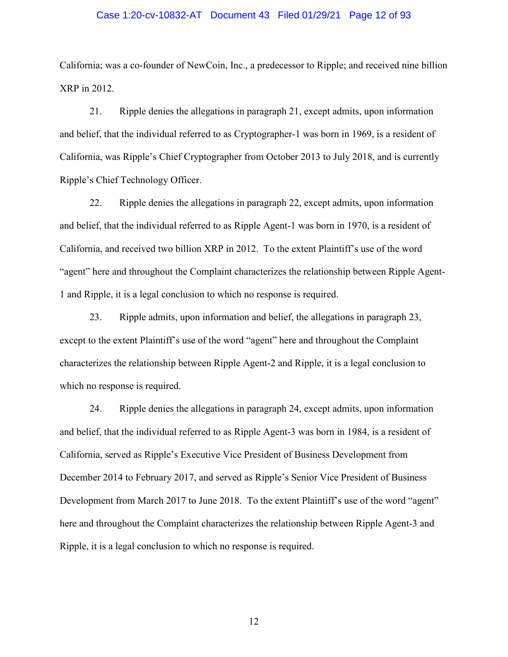# Case 1:20-cv-10832-AT Document 43 Filed 01/29/21 Page 12 of 93

California; was a co-founder of NewCoin, Inc., a predecessor to Ripple; and received nine billion XRP in 2012.

21. Ripple denies the allegations in paragraph 21, except admits, upon information and belief, that the individual referred to as Cryptographer-1 was born in 1969, is a resident of California, was Ripple's Chief Cryptographer from October 2013 to July 2018, and is currently Ripple's Chief Technology Officer.

22. Ripple denies the allegations in paragraph 22, except admits, upon information and belief, that the individual referred to as Ripple Agent-1 was born in 1970, is a resident of California, and received two billion XRP in 2012. To the extent Plaintiff's use of the word "agent" here and throughout the Complaint characterizes the relationship between Ripple Agent-1 and Ripple, it is a legal conclusion to which no response is required.

23. Ripple admits, upon information and belief, the allegations in paragraph 23, except to the extent Plaintiff's use of the word "agent" here and throughout the Complaint characterizes the relationship between Ripple Agent-2 and Ripple, it is a legal conclusion to which no response is required.

24. Ripple denies the allegations in paragraph 24, except admits, upon information and belief, that the individual referred to as Ripple Agent-3 was born in 1984, is a resident of California, served as Ripple's Executive Vice President of Business Development from December 2014 to February 2017, and served as Ripple's Senior Vice President of Business Development from March 2017 to June 2018. To the extent Plaintiff's use of the word "agent" here and throughout the Complaint characterizes the relationship between Ripple Agent-3 and Ripple, it is a legal conclusion to which no response is required.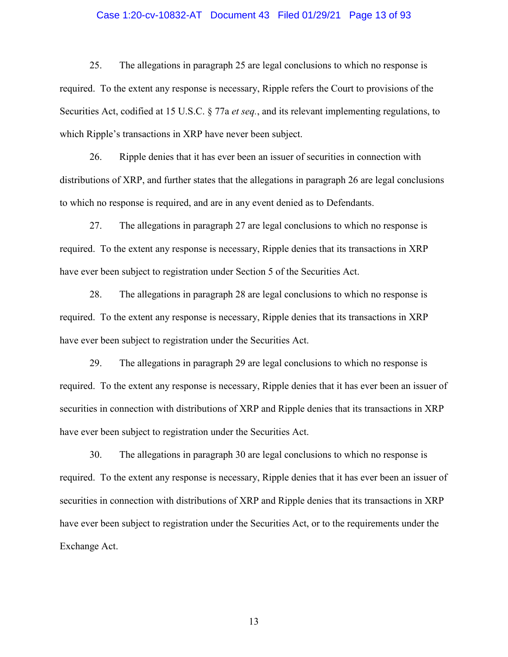# Case 1:20-cv-10832-AT Document 43 Filed 01/29/21 Page 13 of 93

25. The allegations in paragraph 25 are legal conclusions to which no response is required. To the extent any response is necessary, Ripple refers the Court to provisions of the Securities Act, codified at 15 U.S.C. § 77a *et seq.*, and its relevant implementing regulations, to which Ripple's transactions in XRP have never been subject.

26. Ripple denies that it has ever been an issuer of securities in connection with distributions of XRP, and further states that the allegations in paragraph 26 are legal conclusions to which no response is required, and are in any event denied as to Defendants.

27. The allegations in paragraph 27 are legal conclusions to which no response is required. To the extent any response is necessary, Ripple denies that its transactions in XRP have ever been subject to registration under Section 5 of the Securities Act.

28. The allegations in paragraph 28 are legal conclusions to which no response is required. To the extent any response is necessary, Ripple denies that its transactions in XRP have ever been subject to registration under the Securities Act.

29. The allegations in paragraph 29 are legal conclusions to which no response is required. To the extent any response is necessary, Ripple denies that it has ever been an issuer of securities in connection with distributions of XRP and Ripple denies that its transactions in XRP have ever been subject to registration under the Securities Act.

30. The allegations in paragraph 30 are legal conclusions to which no response is required. To the extent any response is necessary, Ripple denies that it has ever been an issuer of securities in connection with distributions of XRP and Ripple denies that its transactions in XRP have ever been subject to registration under the Securities Act, or to the requirements under the Exchange Act.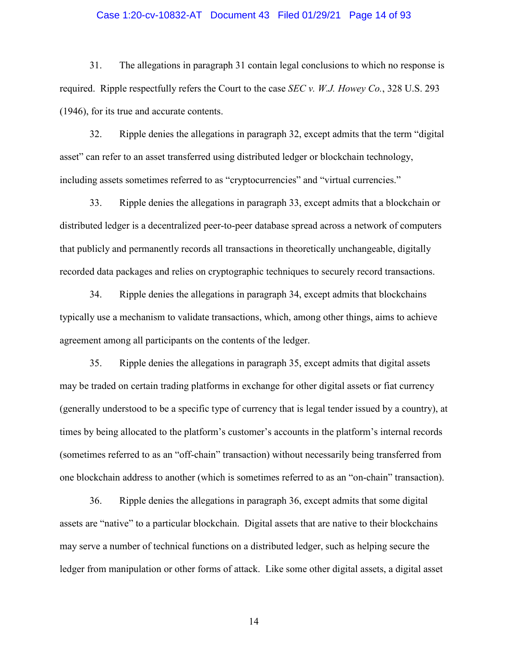# Case 1:20-cv-10832-AT Document 43 Filed 01/29/21 Page 14 of 93

31. The allegations in paragraph 31 contain legal conclusions to which no response is required. Ripple respectfully refers the Court to the case *SEC v. W.J. Howey Co.*, 328 U.S. 293 (1946), for its true and accurate contents.

32. Ripple denies the allegations in paragraph 32, except admits that the term "digital asset" can refer to an asset transferred using distributed ledger or blockchain technology, including assets sometimes referred to as "cryptocurrencies" and "virtual currencies."

33. Ripple denies the allegations in paragraph 33, except admits that a blockchain or distributed ledger is a decentralized peer-to-peer database spread across a network of computers that publicly and permanently records all transactions in theoretically unchangeable, digitally recorded data packages and relies on cryptographic techniques to securely record transactions.

34. Ripple denies the allegations in paragraph 34, except admits that blockchains typically use a mechanism to validate transactions, which, among other things, aims to achieve agreement among all participants on the contents of the ledger.

35. Ripple denies the allegations in paragraph 35, except admits that digital assets may be traded on certain trading platforms in exchange for other digital assets or fiat currency (generally understood to be a specific type of currency that is legal tender issued by a country), at times by being allocated to the platform's customer's accounts in the platform's internal records (sometimes referred to as an "off-chain" transaction) without necessarily being transferred from one blockchain address to another (which is sometimes referred to as an "on-chain" transaction).

36. Ripple denies the allegations in paragraph 36, except admits that some digital assets are "native" to a particular blockchain. Digital assets that are native to their blockchains may serve a number of technical functions on a distributed ledger, such as helping secure the ledger from manipulation or other forms of attack. Like some other digital assets, a digital asset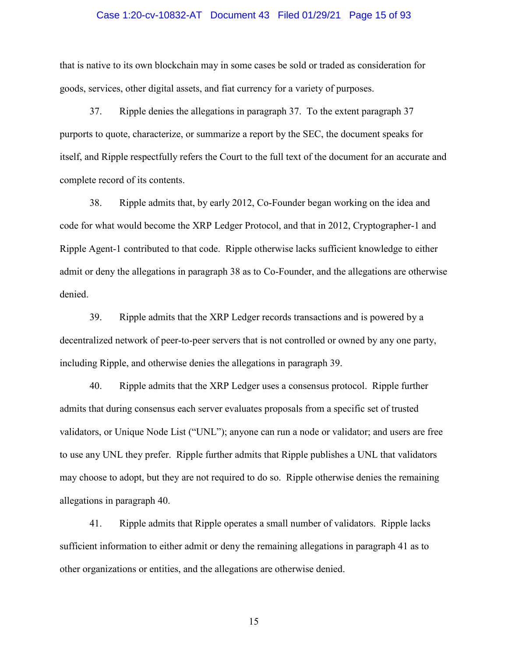### Case 1:20-cv-10832-AT Document 43 Filed 01/29/21 Page 15 of 93

that is native to its own blockchain may in some cases be sold or traded as consideration for goods, services, other digital assets, and fiat currency for a variety of purposes.

37. Ripple denies the allegations in paragraph 37. To the extent paragraph 37 purports to quote, characterize, or summarize a report by the SEC, the document speaks for itself, and Ripple respectfully refers the Court to the full text of the document for an accurate and complete record of its contents.

38. Ripple admits that, by early 2012, Co-Founder began working on the idea and code for what would become the XRP Ledger Protocol, and that in 2012, Cryptographer-1 and Ripple Agent-1 contributed to that code. Ripple otherwise lacks sufficient knowledge to either admit or deny the allegations in paragraph 38 as to Co-Founder, and the allegations are otherwise denied.

39. Ripple admits that the XRP Ledger records transactions and is powered by a decentralized network of peer-to-peer servers that is not controlled or owned by any one party, including Ripple, and otherwise denies the allegations in paragraph 39.

40. Ripple admits that the XRP Ledger uses a consensus protocol. Ripple further admits that during consensus each server evaluates proposals from a specific set of trusted validators, or Unique Node List ("UNL"); anyone can run a node or validator; and users are free to use any UNL they prefer. Ripple further admits that Ripple publishes a UNL that validators may choose to adopt, but they are not required to do so. Ripple otherwise denies the remaining allegations in paragraph 40.

41. Ripple admits that Ripple operates a small number of validators. Ripple lacks sufficient information to either admit or deny the remaining allegations in paragraph 41 as to other organizations or entities, and the allegations are otherwise denied.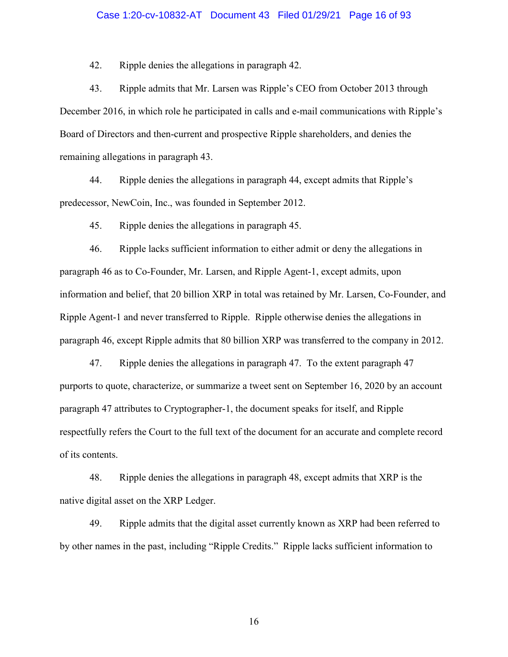#### Case 1:20-cv-10832-AT Document 43 Filed 01/29/21 Page 16 of 93

42. Ripple denies the allegations in paragraph 42.

43. Ripple admits that Mr. Larsen was Ripple's CEO from October 2013 through December 2016, in which role he participated in calls and e-mail communications with Ripple's Board of Directors and then-current and prospective Ripple shareholders, and denies the remaining allegations in paragraph 43.

44. Ripple denies the allegations in paragraph 44, except admits that Ripple's predecessor, NewCoin, Inc., was founded in September 2012.

45. Ripple denies the allegations in paragraph 45.

46. Ripple lacks sufficient information to either admit or deny the allegations in paragraph 46 as to Co-Founder, Mr. Larsen, and Ripple Agent-1, except admits, upon information and belief, that 20 billion XRP in total was retained by Mr. Larsen, Co-Founder, and Ripple Agent-1 and never transferred to Ripple. Ripple otherwise denies the allegations in paragraph 46, except Ripple admits that 80 billion XRP was transferred to the company in 2012.

47. Ripple denies the allegations in paragraph 47. To the extent paragraph 47 purports to quote, characterize, or summarize a tweet sent on September 16, 2020 by an account paragraph 47 attributes to Cryptographer-1, the document speaks for itself, and Ripple respectfully refers the Court to the full text of the document for an accurate and complete record of its contents.

48. Ripple denies the allegations in paragraph 48, except admits that XRP is the native digital asset on the XRP Ledger.

49. Ripple admits that the digital asset currently known as XRP had been referred to by other names in the past, including "Ripple Credits." Ripple lacks sufficient information to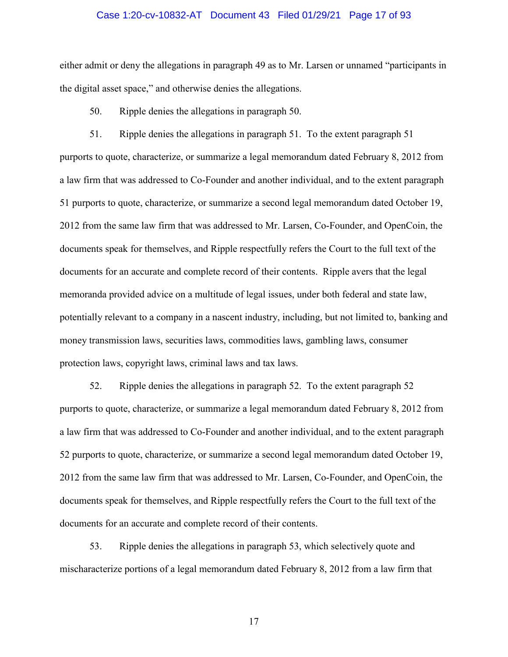# Case 1:20-cv-10832-AT Document 43 Filed 01/29/21 Page 17 of 93

either admit or deny the allegations in paragraph 49 as to Mr. Larsen or unnamed "participants in the digital asset space," and otherwise denies the allegations.

50. Ripple denies the allegations in paragraph 50.

51. Ripple denies the allegations in paragraph 51. To the extent paragraph 51 purports to quote, characterize, or summarize a legal memorandum dated February 8, 2012 from a law firm that was addressed to Co-Founder and another individual, and to the extent paragraph 51 purports to quote, characterize, or summarize a second legal memorandum dated October 19, 2012 from the same law firm that was addressed to Mr. Larsen, Co-Founder, and OpenCoin, the documents speak for themselves, and Ripple respectfully refers the Court to the full text of the documents for an accurate and complete record of their contents. Ripple avers that the legal memoranda provided advice on a multitude of legal issues, under both federal and state law, potentially relevant to a company in a nascent industry, including, but not limited to, banking and money transmission laws, securities laws, commodities laws, gambling laws, consumer protection laws, copyright laws, criminal laws and tax laws.

52. Ripple denies the allegations in paragraph 52. To the extent paragraph 52 purports to quote, characterize, or summarize a legal memorandum dated February 8, 2012 from a law firm that was addressed to Co-Founder and another individual, and to the extent paragraph 52 purports to quote, characterize, or summarize a second legal memorandum dated October 19, 2012 from the same law firm that was addressed to Mr. Larsen, Co-Founder, and OpenCoin, the documents speak for themselves, and Ripple respectfully refers the Court to the full text of the documents for an accurate and complete record of their contents.

53. Ripple denies the allegations in paragraph 53, which selectively quote and mischaracterize portions of a legal memorandum dated February 8, 2012 from a law firm that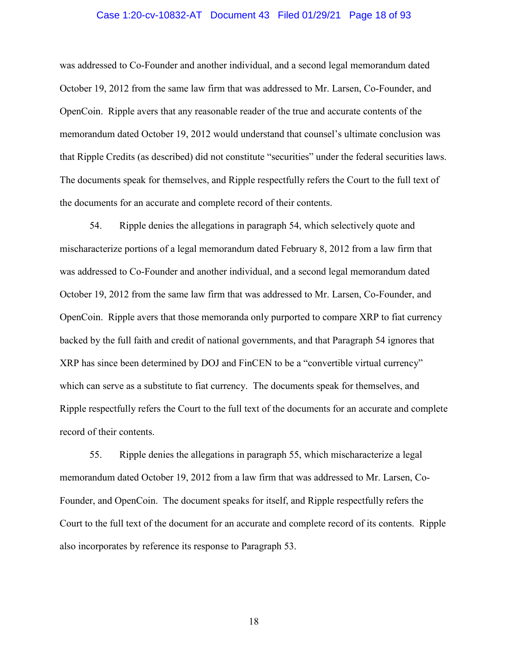# Case 1:20-cv-10832-AT Document 43 Filed 01/29/21 Page 18 of 93

was addressed to Co-Founder and another individual, and a second legal memorandum dated October 19, 2012 from the same law firm that was addressed to Mr. Larsen, Co-Founder, and OpenCoin. Ripple avers that any reasonable reader of the true and accurate contents of the memorandum dated October 19, 2012 would understand that counsel's ultimate conclusion was that Ripple Credits (as described) did not constitute "securities" under the federal securities laws. The documents speak for themselves, and Ripple respectfully refers the Court to the full text of the documents for an accurate and complete record of their contents.

54. Ripple denies the allegations in paragraph 54, which selectively quote and mischaracterize portions of a legal memorandum dated February 8, 2012 from a law firm that was addressed to Co-Founder and another individual, and a second legal memorandum dated October 19, 2012 from the same law firm that was addressed to Mr. Larsen, Co-Founder, and OpenCoin. Ripple avers that those memoranda only purported to compare XRP to fiat currency backed by the full faith and credit of national governments, and that Paragraph 54 ignores that XRP has since been determined by DOJ and FinCEN to be a "convertible virtual currency" which can serve as a substitute to fiat currency. The documents speak for themselves, and Ripple respectfully refers the Court to the full text of the documents for an accurate and complete record of their contents.

55. Ripple denies the allegations in paragraph 55, which mischaracterize a legal memorandum dated October 19, 2012 from a law firm that was addressed to Mr. Larsen, Co-Founder, and OpenCoin. The document speaks for itself, and Ripple respectfully refers the Court to the full text of the document for an accurate and complete record of its contents. Ripple also incorporates by reference its response to Paragraph 53.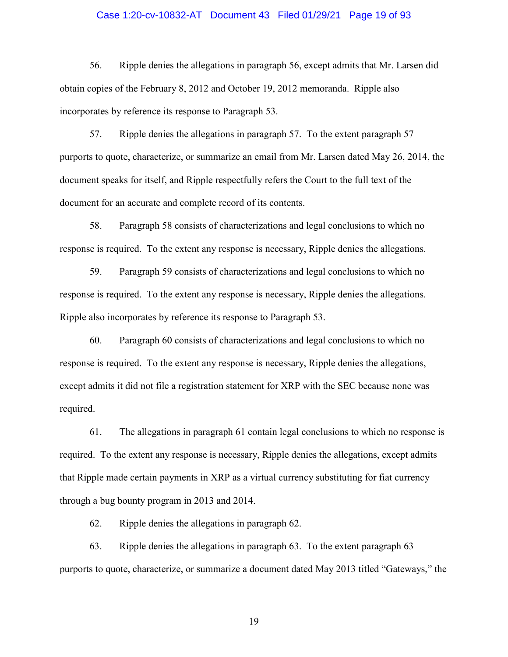# Case 1:20-cv-10832-AT Document 43 Filed 01/29/21 Page 19 of 93

56. Ripple denies the allegations in paragraph 56, except admits that Mr. Larsen did obtain copies of the February 8, 2012 and October 19, 2012 memoranda. Ripple also incorporates by reference its response to Paragraph 53.

57. Ripple denies the allegations in paragraph 57. To the extent paragraph 57 purports to quote, characterize, or summarize an email from Mr. Larsen dated May 26, 2014, the document speaks for itself, and Ripple respectfully refers the Court to the full text of the document for an accurate and complete record of its contents.

58. Paragraph 58 consists of characterizations and legal conclusions to which no response is required. To the extent any response is necessary, Ripple denies the allegations.

59. Paragraph 59 consists of characterizations and legal conclusions to which no response is required. To the extent any response is necessary, Ripple denies the allegations. Ripple also incorporates by reference its response to Paragraph 53.

60. Paragraph 60 consists of characterizations and legal conclusions to which no response is required. To the extent any response is necessary, Ripple denies the allegations, except admits it did not file a registration statement for XRP with the SEC because none was required.

61. The allegations in paragraph 61 contain legal conclusions to which no response is required. To the extent any response is necessary, Ripple denies the allegations, except admits that Ripple made certain payments in XRP as a virtual currency substituting for fiat currency through a bug bounty program in 2013 and 2014.

62. Ripple denies the allegations in paragraph 62.

63. Ripple denies the allegations in paragraph 63. To the extent paragraph 63 purports to quote, characterize, or summarize a document dated May 2013 titled "Gateways," the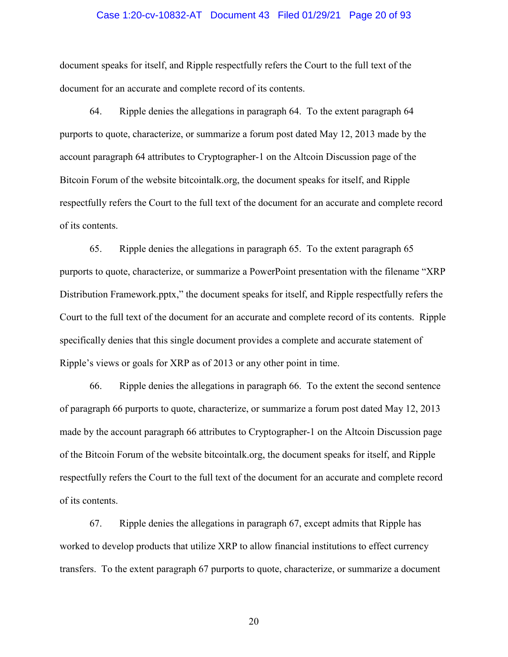# Case 1:20-cv-10832-AT Document 43 Filed 01/29/21 Page 20 of 93

document speaks for itself, and Ripple respectfully refers the Court to the full text of the document for an accurate and complete record of its contents.

64. Ripple denies the allegations in paragraph 64. To the extent paragraph 64 purports to quote, characterize, or summarize a forum post dated May 12, 2013 made by the account paragraph 64 attributes to Cryptographer-1 on the Altcoin Discussion page of the Bitcoin Forum of the website bitcointalk.org, the document speaks for itself, and Ripple respectfully refers the Court to the full text of the document for an accurate and complete record of its contents.

65. Ripple denies the allegations in paragraph 65. To the extent paragraph 65 purports to quote, characterize, or summarize a PowerPoint presentation with the filename "XRP Distribution Framework.pptx," the document speaks for itself, and Ripple respectfully refers the Court to the full text of the document for an accurate and complete record of its contents. Ripple specifically denies that this single document provides a complete and accurate statement of Ripple's views or goals for XRP as of 2013 or any other point in time.

66. Ripple denies the allegations in paragraph 66. To the extent the second sentence of paragraph 66 purports to quote, characterize, or summarize a forum post dated May 12, 2013 made by the account paragraph 66 attributes to Cryptographer-1 on the Altcoin Discussion page of the Bitcoin Forum of the website bitcointalk.org, the document speaks for itself, and Ripple respectfully refers the Court to the full text of the document for an accurate and complete record of its contents.

67. Ripple denies the allegations in paragraph 67, except admits that Ripple has worked to develop products that utilize XRP to allow financial institutions to effect currency transfers. To the extent paragraph 67 purports to quote, characterize, or summarize a document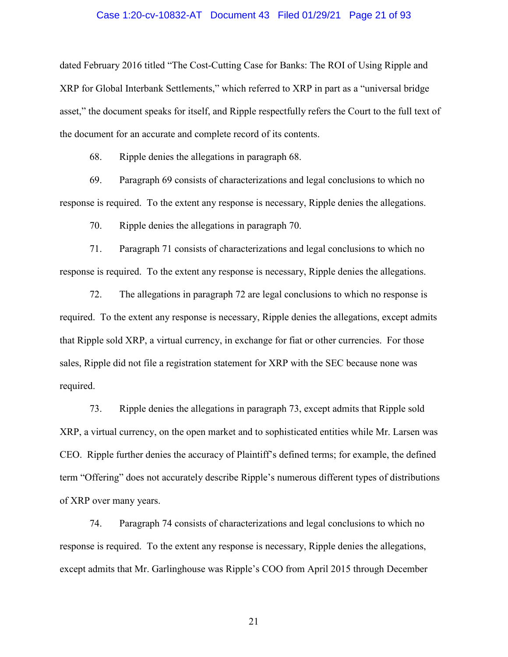# Case 1:20-cv-10832-AT Document 43 Filed 01/29/21 Page 21 of 93

dated February 2016 titled "The Cost-Cutting Case for Banks: The ROI of Using Ripple and XRP for Global Interbank Settlements," which referred to XRP in part as a "universal bridge asset," the document speaks for itself, and Ripple respectfully refers the Court to the full text of the document for an accurate and complete record of its contents.

68. Ripple denies the allegations in paragraph 68.

69. Paragraph 69 consists of characterizations and legal conclusions to which no response is required. To the extent any response is necessary, Ripple denies the allegations.

70. Ripple denies the allegations in paragraph 70.

71. Paragraph 71 consists of characterizations and legal conclusions to which no response is required. To the extent any response is necessary, Ripple denies the allegations.

72. The allegations in paragraph 72 are legal conclusions to which no response is required. To the extent any response is necessary, Ripple denies the allegations, except admits that Ripple sold XRP, a virtual currency, in exchange for fiat or other currencies. For those sales, Ripple did not file a registration statement for XRP with the SEC because none was required.

73. Ripple denies the allegations in paragraph 73, except admits that Ripple sold XRP, a virtual currency, on the open market and to sophisticated entities while Mr. Larsen was CEO. Ripple further denies the accuracy of Plaintiff's defined terms; for example, the defined term "Offering" does not accurately describe Ripple's numerous different types of distributions of XRP over many years.

74. Paragraph 74 consists of characterizations and legal conclusions to which no response is required. To the extent any response is necessary, Ripple denies the allegations, except admits that Mr. Garlinghouse was Ripple's COO from April 2015 through December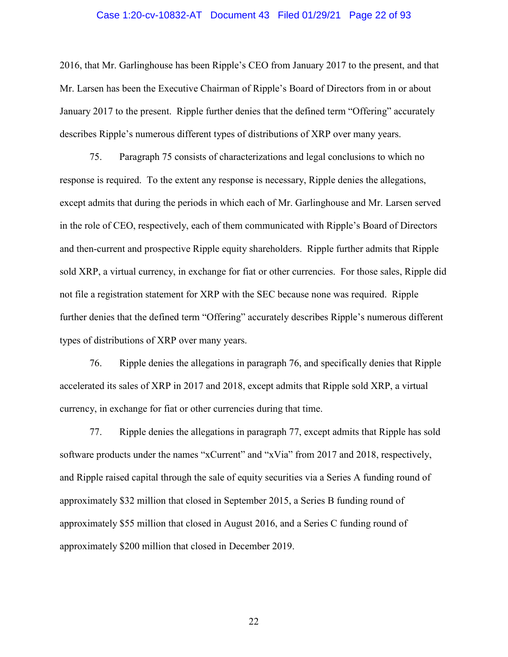#### Case 1:20-cv-10832-AT Document 43 Filed 01/29/21 Page 22 of 93

2016, that Mr. Garlinghouse has been Ripple's CEO from January 2017 to the present, and that Mr. Larsen has been the Executive Chairman of Ripple's Board of Directors from in or about January 2017 to the present. Ripple further denies that the defined term "Offering" accurately describes Ripple's numerous different types of distributions of XRP over many years.

75. Paragraph 75 consists of characterizations and legal conclusions to which no response is required. To the extent any response is necessary, Ripple denies the allegations, except admits that during the periods in which each of Mr. Garlinghouse and Mr. Larsen served in the role of CEO, respectively, each of them communicated with Ripple's Board of Directors and then-current and prospective Ripple equity shareholders. Ripple further admits that Ripple sold XRP, a virtual currency, in exchange for fiat or other currencies. For those sales, Ripple did not file a registration statement for XRP with the SEC because none was required. Ripple further denies that the defined term "Offering" accurately describes Ripple's numerous different types of distributions of XRP over many years.

76. Ripple denies the allegations in paragraph 76, and specifically denies that Ripple accelerated its sales of XRP in 2017 and 2018, except admits that Ripple sold XRP, a virtual currency, in exchange for fiat or other currencies during that time.

77. Ripple denies the allegations in paragraph 77, except admits that Ripple has sold software products under the names "xCurrent" and "xVia" from 2017 and 2018, respectively, and Ripple raised capital through the sale of equity securities via a Series A funding round of approximately \$32 million that closed in September 2015, a Series B funding round of approximately \$55 million that closed in August 2016, and a Series C funding round of approximately \$200 million that closed in December 2019.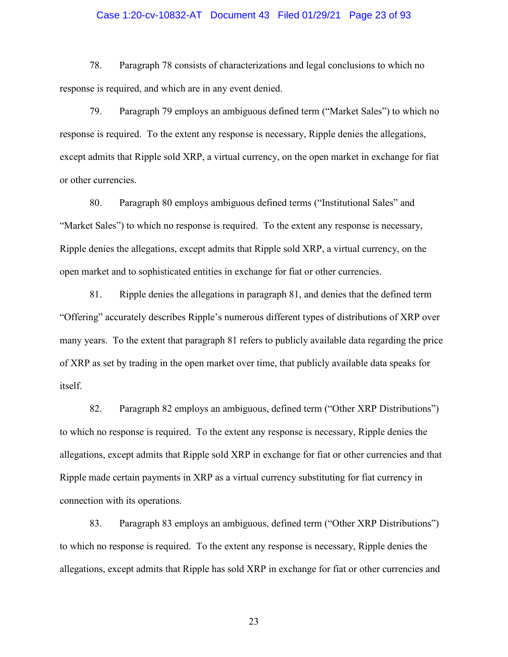# Case 1:20-cv-10832-AT Document 43 Filed 01/29/21 Page 23 of 93

78. Paragraph 78 consists of characterizations and legal conclusions to which no response is required, and which are in any event denied.

79. Paragraph 79 employs an ambiguous defined term ("Market Sales") to which no response is required. To the extent any response is necessary, Ripple denies the allegations, except admits that Ripple sold XRP, a virtual currency, on the open market in exchange for fiat or other currencies.

80. Paragraph 80 employs ambiguous defined terms ("Institutional Sales" and "Market Sales") to which no response is required. To the extent any response is necessary, Ripple denies the allegations, except admits that Ripple sold XRP, a virtual currency, on the open market and to sophisticated entities in exchange for fiat or other currencies.

81. Ripple denies the allegations in paragraph 81, and denies that the defined term "Offering" accurately describes Ripple's numerous different types of distributions of XRP over many years. To the extent that paragraph 81 refers to publicly available data regarding the price of XRP as set by trading in the open market over time, that publicly available data speaks for itself.

82. Paragraph 82 employs an ambiguous, defined term ("Other XRP Distributions") to which no response is required. To the extent any response is necessary, Ripple denies the allegations, except admits that Ripple sold XRP in exchange for fiat or other currencies and that Ripple made certain payments in XRP as a virtual currency substituting for fiat currency in connection with its operations.

83. Paragraph 83 employs an ambiguous, defined term ("Other XRP Distributions") to which no response is required. To the extent any response is necessary, Ripple denies the allegations, except admits that Ripple has sold XRP in exchange for fiat or other currencies and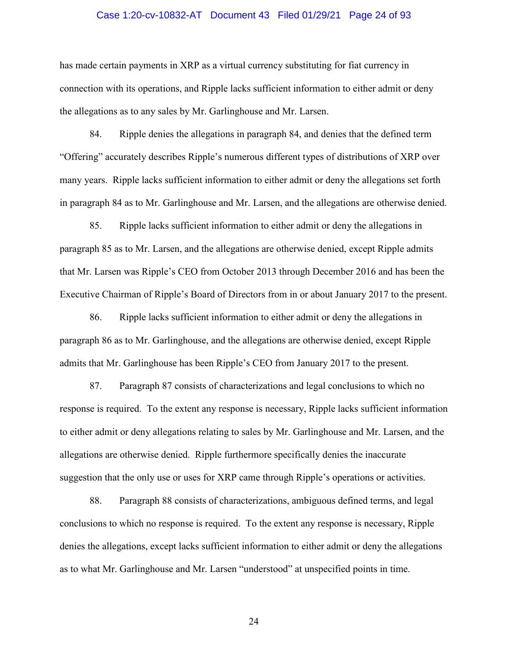# Case 1:20-cv-10832-AT Document 43 Filed 01/29/21 Page 24 of 93

has made certain payments in XRP as a virtual currency substituting for fiat currency in connection with its operations, and Ripple lacks sufficient information to either admit or deny the allegations as to any sales by Mr. Garlinghouse and Mr. Larsen.

84. Ripple denies the allegations in paragraph 84, and denies that the defined term "Offering" accurately describes Ripple's numerous different types of distributions of XRP over many years. Ripple lacks sufficient information to either admit or deny the allegations set forth in paragraph 84 as to Mr. Garlinghouse and Mr. Larsen, and the allegations are otherwise denied.

85. Ripple lacks sufficient information to either admit or deny the allegations in paragraph 85 as to Mr. Larsen, and the allegations are otherwise denied, except Ripple admits that Mr. Larsen was Ripple's CEO from October 2013 through December 2016 and has been the Executive Chairman of Ripple's Board of Directors from in or about January 2017 to the present.

86. Ripple lacks sufficient information to either admit or deny the allegations in paragraph 86 as to Mr. Garlinghouse, and the allegations are otherwise denied, except Ripple admits that Mr. Garlinghouse has been Ripple's CEO from January 2017 to the present.

87. Paragraph 87 consists of characterizations and legal conclusions to which no response is required. To the extent any response is necessary, Ripple lacks sufficient information to either admit or deny allegations relating to sales by Mr. Garlinghouse and Mr. Larsen, and the allegations are otherwise denied. Ripple furthermore specifically denies the inaccurate suggestion that the only use or uses for XRP came through Ripple's operations or activities.

88. Paragraph 88 consists of characterizations, ambiguous defined terms, and legal conclusions to which no response is required. To the extent any response is necessary, Ripple denies the allegations, except lacks sufficient information to either admit or deny the allegations as to what Mr. Garlinghouse and Mr. Larsen "understood" at unspecified points in time.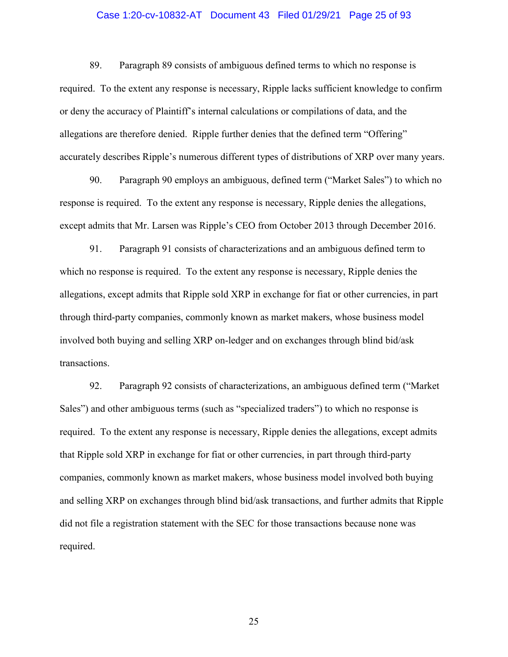# Case 1:20-cv-10832-AT Document 43 Filed 01/29/21 Page 25 of 93

89. Paragraph 89 consists of ambiguous defined terms to which no response is required. To the extent any response is necessary, Ripple lacks sufficient knowledge to confirm or deny the accuracy of Plaintiff's internal calculations or compilations of data, and the allegations are therefore denied. Ripple further denies that the defined term "Offering" accurately describes Ripple's numerous different types of distributions of XRP over many years.

90. Paragraph 90 employs an ambiguous, defined term ("Market Sales") to which no response is required. To the extent any response is necessary, Ripple denies the allegations, except admits that Mr. Larsen was Ripple's CEO from October 2013 through December 2016.

91. Paragraph 91 consists of characterizations and an ambiguous defined term to which no response is required. To the extent any response is necessary, Ripple denies the allegations, except admits that Ripple sold XRP in exchange for fiat or other currencies, in part through third-party companies, commonly known as market makers, whose business model involved both buying and selling XRP on-ledger and on exchanges through blind bid/ask transactions.

92. Paragraph 92 consists of characterizations, an ambiguous defined term ("Market Sales") and other ambiguous terms (such as "specialized traders") to which no response is required. To the extent any response is necessary, Ripple denies the allegations, except admits that Ripple sold XRP in exchange for fiat or other currencies, in part through third-party companies, commonly known as market makers, whose business model involved both buying and selling XRP on exchanges through blind bid/ask transactions, and further admits that Ripple did not file a registration statement with the SEC for those transactions because none was required.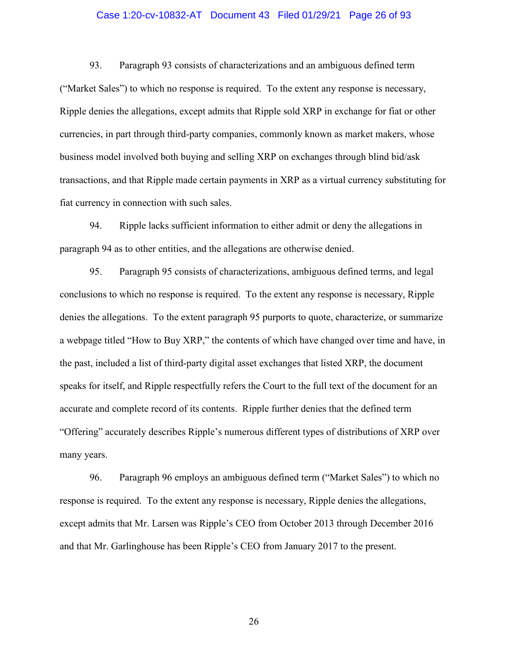# Case 1:20-cv-10832-AT Document 43 Filed 01/29/21 Page 26 of 93

93. Paragraph 93 consists of characterizations and an ambiguous defined term ("Market Sales") to which no response is required. To the extent any response is necessary, Ripple denies the allegations, except admits that Ripple sold XRP in exchange for fiat or other currencies, in part through third-party companies, commonly known as market makers, whose business model involved both buying and selling XRP on exchanges through blind bid/ask transactions, and that Ripple made certain payments in XRP as a virtual currency substituting for fiat currency in connection with such sales.

94. Ripple lacks sufficient information to either admit or deny the allegations in paragraph 94 as to other entities, and the allegations are otherwise denied.

95. Paragraph 95 consists of characterizations, ambiguous defined terms, and legal conclusions to which no response is required. To the extent any response is necessary, Ripple denies the allegations. To the extent paragraph 95 purports to quote, characterize, or summarize a webpage titled "How to Buy XRP," the contents of which have changed over time and have, in the past, included a list of third-party digital asset exchanges that listed XRP, the document speaks for itself, and Ripple respectfully refers the Court to the full text of the document for an accurate and complete record of its contents. Ripple further denies that the defined term "Offering" accurately describes Ripple's numerous different types of distributions of XRP over many years.

96. Paragraph 96 employs an ambiguous defined term ("Market Sales") to which no response is required. To the extent any response is necessary, Ripple denies the allegations, except admits that Mr. Larsen was Ripple's CEO from October 2013 through December 2016 and that Mr. Garlinghouse has been Ripple's CEO from January 2017 to the present.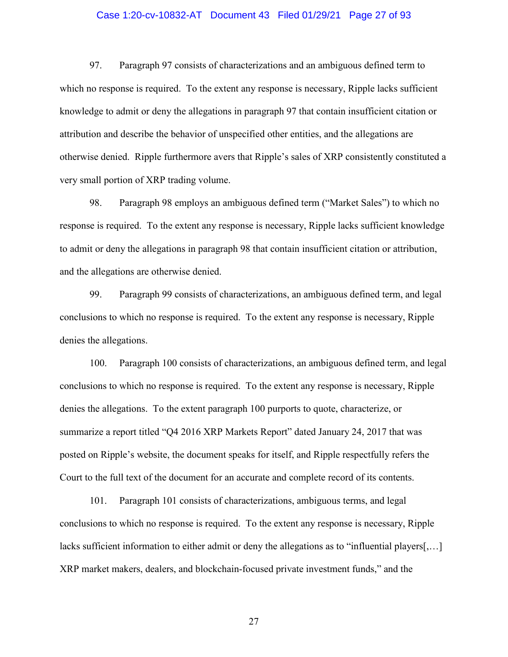# Case 1:20-cv-10832-AT Document 43 Filed 01/29/21 Page 27 of 93

97. Paragraph 97 consists of characterizations and an ambiguous defined term to which no response is required. To the extent any response is necessary, Ripple lacks sufficient knowledge to admit or deny the allegations in paragraph 97 that contain insufficient citation or attribution and describe the behavior of unspecified other entities, and the allegations are otherwise denied. Ripple furthermore avers that Ripple's sales of XRP consistently constituted a very small portion of XRP trading volume.

98. Paragraph 98 employs an ambiguous defined term ("Market Sales") to which no response is required. To the extent any response is necessary, Ripple lacks sufficient knowledge to admit or deny the allegations in paragraph 98 that contain insufficient citation or attribution, and the allegations are otherwise denied.

99. Paragraph 99 consists of characterizations, an ambiguous defined term, and legal conclusions to which no response is required. To the extent any response is necessary, Ripple denies the allegations.

100. Paragraph 100 consists of characterizations, an ambiguous defined term, and legal conclusions to which no response is required. To the extent any response is necessary, Ripple denies the allegations. To the extent paragraph 100 purports to quote, characterize, or summarize a report titled "Q4 2016 XRP Markets Report" dated January 24, 2017 that was posted on Ripple's website, the document speaks for itself, and Ripple respectfully refers the Court to the full text of the document for an accurate and complete record of its contents.

101. Paragraph 101 consists of characterizations, ambiguous terms, and legal conclusions to which no response is required. To the extent any response is necessary, Ripple lacks sufficient information to either admit or deny the allegations as to "influential players[,…] XRP market makers, dealers, and blockchain-focused private investment funds," and the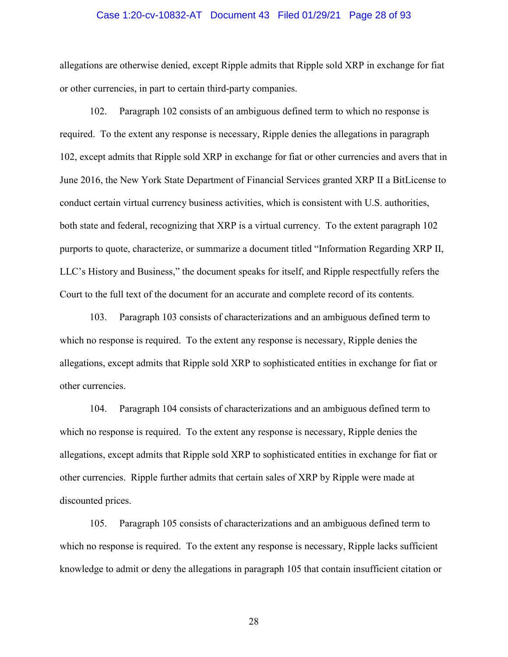# Case 1:20-cv-10832-AT Document 43 Filed 01/29/21 Page 28 of 93

allegations are otherwise denied, except Ripple admits that Ripple sold XRP in exchange for fiat or other currencies, in part to certain third-party companies.

102. Paragraph 102 consists of an ambiguous defined term to which no response is required. To the extent any response is necessary, Ripple denies the allegations in paragraph 102, except admits that Ripple sold XRP in exchange for fiat or other currencies and avers that in June 2016, the New York State Department of Financial Services granted XRP II a BitLicense to conduct certain virtual currency business activities, which is consistent with U.S. authorities, both state and federal, recognizing that XRP is a virtual currency. To the extent paragraph 102 purports to quote, characterize, or summarize a document titled "Information Regarding XRP II, LLC's History and Business," the document speaks for itself, and Ripple respectfully refers the Court to the full text of the document for an accurate and complete record of its contents.

103. Paragraph 103 consists of characterizations and an ambiguous defined term to which no response is required. To the extent any response is necessary, Ripple denies the allegations, except admits that Ripple sold XRP to sophisticated entities in exchange for fiat or other currencies.

104. Paragraph 104 consists of characterizations and an ambiguous defined term to which no response is required. To the extent any response is necessary, Ripple denies the allegations, except admits that Ripple sold XRP to sophisticated entities in exchange for fiat or other currencies. Ripple further admits that certain sales of XRP by Ripple were made at discounted prices.

105. Paragraph 105 consists of characterizations and an ambiguous defined term to which no response is required. To the extent any response is necessary, Ripple lacks sufficient knowledge to admit or deny the allegations in paragraph 105 that contain insufficient citation or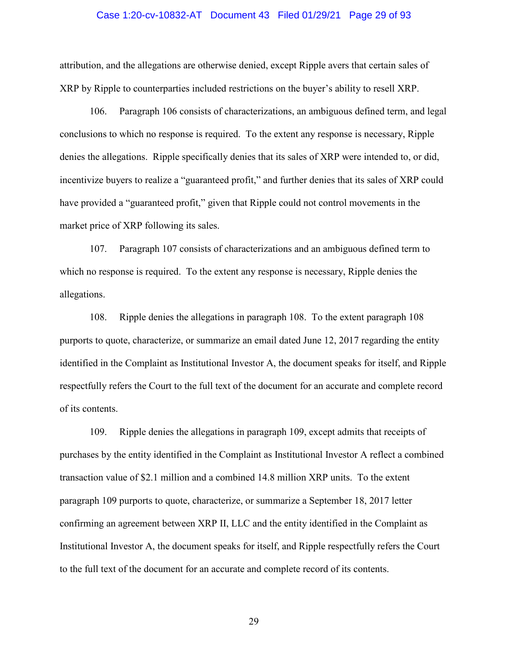# Case 1:20-cv-10832-AT Document 43 Filed 01/29/21 Page 29 of 93

attribution, and the allegations are otherwise denied, except Ripple avers that certain sales of XRP by Ripple to counterparties included restrictions on the buyer's ability to resell XRP.

106. Paragraph 106 consists of characterizations, an ambiguous defined term, and legal conclusions to which no response is required. To the extent any response is necessary, Ripple denies the allegations. Ripple specifically denies that its sales of XRP were intended to, or did, incentivize buyers to realize a "guaranteed profit," and further denies that its sales of XRP could have provided a "guaranteed profit," given that Ripple could not control movements in the market price of XRP following its sales.

107. Paragraph 107 consists of characterizations and an ambiguous defined term to which no response is required. To the extent any response is necessary, Ripple denies the allegations.

108. Ripple denies the allegations in paragraph 108. To the extent paragraph 108 purports to quote, characterize, or summarize an email dated June 12, 2017 regarding the entity identified in the Complaint as Institutional Investor A, the document speaks for itself, and Ripple respectfully refers the Court to the full text of the document for an accurate and complete record of its contents.

109. Ripple denies the allegations in paragraph 109, except admits that receipts of purchases by the entity identified in the Complaint as Institutional Investor A reflect a combined transaction value of \$2.1 million and a combined 14.8 million XRP units. To the extent paragraph 109 purports to quote, characterize, or summarize a September 18, 2017 letter confirming an agreement between XRP II, LLC and the entity identified in the Complaint as Institutional Investor A, the document speaks for itself, and Ripple respectfully refers the Court to the full text of the document for an accurate and complete record of its contents.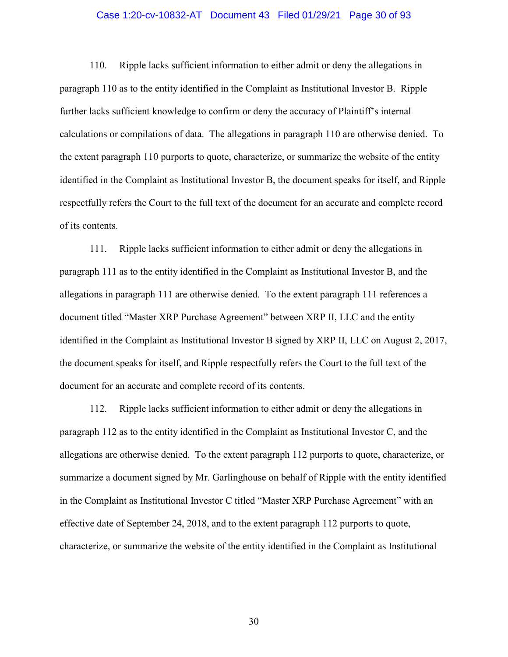# Case 1:20-cv-10832-AT Document 43 Filed 01/29/21 Page 30 of 93

110. Ripple lacks sufficient information to either admit or deny the allegations in paragraph 110 as to the entity identified in the Complaint as Institutional Investor B. Ripple further lacks sufficient knowledge to confirm or deny the accuracy of Plaintiff's internal calculations or compilations of data. The allegations in paragraph 110 are otherwise denied. To the extent paragraph 110 purports to quote, characterize, or summarize the website of the entity identified in the Complaint as Institutional Investor B, the document speaks for itself, and Ripple respectfully refers the Court to the full text of the document for an accurate and complete record of its contents.

111. Ripple lacks sufficient information to either admit or deny the allegations in paragraph 111 as to the entity identified in the Complaint as Institutional Investor B, and the allegations in paragraph 111 are otherwise denied. To the extent paragraph 111 references a document titled "Master XRP Purchase Agreement" between XRP II, LLC and the entity identified in the Complaint as Institutional Investor B signed by XRP II, LLC on August 2, 2017, the document speaks for itself, and Ripple respectfully refers the Court to the full text of the document for an accurate and complete record of its contents.

112. Ripple lacks sufficient information to either admit or deny the allegations in paragraph 112 as to the entity identified in the Complaint as Institutional Investor C, and the allegations are otherwise denied. To the extent paragraph 112 purports to quote, characterize, or summarize a document signed by Mr. Garlinghouse on behalf of Ripple with the entity identified in the Complaint as Institutional Investor C titled "Master XRP Purchase Agreement" with an effective date of September 24, 2018, and to the extent paragraph 112 purports to quote, characterize, or summarize the website of the entity identified in the Complaint as Institutional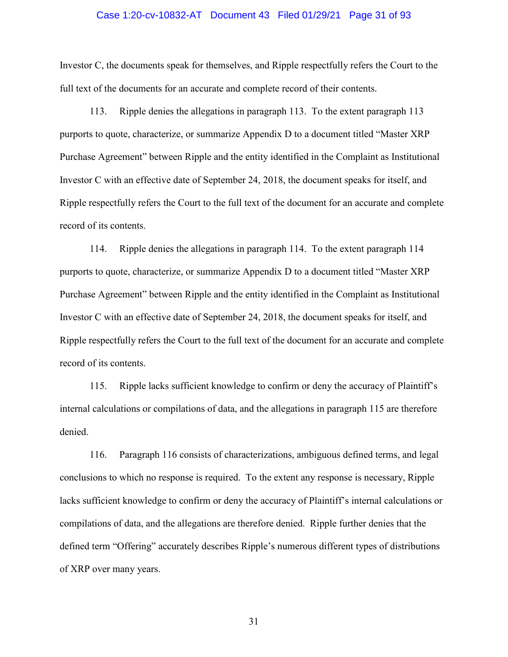# Case 1:20-cv-10832-AT Document 43 Filed 01/29/21 Page 31 of 93

Investor C, the documents speak for themselves, and Ripple respectfully refers the Court to the full text of the documents for an accurate and complete record of their contents.

113. Ripple denies the allegations in paragraph 113. To the extent paragraph 113 purports to quote, characterize, or summarize Appendix D to a document titled "Master XRP Purchase Agreement" between Ripple and the entity identified in the Complaint as Institutional Investor C with an effective date of September 24, 2018, the document speaks for itself, and Ripple respectfully refers the Court to the full text of the document for an accurate and complete record of its contents.

114. Ripple denies the allegations in paragraph 114. To the extent paragraph 114 purports to quote, characterize, or summarize Appendix D to a document titled "Master XRP Purchase Agreement" between Ripple and the entity identified in the Complaint as Institutional Investor C with an effective date of September 24, 2018, the document speaks for itself, and Ripple respectfully refers the Court to the full text of the document for an accurate and complete record of its contents.

115. Ripple lacks sufficient knowledge to confirm or deny the accuracy of Plaintiff's internal calculations or compilations of data, and the allegations in paragraph 115 are therefore denied.

116. Paragraph 116 consists of characterizations, ambiguous defined terms, and legal conclusions to which no response is required. To the extent any response is necessary, Ripple lacks sufficient knowledge to confirm or deny the accuracy of Plaintiff's internal calculations or compilations of data, and the allegations are therefore denied. Ripple further denies that the defined term "Offering" accurately describes Ripple's numerous different types of distributions of XRP over many years.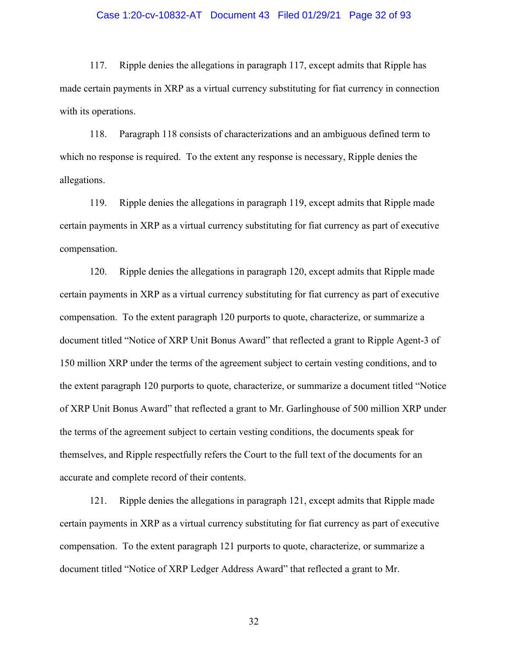# Case 1:20-cv-10832-AT Document 43 Filed 01/29/21 Page 32 of 93

117. Ripple denies the allegations in paragraph 117, except admits that Ripple has made certain payments in XRP as a virtual currency substituting for fiat currency in connection with its operations.

118. Paragraph 118 consists of characterizations and an ambiguous defined term to which no response is required. To the extent any response is necessary, Ripple denies the allegations.

119. Ripple denies the allegations in paragraph 119, except admits that Ripple made certain payments in XRP as a virtual currency substituting for fiat currency as part of executive compensation.

120. Ripple denies the allegations in paragraph 120, except admits that Ripple made certain payments in XRP as a virtual currency substituting for fiat currency as part of executive compensation. To the extent paragraph 120 purports to quote, characterize, or summarize a document titled "Notice of XRP Unit Bonus Award" that reflected a grant to Ripple Agent-3 of 150 million XRP under the terms of the agreement subject to certain vesting conditions, and to the extent paragraph 120 purports to quote, characterize, or summarize a document titled "Notice of XRP Unit Bonus Award" that reflected a grant to Mr. Garlinghouse of 500 million XRP under the terms of the agreement subject to certain vesting conditions, the documents speak for themselves, and Ripple respectfully refers the Court to the full text of the documents for an accurate and complete record of their contents.

121. Ripple denies the allegations in paragraph 121, except admits that Ripple made certain payments in XRP as a virtual currency substituting for fiat currency as part of executive compensation. To the extent paragraph 121 purports to quote, characterize, or summarize a document titled "Notice of XRP Ledger Address Award" that reflected a grant to Mr.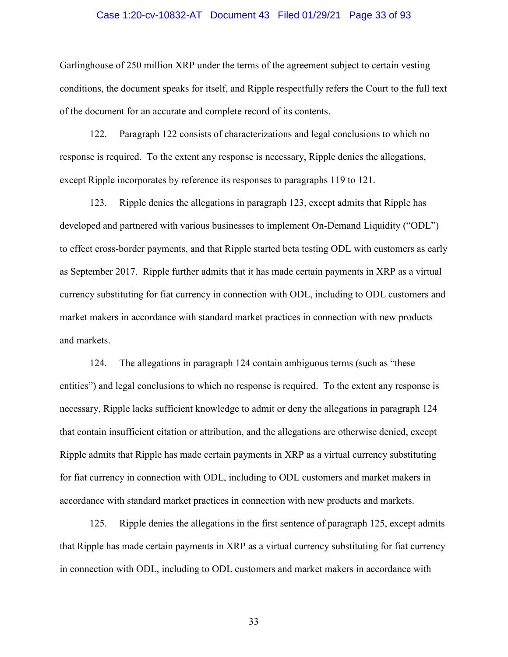# Case 1:20-cv-10832-AT Document 43 Filed 01/29/21 Page 33 of 93

Garlinghouse of 250 million XRP under the terms of the agreement subject to certain vesting conditions, the document speaks for itself, and Ripple respectfully refers the Court to the full text of the document for an accurate and complete record of its contents.

122. Paragraph 122 consists of characterizations and legal conclusions to which no response is required. To the extent any response is necessary, Ripple denies the allegations, except Ripple incorporates by reference its responses to paragraphs 119 to 121.

123. Ripple denies the allegations in paragraph 123, except admits that Ripple has developed and partnered with various businesses to implement On-Demand Liquidity ("ODL") to effect cross-border payments, and that Ripple started beta testing ODL with customers as early as September 2017. Ripple further admits that it has made certain payments in XRP as a virtual currency substituting for fiat currency in connection with ODL, including to ODL customers and market makers in accordance with standard market practices in connection with new products and markets.

124. The allegations in paragraph 124 contain ambiguous terms (such as "these entities") and legal conclusions to which no response is required. To the extent any response is necessary, Ripple lacks sufficient knowledge to admit or deny the allegations in paragraph 124 that contain insufficient citation or attribution, and the allegations are otherwise denied, except Ripple admits that Ripple has made certain payments in XRP as a virtual currency substituting for fiat currency in connection with ODL, including to ODL customers and market makers in accordance with standard market practices in connection with new products and markets.

125. Ripple denies the allegations in the first sentence of paragraph 125, except admits that Ripple has made certain payments in XRP as a virtual currency substituting for fiat currency in connection with ODL, including to ODL customers and market makers in accordance with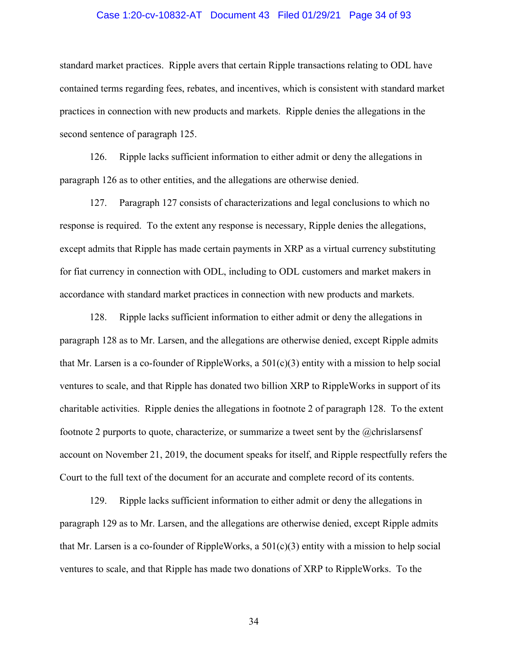# Case 1:20-cv-10832-AT Document 43 Filed 01/29/21 Page 34 of 93

standard market practices. Ripple avers that certain Ripple transactions relating to ODL have contained terms regarding fees, rebates, and incentives, which is consistent with standard market practices in connection with new products and markets. Ripple denies the allegations in the second sentence of paragraph 125.

126. Ripple lacks sufficient information to either admit or deny the allegations in paragraph 126 as to other entities, and the allegations are otherwise denied.

127. Paragraph 127 consists of characterizations and legal conclusions to which no response is required. To the extent any response is necessary, Ripple denies the allegations, except admits that Ripple has made certain payments in XRP as a virtual currency substituting for fiat currency in connection with ODL, including to ODL customers and market makers in accordance with standard market practices in connection with new products and markets.

128. Ripple lacks sufficient information to either admit or deny the allegations in paragraph 128 as to Mr. Larsen, and the allegations are otherwise denied, except Ripple admits that Mr. Larsen is a co-founder of RippleWorks, a  $501(c)(3)$  entity with a mission to help social ventures to scale, and that Ripple has donated two billion XRP to RippleWorks in support of its charitable activities. Ripple denies the allegations in footnote 2 of paragraph 128. To the extent footnote 2 purports to quote, characterize, or summarize a tweet sent by the @chrislarsensf account on November 21, 2019, the document speaks for itself, and Ripple respectfully refers the Court to the full text of the document for an accurate and complete record of its contents.

129. Ripple lacks sufficient information to either admit or deny the allegations in paragraph 129 as to Mr. Larsen, and the allegations are otherwise denied, except Ripple admits that Mr. Larsen is a co-founder of RippleWorks, a  $501(c)(3)$  entity with a mission to help social ventures to scale, and that Ripple has made two donations of XRP to RippleWorks. To the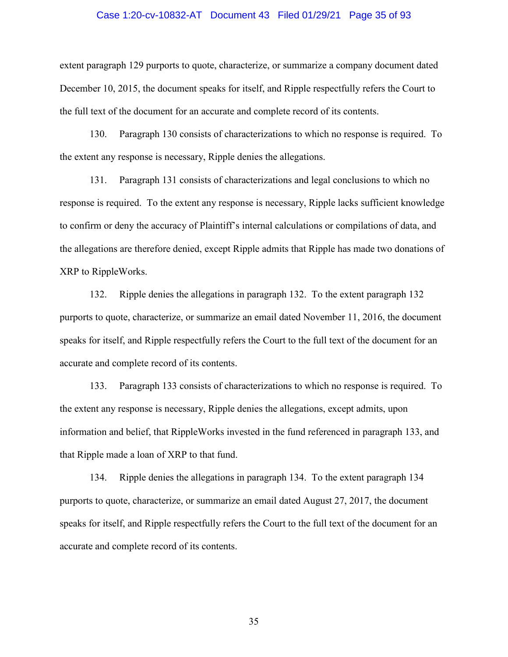#### Case 1:20-cv-10832-AT Document 43 Filed 01/29/21 Page 35 of 93

extent paragraph 129 purports to quote, characterize, or summarize a company document dated December 10, 2015, the document speaks for itself, and Ripple respectfully refers the Court to the full text of the document for an accurate and complete record of its contents.

130. Paragraph 130 consists of characterizations to which no response is required. To the extent any response is necessary, Ripple denies the allegations.

131. Paragraph 131 consists of characterizations and legal conclusions to which no response is required. To the extent any response is necessary, Ripple lacks sufficient knowledge to confirm or deny the accuracy of Plaintiff's internal calculations or compilations of data, and the allegations are therefore denied, except Ripple admits that Ripple has made two donations of XRP to RippleWorks.

132. Ripple denies the allegations in paragraph 132. To the extent paragraph 132 purports to quote, characterize, or summarize an email dated November 11, 2016, the document speaks for itself, and Ripple respectfully refers the Court to the full text of the document for an accurate and complete record of its contents.

133. Paragraph 133 consists of characterizations to which no response is required. To the extent any response is necessary, Ripple denies the allegations, except admits, upon information and belief, that RippleWorks invested in the fund referenced in paragraph 133, and that Ripple made a loan of XRP to that fund.

134. Ripple denies the allegations in paragraph 134. To the extent paragraph 134 purports to quote, characterize, or summarize an email dated August 27, 2017, the document speaks for itself, and Ripple respectfully refers the Court to the full text of the document for an accurate and complete record of its contents.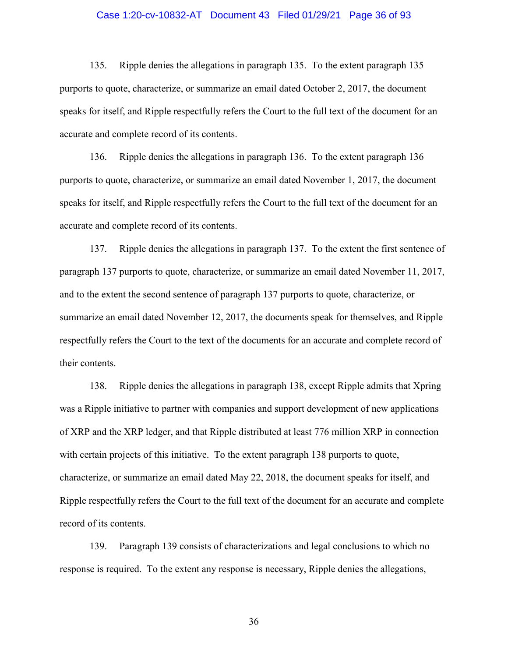# Case 1:20-cv-10832-AT Document 43 Filed 01/29/21 Page 36 of 93

135. Ripple denies the allegations in paragraph 135. To the extent paragraph 135 purports to quote, characterize, or summarize an email dated October 2, 2017, the document speaks for itself, and Ripple respectfully refers the Court to the full text of the document for an accurate and complete record of its contents.

136. Ripple denies the allegations in paragraph 136. To the extent paragraph 136 purports to quote, characterize, or summarize an email dated November 1, 2017, the document speaks for itself, and Ripple respectfully refers the Court to the full text of the document for an accurate and complete record of its contents.

137. Ripple denies the allegations in paragraph 137. To the extent the first sentence of paragraph 137 purports to quote, characterize, or summarize an email dated November 11, 2017, and to the extent the second sentence of paragraph 137 purports to quote, characterize, or summarize an email dated November 12, 2017, the documents speak for themselves, and Ripple respectfully refers the Court to the text of the documents for an accurate and complete record of their contents.

138. Ripple denies the allegations in paragraph 138, except Ripple admits that Xpring was a Ripple initiative to partner with companies and support development of new applications of XRP and the XRP ledger, and that Ripple distributed at least 776 million XRP in connection with certain projects of this initiative. To the extent paragraph 138 purports to quote, characterize, or summarize an email dated May 22, 2018, the document speaks for itself, and Ripple respectfully refers the Court to the full text of the document for an accurate and complete record of its contents.

139. Paragraph 139 consists of characterizations and legal conclusions to which no response is required. To the extent any response is necessary, Ripple denies the allegations,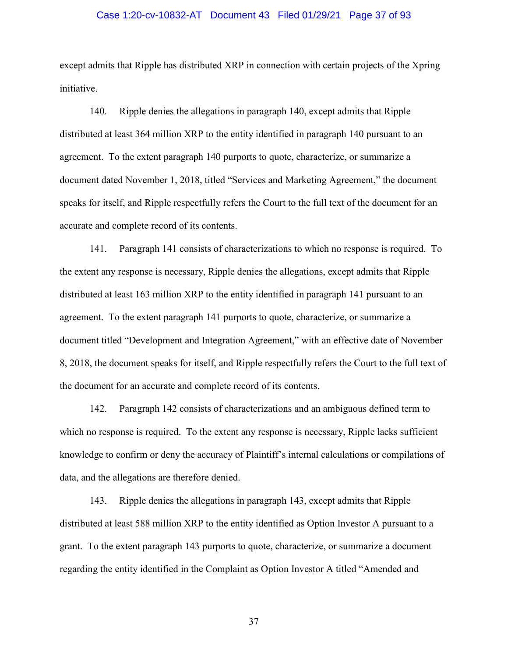## Case 1:20-cv-10832-AT Document 43 Filed 01/29/21 Page 37 of 93

except admits that Ripple has distributed XRP in connection with certain projects of the Xpring initiative.

140. Ripple denies the allegations in paragraph 140, except admits that Ripple distributed at least 364 million XRP to the entity identified in paragraph 140 pursuant to an agreement. To the extent paragraph 140 purports to quote, characterize, or summarize a document dated November 1, 2018, titled "Services and Marketing Agreement," the document speaks for itself, and Ripple respectfully refers the Court to the full text of the document for an accurate and complete record of its contents.

141. Paragraph 141 consists of characterizations to which no response is required. To the extent any response is necessary, Ripple denies the allegations, except admits that Ripple distributed at least 163 million XRP to the entity identified in paragraph 141 pursuant to an agreement. To the extent paragraph 141 purports to quote, characterize, or summarize a document titled "Development and Integration Agreement," with an effective date of November 8, 2018, the document speaks for itself, and Ripple respectfully refers the Court to the full text of the document for an accurate and complete record of its contents.

142. Paragraph 142 consists of characterizations and an ambiguous defined term to which no response is required. To the extent any response is necessary, Ripple lacks sufficient knowledge to confirm or deny the accuracy of Plaintiff's internal calculations or compilations of data, and the allegations are therefore denied.

143. Ripple denies the allegations in paragraph 143, except admits that Ripple distributed at least 588 million XRP to the entity identified as Option Investor A pursuant to a grant. To the extent paragraph 143 purports to quote, characterize, or summarize a document regarding the entity identified in the Complaint as Option Investor A titled "Amended and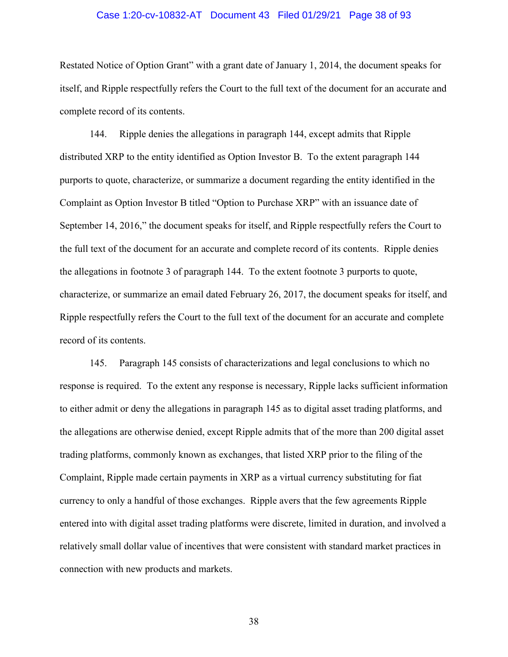## Case 1:20-cv-10832-AT Document 43 Filed 01/29/21 Page 38 of 93

Restated Notice of Option Grant" with a grant date of January 1, 2014, the document speaks for itself, and Ripple respectfully refers the Court to the full text of the document for an accurate and complete record of its contents.

144. Ripple denies the allegations in paragraph 144, except admits that Ripple distributed XRP to the entity identified as Option Investor B. To the extent paragraph 144 purports to quote, characterize, or summarize a document regarding the entity identified in the Complaint as Option Investor B titled "Option to Purchase XRP" with an issuance date of September 14, 2016," the document speaks for itself, and Ripple respectfully refers the Court to the full text of the document for an accurate and complete record of its contents. Ripple denies the allegations in footnote 3 of paragraph 144. To the extent footnote 3 purports to quote, characterize, or summarize an email dated February 26, 2017, the document speaks for itself, and Ripple respectfully refers the Court to the full text of the document for an accurate and complete record of its contents.

145. Paragraph 145 consists of characterizations and legal conclusions to which no response is required. To the extent any response is necessary, Ripple lacks sufficient information to either admit or deny the allegations in paragraph 145 as to digital asset trading platforms, and the allegations are otherwise denied, except Ripple admits that of the more than 200 digital asset trading platforms, commonly known as exchanges, that listed XRP prior to the filing of the Complaint, Ripple made certain payments in XRP as a virtual currency substituting for fiat currency to only a handful of those exchanges. Ripple avers that the few agreements Ripple entered into with digital asset trading platforms were discrete, limited in duration, and involved a relatively small dollar value of incentives that were consistent with standard market practices in connection with new products and markets.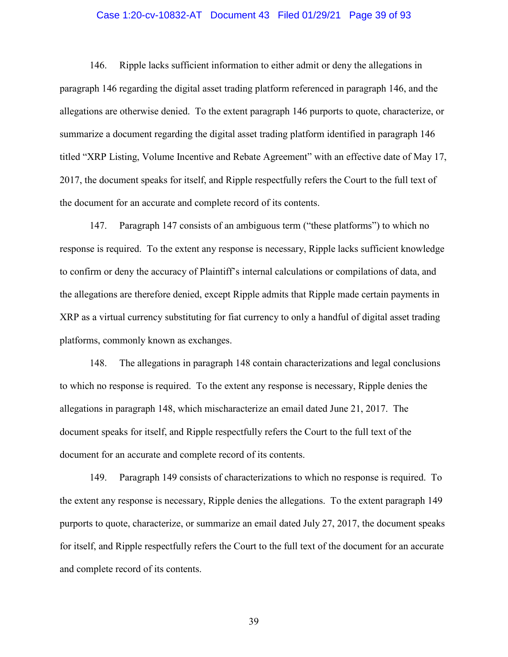# Case 1:20-cv-10832-AT Document 43 Filed 01/29/21 Page 39 of 93

146. Ripple lacks sufficient information to either admit or deny the allegations in paragraph 146 regarding the digital asset trading platform referenced in paragraph 146, and the allegations are otherwise denied. To the extent paragraph 146 purports to quote, characterize, or summarize a document regarding the digital asset trading platform identified in paragraph 146 titled "XRP Listing, Volume Incentive and Rebate Agreement" with an effective date of May 17, 2017, the document speaks for itself, and Ripple respectfully refers the Court to the full text of the document for an accurate and complete record of its contents.

147. Paragraph 147 consists of an ambiguous term ("these platforms") to which no response is required. To the extent any response is necessary, Ripple lacks sufficient knowledge to confirm or deny the accuracy of Plaintiff's internal calculations or compilations of data, and the allegations are therefore denied, except Ripple admits that Ripple made certain payments in XRP as a virtual currency substituting for fiat currency to only a handful of digital asset trading platforms, commonly known as exchanges.

148. The allegations in paragraph 148 contain characterizations and legal conclusions to which no response is required. To the extent any response is necessary, Ripple denies the allegations in paragraph 148, which mischaracterize an email dated June 21, 2017. The document speaks for itself, and Ripple respectfully refers the Court to the full text of the document for an accurate and complete record of its contents.

149. Paragraph 149 consists of characterizations to which no response is required. To the extent any response is necessary, Ripple denies the allegations. To the extent paragraph 149 purports to quote, characterize, or summarize an email dated July 27, 2017, the document speaks for itself, and Ripple respectfully refers the Court to the full text of the document for an accurate and complete record of its contents.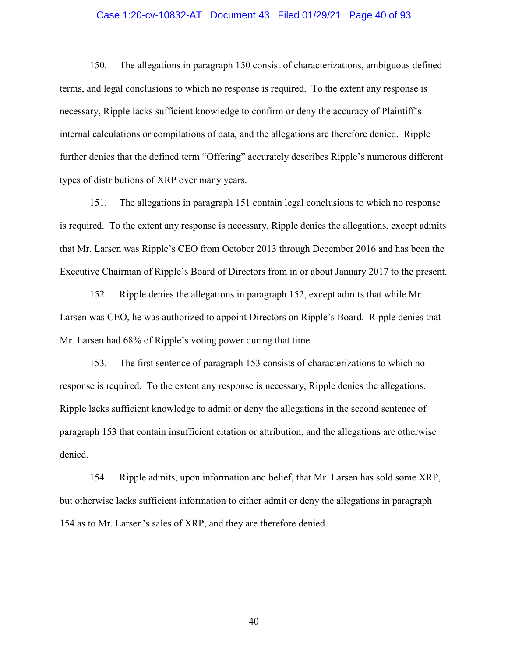## Case 1:20-cv-10832-AT Document 43 Filed 01/29/21 Page 40 of 93

150. The allegations in paragraph 150 consist of characterizations, ambiguous defined terms, and legal conclusions to which no response is required. To the extent any response is necessary, Ripple lacks sufficient knowledge to confirm or deny the accuracy of Plaintiff's internal calculations or compilations of data, and the allegations are therefore denied. Ripple further denies that the defined term "Offering" accurately describes Ripple's numerous different types of distributions of XRP over many years.

151. The allegations in paragraph 151 contain legal conclusions to which no response is required. To the extent any response is necessary, Ripple denies the allegations, except admits that Mr. Larsen was Ripple's CEO from October 2013 through December 2016 and has been the Executive Chairman of Ripple's Board of Directors from in or about January 2017 to the present.

152. Ripple denies the allegations in paragraph 152, except admits that while Mr. Larsen was CEO, he was authorized to appoint Directors on Ripple's Board. Ripple denies that Mr. Larsen had 68% of Ripple's voting power during that time.

153. The first sentence of paragraph 153 consists of characterizations to which no response is required. To the extent any response is necessary, Ripple denies the allegations. Ripple lacks sufficient knowledge to admit or deny the allegations in the second sentence of paragraph 153 that contain insufficient citation or attribution, and the allegations are otherwise denied.

154. Ripple admits, upon information and belief, that Mr. Larsen has sold some XRP, but otherwise lacks sufficient information to either admit or deny the allegations in paragraph 154 as to Mr. Larsen's sales of XRP, and they are therefore denied.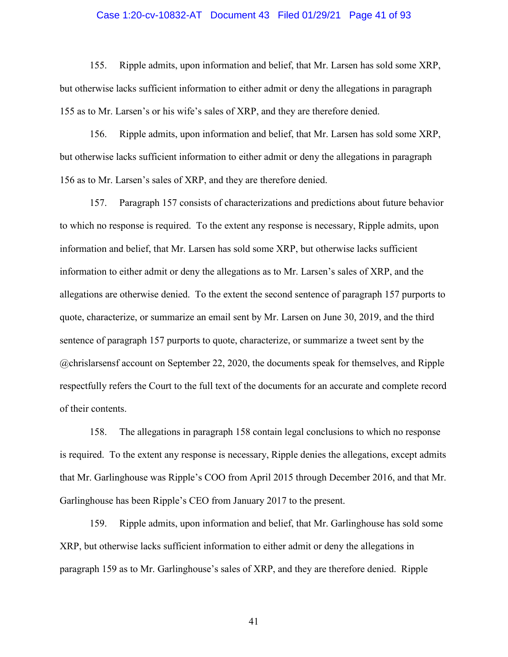## Case 1:20-cv-10832-AT Document 43 Filed 01/29/21 Page 41 of 93

155. Ripple admits, upon information and belief, that Mr. Larsen has sold some XRP, but otherwise lacks sufficient information to either admit or deny the allegations in paragraph 155 as to Mr. Larsen's or his wife's sales of XRP, and they are therefore denied.

156. Ripple admits, upon information and belief, that Mr. Larsen has sold some XRP, but otherwise lacks sufficient information to either admit or deny the allegations in paragraph 156 as to Mr. Larsen's sales of XRP, and they are therefore denied.

157. Paragraph 157 consists of characterizations and predictions about future behavior to which no response is required. To the extent any response is necessary, Ripple admits, upon information and belief, that Mr. Larsen has sold some XRP, but otherwise lacks sufficient information to either admit or deny the allegations as to Mr. Larsen's sales of XRP, and the allegations are otherwise denied. To the extent the second sentence of paragraph 157 purports to quote, characterize, or summarize an email sent by Mr. Larsen on June 30, 2019, and the third sentence of paragraph 157 purports to quote, characterize, or summarize a tweet sent by the @chrislarsensf account on September 22, 2020, the documents speak for themselves, and Ripple respectfully refers the Court to the full text of the documents for an accurate and complete record of their contents.

158. The allegations in paragraph 158 contain legal conclusions to which no response is required. To the extent any response is necessary, Ripple denies the allegations, except admits that Mr. Garlinghouse was Ripple's COO from April 2015 through December 2016, and that Mr. Garlinghouse has been Ripple's CEO from January 2017 to the present.

159. Ripple admits, upon information and belief, that Mr. Garlinghouse has sold some XRP, but otherwise lacks sufficient information to either admit or deny the allegations in paragraph 159 as to Mr. Garlinghouse's sales of XRP, and they are therefore denied. Ripple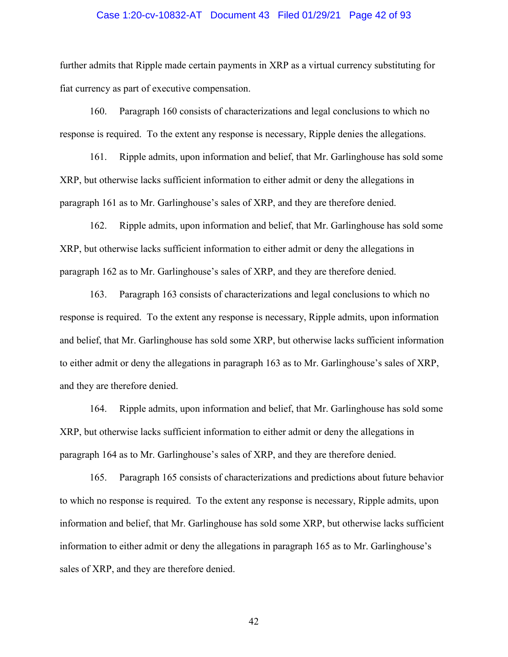## Case 1:20-cv-10832-AT Document 43 Filed 01/29/21 Page 42 of 93

further admits that Ripple made certain payments in XRP as a virtual currency substituting for fiat currency as part of executive compensation.

160. Paragraph 160 consists of characterizations and legal conclusions to which no response is required. To the extent any response is necessary, Ripple denies the allegations.

161. Ripple admits, upon information and belief, that Mr. Garlinghouse has sold some XRP, but otherwise lacks sufficient information to either admit or deny the allegations in paragraph 161 as to Mr. Garlinghouse's sales of XRP, and they are therefore denied.

162. Ripple admits, upon information and belief, that Mr. Garlinghouse has sold some XRP, but otherwise lacks sufficient information to either admit or deny the allegations in paragraph 162 as to Mr. Garlinghouse's sales of XRP, and they are therefore denied.

163. Paragraph 163 consists of characterizations and legal conclusions to which no response is required. To the extent any response is necessary, Ripple admits, upon information and belief, that Mr. Garlinghouse has sold some XRP, but otherwise lacks sufficient information to either admit or deny the allegations in paragraph 163 as to Mr. Garlinghouse's sales of XRP, and they are therefore denied.

164. Ripple admits, upon information and belief, that Mr. Garlinghouse has sold some XRP, but otherwise lacks sufficient information to either admit or deny the allegations in paragraph 164 as to Mr. Garlinghouse's sales of XRP, and they are therefore denied.

165. Paragraph 165 consists of characterizations and predictions about future behavior to which no response is required. To the extent any response is necessary, Ripple admits, upon information and belief, that Mr. Garlinghouse has sold some XRP, but otherwise lacks sufficient information to either admit or deny the allegations in paragraph 165 as to Mr. Garlinghouse's sales of XRP, and they are therefore denied.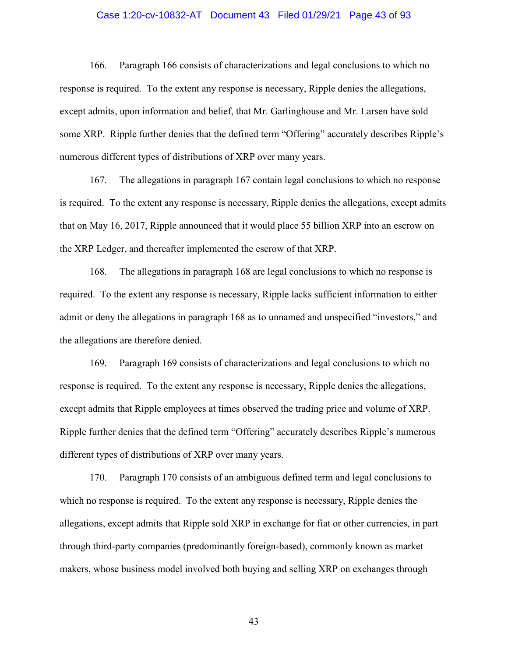# Case 1:20-cv-10832-AT Document 43 Filed 01/29/21 Page 43 of 93

166. Paragraph 166 consists of characterizations and legal conclusions to which no response is required. To the extent any response is necessary, Ripple denies the allegations, except admits, upon information and belief, that Mr. Garlinghouse and Mr. Larsen have sold some XRP. Ripple further denies that the defined term "Offering" accurately describes Ripple's numerous different types of distributions of XRP over many years.

167. The allegations in paragraph 167 contain legal conclusions to which no response is required. To the extent any response is necessary, Ripple denies the allegations, except admits that on May 16, 2017, Ripple announced that it would place 55 billion XRP into an escrow on the XRP Ledger, and thereafter implemented the escrow of that XRP.

168. The allegations in paragraph 168 are legal conclusions to which no response is required. To the extent any response is necessary, Ripple lacks sufficient information to either admit or deny the allegations in paragraph 168 as to unnamed and unspecified "investors," and the allegations are therefore denied.

169. Paragraph 169 consists of characterizations and legal conclusions to which no response is required. To the extent any response is necessary, Ripple denies the allegations, except admits that Ripple employees at times observed the trading price and volume of XRP. Ripple further denies that the defined term "Offering" accurately describes Ripple's numerous different types of distributions of XRP over many years.

170. Paragraph 170 consists of an ambiguous defined term and legal conclusions to which no response is required. To the extent any response is necessary, Ripple denies the allegations, except admits that Ripple sold XRP in exchange for fiat or other currencies, in part through third-party companies (predominantly foreign-based), commonly known as market makers, whose business model involved both buying and selling XRP on exchanges through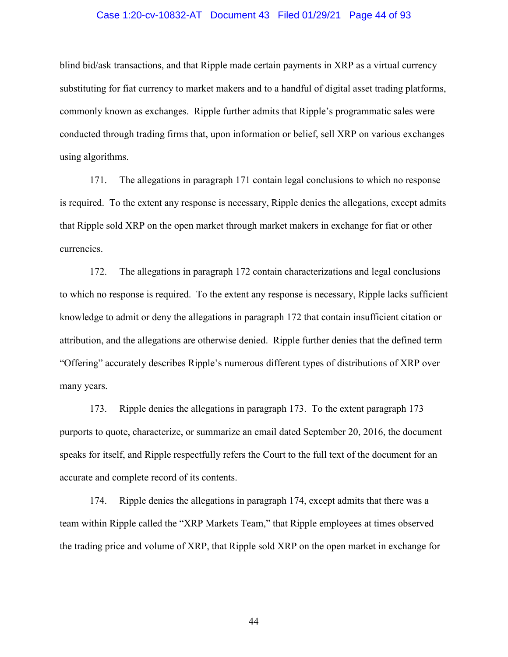## Case 1:20-cv-10832-AT Document 43 Filed 01/29/21 Page 44 of 93

blind bid/ask transactions, and that Ripple made certain payments in XRP as a virtual currency substituting for fiat currency to market makers and to a handful of digital asset trading platforms, commonly known as exchanges. Ripple further admits that Ripple's programmatic sales were conducted through trading firms that, upon information or belief, sell XRP on various exchanges using algorithms.

171. The allegations in paragraph 171 contain legal conclusions to which no response is required. To the extent any response is necessary, Ripple denies the allegations, except admits that Ripple sold XRP on the open market through market makers in exchange for fiat or other currencies.

172. The allegations in paragraph 172 contain characterizations and legal conclusions to which no response is required. To the extent any response is necessary, Ripple lacks sufficient knowledge to admit or deny the allegations in paragraph 172 that contain insufficient citation or attribution, and the allegations are otherwise denied. Ripple further denies that the defined term "Offering" accurately describes Ripple's numerous different types of distributions of XRP over many years.

173. Ripple denies the allegations in paragraph 173. To the extent paragraph 173 purports to quote, characterize, or summarize an email dated September 20, 2016, the document speaks for itself, and Ripple respectfully refers the Court to the full text of the document for an accurate and complete record of its contents.

174. Ripple denies the allegations in paragraph 174, except admits that there was a team within Ripple called the "XRP Markets Team," that Ripple employees at times observed the trading price and volume of XRP, that Ripple sold XRP on the open market in exchange for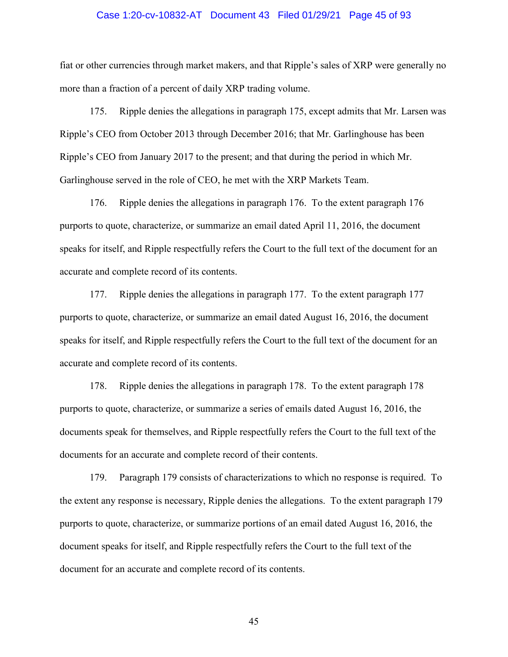## Case 1:20-cv-10832-AT Document 43 Filed 01/29/21 Page 45 of 93

fiat or other currencies through market makers, and that Ripple's sales of XRP were generally no more than a fraction of a percent of daily XRP trading volume.

175. Ripple denies the allegations in paragraph 175, except admits that Mr. Larsen was Ripple's CEO from October 2013 through December 2016; that Mr. Garlinghouse has been Ripple's CEO from January 2017 to the present; and that during the period in which Mr. Garlinghouse served in the role of CEO, he met with the XRP Markets Team.

176. Ripple denies the allegations in paragraph 176. To the extent paragraph 176 purports to quote, characterize, or summarize an email dated April 11, 2016, the document speaks for itself, and Ripple respectfully refers the Court to the full text of the document for an accurate and complete record of its contents.

177. Ripple denies the allegations in paragraph 177. To the extent paragraph 177 purports to quote, characterize, or summarize an email dated August 16, 2016, the document speaks for itself, and Ripple respectfully refers the Court to the full text of the document for an accurate and complete record of its contents.

178. Ripple denies the allegations in paragraph 178. To the extent paragraph 178 purports to quote, characterize, or summarize a series of emails dated August 16, 2016, the documents speak for themselves, and Ripple respectfully refers the Court to the full text of the documents for an accurate and complete record of their contents.

179. Paragraph 179 consists of characterizations to which no response is required. To the extent any response is necessary, Ripple denies the allegations. To the extent paragraph 179 purports to quote, characterize, or summarize portions of an email dated August 16, 2016, the document speaks for itself, and Ripple respectfully refers the Court to the full text of the document for an accurate and complete record of its contents.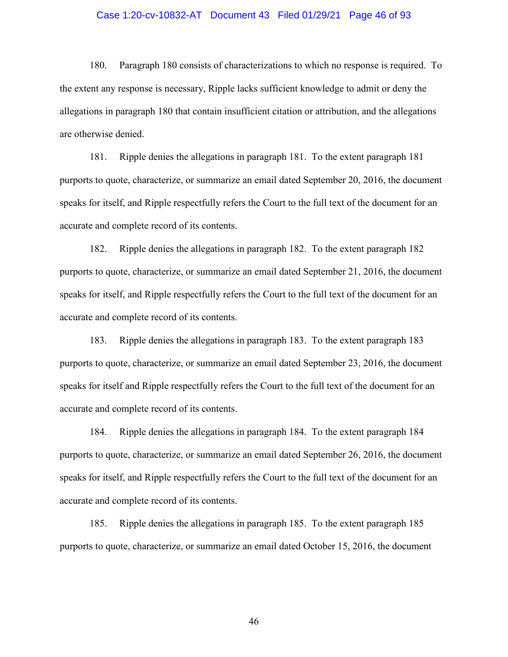## Case 1:20-cv-10832-AT Document 43 Filed 01/29/21 Page 46 of 93

180. Paragraph 180 consists of characterizations to which no response is required. To the extent any response is necessary, Ripple lacks sufficient knowledge to admit or deny the allegations in paragraph 180 that contain insufficient citation or attribution, and the allegations are otherwise denied.

181. Ripple denies the allegations in paragraph 181. To the extent paragraph 181 purports to quote, characterize, or summarize an email dated September 20, 2016, the document speaks for itself, and Ripple respectfully refers the Court to the full text of the document for an accurate and complete record of its contents.

182. Ripple denies the allegations in paragraph 182. To the extent paragraph 182 purports to quote, characterize, or summarize an email dated September 21, 2016, the document speaks for itself, and Ripple respectfully refers the Court to the full text of the document for an accurate and complete record of its contents.

183. Ripple denies the allegations in paragraph 183. To the extent paragraph 183 purports to quote, characterize, or summarize an email dated September 23, 2016, the document speaks for itself and Ripple respectfully refers the Court to the full text of the document for an accurate and complete record of its contents.

184. Ripple denies the allegations in paragraph 184. To the extent paragraph 184 purports to quote, characterize, or summarize an email dated September 26, 2016, the document speaks for itself, and Ripple respectfully refers the Court to the full text of the document for an accurate and complete record of its contents.

185. Ripple denies the allegations in paragraph 185. To the extent paragraph 185 purports to quote, characterize, or summarize an email dated October 15, 2016, the document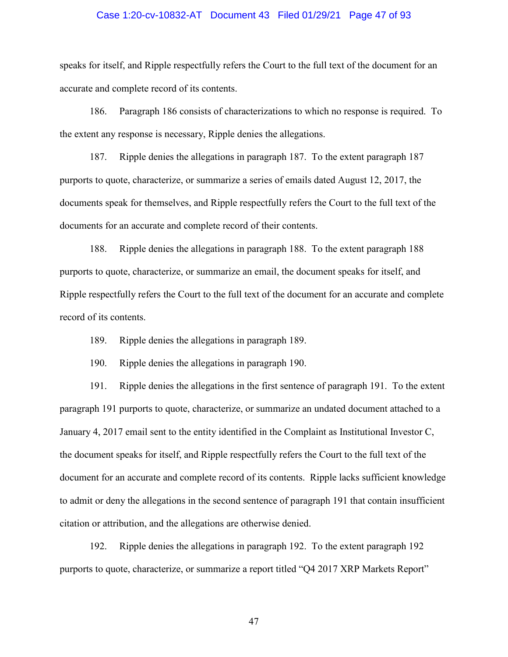## Case 1:20-cv-10832-AT Document 43 Filed 01/29/21 Page 47 of 93

speaks for itself, and Ripple respectfully refers the Court to the full text of the document for an accurate and complete record of its contents.

186. Paragraph 186 consists of characterizations to which no response is required. To the extent any response is necessary, Ripple denies the allegations.

187. Ripple denies the allegations in paragraph 187. To the extent paragraph 187 purports to quote, characterize, or summarize a series of emails dated August 12, 2017, the documents speak for themselves, and Ripple respectfully refers the Court to the full text of the documents for an accurate and complete record of their contents.

188. Ripple denies the allegations in paragraph 188. To the extent paragraph 188 purports to quote, characterize, or summarize an email, the document speaks for itself, and Ripple respectfully refers the Court to the full text of the document for an accurate and complete record of its contents.

189. Ripple denies the allegations in paragraph 189.

190. Ripple denies the allegations in paragraph 190.

191. Ripple denies the allegations in the first sentence of paragraph 191. To the extent paragraph 191 purports to quote, characterize, or summarize an undated document attached to a January 4, 2017 email sent to the entity identified in the Complaint as Institutional Investor C, the document speaks for itself, and Ripple respectfully refers the Court to the full text of the document for an accurate and complete record of its contents. Ripple lacks sufficient knowledge to admit or deny the allegations in the second sentence of paragraph 191 that contain insufficient citation or attribution, and the allegations are otherwise denied.

192. Ripple denies the allegations in paragraph 192. To the extent paragraph 192 purports to quote, characterize, or summarize a report titled "Q4 2017 XRP Markets Report"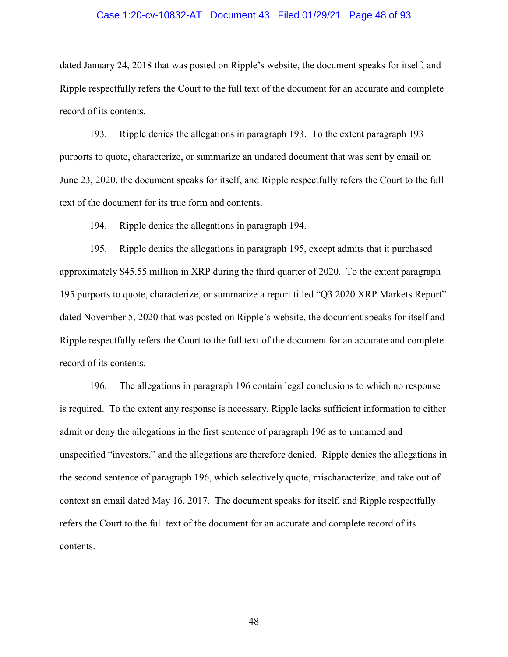## Case 1:20-cv-10832-AT Document 43 Filed 01/29/21 Page 48 of 93

dated January 24, 2018 that was posted on Ripple's website, the document speaks for itself, and Ripple respectfully refers the Court to the full text of the document for an accurate and complete record of its contents.

193. Ripple denies the allegations in paragraph 193. To the extent paragraph 193 purports to quote, characterize, or summarize an undated document that was sent by email on June 23, 2020, the document speaks for itself, and Ripple respectfully refers the Court to the full text of the document for its true form and contents.

194. Ripple denies the allegations in paragraph 194.

195. Ripple denies the allegations in paragraph 195, except admits that it purchased approximately \$45.55 million in XRP during the third quarter of 2020. To the extent paragraph 195 purports to quote, characterize, or summarize a report titled "Q3 2020 XRP Markets Report" dated November 5, 2020 that was posted on Ripple's website, the document speaks for itself and Ripple respectfully refers the Court to the full text of the document for an accurate and complete record of its contents.

196. The allegations in paragraph 196 contain legal conclusions to which no response is required. To the extent any response is necessary, Ripple lacks sufficient information to either admit or deny the allegations in the first sentence of paragraph 196 as to unnamed and unspecified "investors," and the allegations are therefore denied. Ripple denies the allegations in the second sentence of paragraph 196, which selectively quote, mischaracterize, and take out of context an email dated May 16, 2017. The document speaks for itself, and Ripple respectfully refers the Court to the full text of the document for an accurate and complete record of its contents.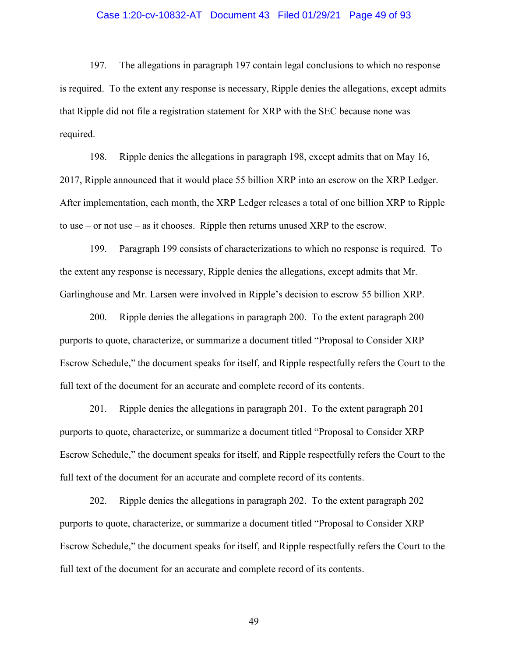### Case 1:20-cv-10832-AT Document 43 Filed 01/29/21 Page 49 of 93

197. The allegations in paragraph 197 contain legal conclusions to which no response is required. To the extent any response is necessary, Ripple denies the allegations, except admits that Ripple did not file a registration statement for XRP with the SEC because none was required.

198. Ripple denies the allegations in paragraph 198, except admits that on May 16, 2017, Ripple announced that it would place 55 billion XRP into an escrow on the XRP Ledger. After implementation, each month, the XRP Ledger releases a total of one billion XRP to Ripple to use – or not use – as it chooses. Ripple then returns unused XRP to the escrow.

199. Paragraph 199 consists of characterizations to which no response is required. To the extent any response is necessary, Ripple denies the allegations, except admits that Mr. Garlinghouse and Mr. Larsen were involved in Ripple's decision to escrow 55 billion XRP.

200. Ripple denies the allegations in paragraph 200. To the extent paragraph 200 purports to quote, characterize, or summarize a document titled "Proposal to Consider XRP Escrow Schedule," the document speaks for itself, and Ripple respectfully refers the Court to the full text of the document for an accurate and complete record of its contents.

201. Ripple denies the allegations in paragraph 201. To the extent paragraph 201 purports to quote, characterize, or summarize a document titled "Proposal to Consider XRP Escrow Schedule," the document speaks for itself, and Ripple respectfully refers the Court to the full text of the document for an accurate and complete record of its contents.

202. Ripple denies the allegations in paragraph 202. To the extent paragraph 202 purports to quote, characterize, or summarize a document titled "Proposal to Consider XRP Escrow Schedule," the document speaks for itself, and Ripple respectfully refers the Court to the full text of the document for an accurate and complete record of its contents.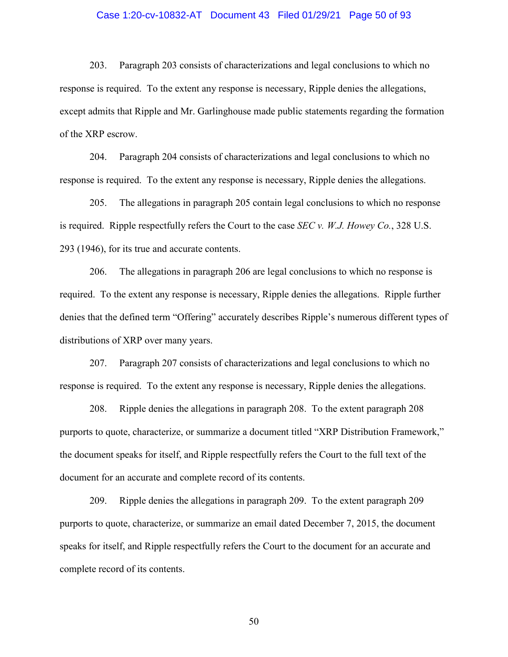## Case 1:20-cv-10832-AT Document 43 Filed 01/29/21 Page 50 of 93

203. Paragraph 203 consists of characterizations and legal conclusions to which no response is required. To the extent any response is necessary, Ripple denies the allegations, except admits that Ripple and Mr. Garlinghouse made public statements regarding the formation of the XRP escrow.

204. Paragraph 204 consists of characterizations and legal conclusions to which no response is required. To the extent any response is necessary, Ripple denies the allegations.

205. The allegations in paragraph 205 contain legal conclusions to which no response is required. Ripple respectfully refers the Court to the case *SEC v. W.J. Howey Co.*, 328 U.S. 293 (1946), for its true and accurate contents.

206. The allegations in paragraph 206 are legal conclusions to which no response is required. To the extent any response is necessary, Ripple denies the allegations. Ripple further denies that the defined term "Offering" accurately describes Ripple's numerous different types of distributions of XRP over many years.

207. Paragraph 207 consists of characterizations and legal conclusions to which no response is required. To the extent any response is necessary, Ripple denies the allegations.

208. Ripple denies the allegations in paragraph 208. To the extent paragraph 208 purports to quote, characterize, or summarize a document titled "XRP Distribution Framework," the document speaks for itself, and Ripple respectfully refers the Court to the full text of the document for an accurate and complete record of its contents.

209. Ripple denies the allegations in paragraph 209. To the extent paragraph 209 purports to quote, characterize, or summarize an email dated December 7, 2015, the document speaks for itself, and Ripple respectfully refers the Court to the document for an accurate and complete record of its contents.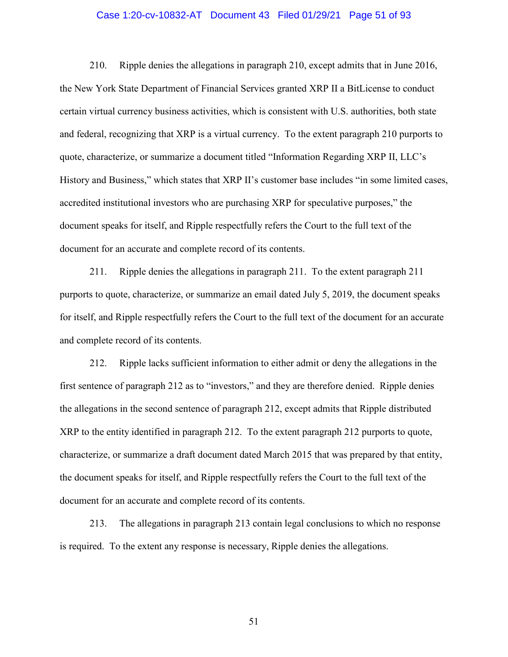## Case 1:20-cv-10832-AT Document 43 Filed 01/29/21 Page 51 of 93

210. Ripple denies the allegations in paragraph 210, except admits that in June 2016, the New York State Department of Financial Services granted XRP II a BitLicense to conduct certain virtual currency business activities, which is consistent with U.S. authorities, both state and federal, recognizing that XRP is a virtual currency. To the extent paragraph 210 purports to quote, characterize, or summarize a document titled "Information Regarding XRP II, LLC's History and Business," which states that XRP II's customer base includes "in some limited cases, accredited institutional investors who are purchasing XRP for speculative purposes," the document speaks for itself, and Ripple respectfully refers the Court to the full text of the document for an accurate and complete record of its contents.

211. Ripple denies the allegations in paragraph 211. To the extent paragraph 211 purports to quote, characterize, or summarize an email dated July 5, 2019, the document speaks for itself, and Ripple respectfully refers the Court to the full text of the document for an accurate and complete record of its contents.

212. Ripple lacks sufficient information to either admit or deny the allegations in the first sentence of paragraph 212 as to "investors," and they are therefore denied. Ripple denies the allegations in the second sentence of paragraph 212, except admits that Ripple distributed XRP to the entity identified in paragraph 212. To the extent paragraph 212 purports to quote, characterize, or summarize a draft document dated March 2015 that was prepared by that entity, the document speaks for itself, and Ripple respectfully refers the Court to the full text of the document for an accurate and complete record of its contents.

213. The allegations in paragraph 213 contain legal conclusions to which no response is required. To the extent any response is necessary, Ripple denies the allegations.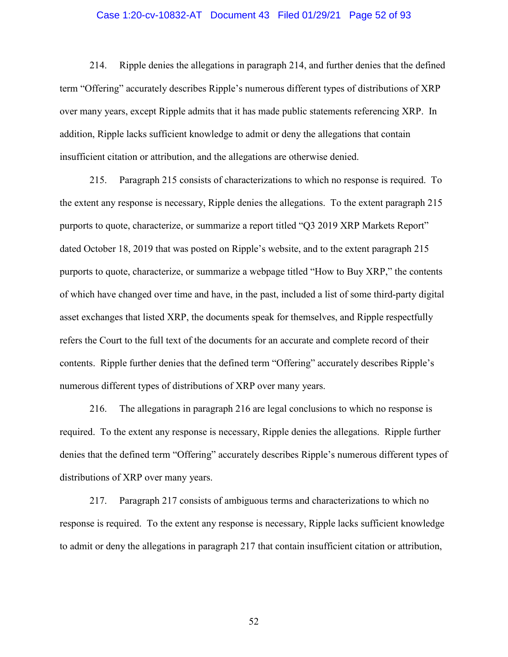## Case 1:20-cv-10832-AT Document 43 Filed 01/29/21 Page 52 of 93

214. Ripple denies the allegations in paragraph 214, and further denies that the defined term "Offering" accurately describes Ripple's numerous different types of distributions of XRP over many years, except Ripple admits that it has made public statements referencing XRP. In addition, Ripple lacks sufficient knowledge to admit or deny the allegations that contain insufficient citation or attribution, and the allegations are otherwise denied.

215. Paragraph 215 consists of characterizations to which no response is required. To the extent any response is necessary, Ripple denies the allegations. To the extent paragraph 215 purports to quote, characterize, or summarize a report titled "Q3 2019 XRP Markets Report" dated October 18, 2019 that was posted on Ripple's website, and to the extent paragraph 215 purports to quote, characterize, or summarize a webpage titled "How to Buy XRP," the contents of which have changed over time and have, in the past, included a list of some third-party digital asset exchanges that listed XRP, the documents speak for themselves, and Ripple respectfully refers the Court to the full text of the documents for an accurate and complete record of their contents. Ripple further denies that the defined term "Offering" accurately describes Ripple's numerous different types of distributions of XRP over many years.

216. The allegations in paragraph 216 are legal conclusions to which no response is required. To the extent any response is necessary, Ripple denies the allegations. Ripple further denies that the defined term "Offering" accurately describes Ripple's numerous different types of distributions of XRP over many years.

217. Paragraph 217 consists of ambiguous terms and characterizations to which no response is required. To the extent any response is necessary, Ripple lacks sufficient knowledge to admit or deny the allegations in paragraph 217 that contain insufficient citation or attribution,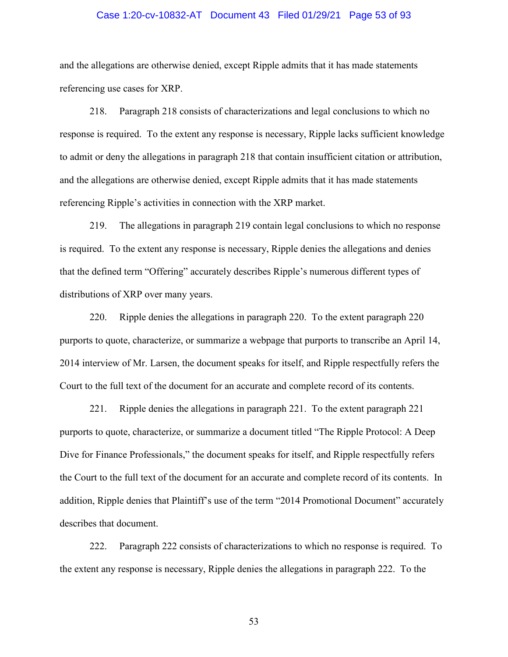## Case 1:20-cv-10832-AT Document 43 Filed 01/29/21 Page 53 of 93

and the allegations are otherwise denied, except Ripple admits that it has made statements referencing use cases for XRP.

218. Paragraph 218 consists of characterizations and legal conclusions to which no response is required. To the extent any response is necessary, Ripple lacks sufficient knowledge to admit or deny the allegations in paragraph 218 that contain insufficient citation or attribution, and the allegations are otherwise denied, except Ripple admits that it has made statements referencing Ripple's activities in connection with the XRP market.

219. The allegations in paragraph 219 contain legal conclusions to which no response is required. To the extent any response is necessary, Ripple denies the allegations and denies that the defined term "Offering" accurately describes Ripple's numerous different types of distributions of XRP over many years.

220. Ripple denies the allegations in paragraph 220. To the extent paragraph 220 purports to quote, characterize, or summarize a webpage that purports to transcribe an April 14, 2014 interview of Mr. Larsen, the document speaks for itself, and Ripple respectfully refers the Court to the full text of the document for an accurate and complete record of its contents.

221. Ripple denies the allegations in paragraph 221. To the extent paragraph 221 purports to quote, characterize, or summarize a document titled "The Ripple Protocol: A Deep Dive for Finance Professionals," the document speaks for itself, and Ripple respectfully refers the Court to the full text of the document for an accurate and complete record of its contents. In addition, Ripple denies that Plaintiff's use of the term "2014 Promotional Document" accurately describes that document.

222. Paragraph 222 consists of characterizations to which no response is required. To the extent any response is necessary, Ripple denies the allegations in paragraph 222. To the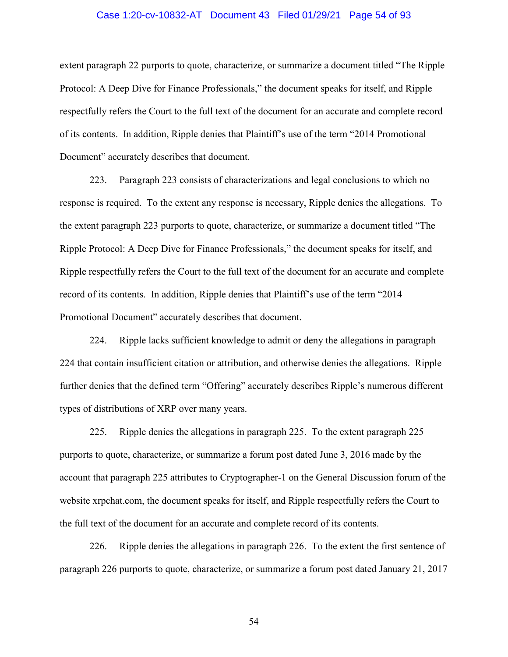## Case 1:20-cv-10832-AT Document 43 Filed 01/29/21 Page 54 of 93

extent paragraph 22 purports to quote, characterize, or summarize a document titled "The Ripple Protocol: A Deep Dive for Finance Professionals," the document speaks for itself, and Ripple respectfully refers the Court to the full text of the document for an accurate and complete record of its contents. In addition, Ripple denies that Plaintiff's use of the term "2014 Promotional Document" accurately describes that document.

223. Paragraph 223 consists of characterizations and legal conclusions to which no response is required. To the extent any response is necessary, Ripple denies the allegations. To the extent paragraph 223 purports to quote, characterize, or summarize a document titled "The Ripple Protocol: A Deep Dive for Finance Professionals," the document speaks for itself, and Ripple respectfully refers the Court to the full text of the document for an accurate and complete record of its contents. In addition, Ripple denies that Plaintiff's use of the term "2014 Promotional Document" accurately describes that document.

224. Ripple lacks sufficient knowledge to admit or deny the allegations in paragraph 224 that contain insufficient citation or attribution, and otherwise denies the allegations. Ripple further denies that the defined term "Offering" accurately describes Ripple's numerous different types of distributions of XRP over many years.

225. Ripple denies the allegations in paragraph 225. To the extent paragraph 225 purports to quote, characterize, or summarize a forum post dated June 3, 2016 made by the account that paragraph 225 attributes to Cryptographer-1 on the General Discussion forum of the website xrpchat.com, the document speaks for itself, and Ripple respectfully refers the Court to the full text of the document for an accurate and complete record of its contents.

226. Ripple denies the allegations in paragraph 226. To the extent the first sentence of paragraph 226 purports to quote, characterize, or summarize a forum post dated January 21, 2017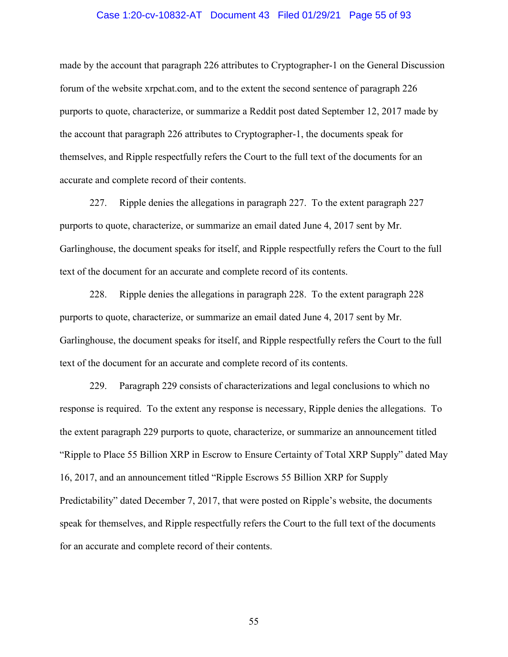## Case 1:20-cv-10832-AT Document 43 Filed 01/29/21 Page 55 of 93

made by the account that paragraph 226 attributes to Cryptographer-1 on the General Discussion forum of the website xrpchat.com, and to the extent the second sentence of paragraph 226 purports to quote, characterize, or summarize a Reddit post dated September 12, 2017 made by the account that paragraph 226 attributes to Cryptographer-1, the documents speak for themselves, and Ripple respectfully refers the Court to the full text of the documents for an accurate and complete record of their contents.

227. Ripple denies the allegations in paragraph 227. To the extent paragraph 227 purports to quote, characterize, or summarize an email dated June 4, 2017 sent by Mr. Garlinghouse, the document speaks for itself, and Ripple respectfully refers the Court to the full text of the document for an accurate and complete record of its contents.

228. Ripple denies the allegations in paragraph 228. To the extent paragraph 228 purports to quote, characterize, or summarize an email dated June 4, 2017 sent by Mr. Garlinghouse, the document speaks for itself, and Ripple respectfully refers the Court to the full text of the document for an accurate and complete record of its contents.

229. Paragraph 229 consists of characterizations and legal conclusions to which no response is required. To the extent any response is necessary, Ripple denies the allegations. To the extent paragraph 229 purports to quote, characterize, or summarize an announcement titled "Ripple to Place 55 Billion XRP in Escrow to Ensure Certainty of Total XRP Supply" dated May 16, 2017, and an announcement titled "Ripple Escrows 55 Billion XRP for Supply Predictability" dated December 7, 2017, that were posted on Ripple's website, the documents speak for themselves, and Ripple respectfully refers the Court to the full text of the documents for an accurate and complete record of their contents.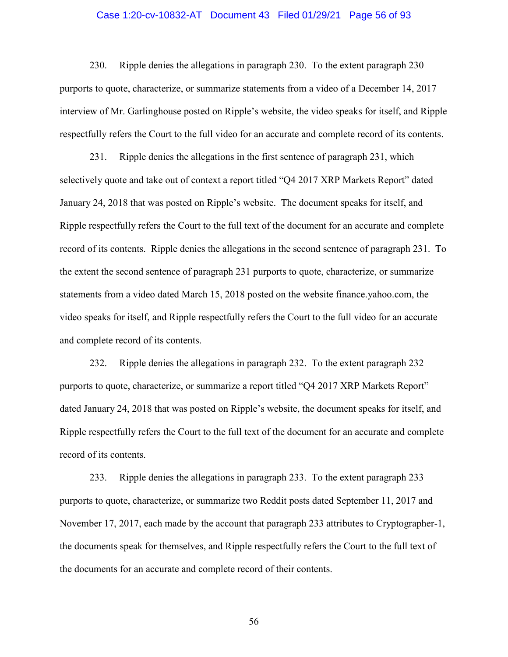## Case 1:20-cv-10832-AT Document 43 Filed 01/29/21 Page 56 of 93

230. Ripple denies the allegations in paragraph 230. To the extent paragraph 230 purports to quote, characterize, or summarize statements from a video of a December 14, 2017 interview of Mr. Garlinghouse posted on Ripple's website, the video speaks for itself, and Ripple respectfully refers the Court to the full video for an accurate and complete record of its contents.

231. Ripple denies the allegations in the first sentence of paragraph 231, which selectively quote and take out of context a report titled "Q4 2017 XRP Markets Report" dated January 24, 2018 that was posted on Ripple's website. The document speaks for itself, and Ripple respectfully refers the Court to the full text of the document for an accurate and complete record of its contents. Ripple denies the allegations in the second sentence of paragraph 231. To the extent the second sentence of paragraph 231 purports to quote, characterize, or summarize statements from a video dated March 15, 2018 posted on the website finance.yahoo.com, the video speaks for itself, and Ripple respectfully refers the Court to the full video for an accurate and complete record of its contents.

232. Ripple denies the allegations in paragraph 232. To the extent paragraph 232 purports to quote, characterize, or summarize a report titled "Q4 2017 XRP Markets Report" dated January 24, 2018 that was posted on Ripple's website, the document speaks for itself, and Ripple respectfully refers the Court to the full text of the document for an accurate and complete record of its contents.

233. Ripple denies the allegations in paragraph 233. To the extent paragraph 233 purports to quote, characterize, or summarize two Reddit posts dated September 11, 2017 and November 17, 2017, each made by the account that paragraph 233 attributes to Cryptographer-1, the documents speak for themselves, and Ripple respectfully refers the Court to the full text of the documents for an accurate and complete record of their contents.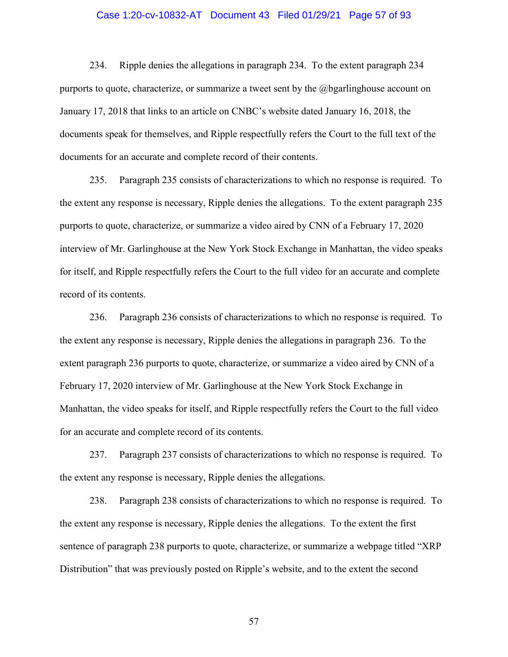## Case 1:20-cv-10832-AT Document 43 Filed 01/29/21 Page 57 of 93

234. Ripple denies the allegations in paragraph 234. To the extent paragraph 234 purports to quote, characterize, or summarize a tweet sent by the @bgarlinghouse account on January 17, 2018 that links to an article on CNBC's website dated January 16, 2018, the documents speak for themselves, and Ripple respectfully refers the Court to the full text of the documents for an accurate and complete record of their contents.

235. Paragraph 235 consists of characterizations to which no response is required. To the extent any response is necessary, Ripple denies the allegations. To the extent paragraph 235 purports to quote, characterize, or summarize a video aired by CNN of a February 17, 2020 interview of Mr. Garlinghouse at the New York Stock Exchange in Manhattan, the video speaks for itself, and Ripple respectfully refers the Court to the full video for an accurate and complete record of its contents.

236. Paragraph 236 consists of characterizations to which no response is required. To the extent any response is necessary, Ripple denies the allegations in paragraph 236. To the extent paragraph 236 purports to quote, characterize, or summarize a video aired by CNN of a February 17, 2020 interview of Mr. Garlinghouse at the New York Stock Exchange in Manhattan, the video speaks for itself, and Ripple respectfully refers the Court to the full video for an accurate and complete record of its contents.

237. Paragraph 237 consists of characterizations to which no response is required. To the extent any response is necessary, Ripple denies the allegations.

238. Paragraph 238 consists of characterizations to which no response is required. To the extent any response is necessary, Ripple denies the allegations. To the extent the first sentence of paragraph 238 purports to quote, characterize, or summarize a webpage titled "XRP Distribution" that was previously posted on Ripple's website, and to the extent the second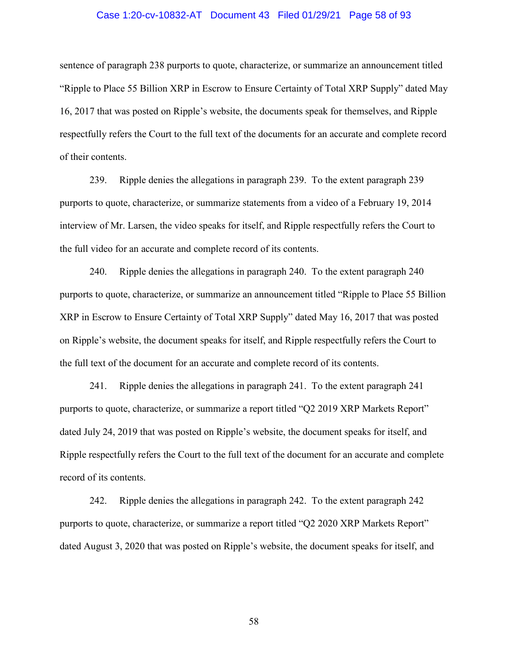## Case 1:20-cv-10832-AT Document 43 Filed 01/29/21 Page 58 of 93

sentence of paragraph 238 purports to quote, characterize, or summarize an announcement titled "Ripple to Place 55 Billion XRP in Escrow to Ensure Certainty of Total XRP Supply" dated May 16, 2017 that was posted on Ripple's website, the documents speak for themselves, and Ripple respectfully refers the Court to the full text of the documents for an accurate and complete record of their contents.

239. Ripple denies the allegations in paragraph 239. To the extent paragraph 239 purports to quote, characterize, or summarize statements from a video of a February 19, 2014 interview of Mr. Larsen, the video speaks for itself, and Ripple respectfully refers the Court to the full video for an accurate and complete record of its contents.

240. Ripple denies the allegations in paragraph 240. To the extent paragraph 240 purports to quote, characterize, or summarize an announcement titled "Ripple to Place 55 Billion XRP in Escrow to Ensure Certainty of Total XRP Supply" dated May 16, 2017 that was posted on Ripple's website, the document speaks for itself, and Ripple respectfully refers the Court to the full text of the document for an accurate and complete record of its contents.

241. Ripple denies the allegations in paragraph 241. To the extent paragraph 241 purports to quote, characterize, or summarize a report titled "Q2 2019 XRP Markets Report" dated July 24, 2019 that was posted on Ripple's website, the document speaks for itself, and Ripple respectfully refers the Court to the full text of the document for an accurate and complete record of its contents.

242. Ripple denies the allegations in paragraph 242. To the extent paragraph 242 purports to quote, characterize, or summarize a report titled "Q2 2020 XRP Markets Report" dated August 3, 2020 that was posted on Ripple's website, the document speaks for itself, and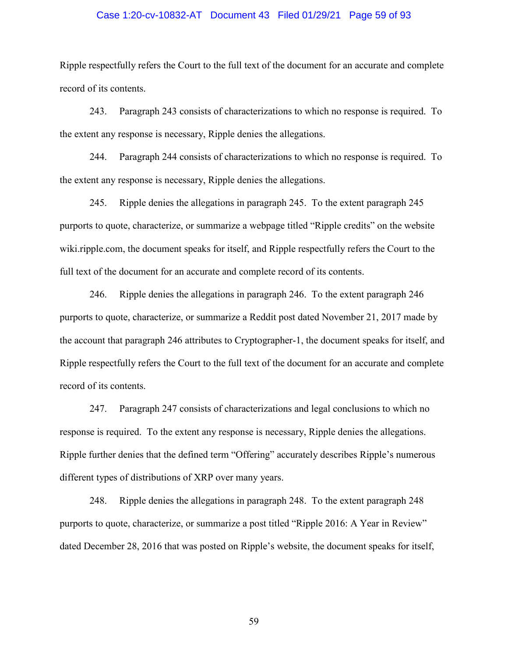## Case 1:20-cv-10832-AT Document 43 Filed 01/29/21 Page 59 of 93

Ripple respectfully refers the Court to the full text of the document for an accurate and complete record of its contents.

243. Paragraph 243 consists of characterizations to which no response is required. To the extent any response is necessary, Ripple denies the allegations.

244. Paragraph 244 consists of characterizations to which no response is required. To the extent any response is necessary, Ripple denies the allegations.

245. Ripple denies the allegations in paragraph 245. To the extent paragraph 245 purports to quote, characterize, or summarize a webpage titled "Ripple credits" on the website wiki.ripple.com, the document speaks for itself, and Ripple respectfully refers the Court to the full text of the document for an accurate and complete record of its contents.

246. Ripple denies the allegations in paragraph 246. To the extent paragraph 246 purports to quote, characterize, or summarize a Reddit post dated November 21, 2017 made by the account that paragraph 246 attributes to Cryptographer-1, the document speaks for itself, and Ripple respectfully refers the Court to the full text of the document for an accurate and complete record of its contents.

247. Paragraph 247 consists of characterizations and legal conclusions to which no response is required. To the extent any response is necessary, Ripple denies the allegations. Ripple further denies that the defined term "Offering" accurately describes Ripple's numerous different types of distributions of XRP over many years.

248. Ripple denies the allegations in paragraph 248. To the extent paragraph 248 purports to quote, characterize, or summarize a post titled "Ripple 2016: A Year in Review" dated December 28, 2016 that was posted on Ripple's website, the document speaks for itself,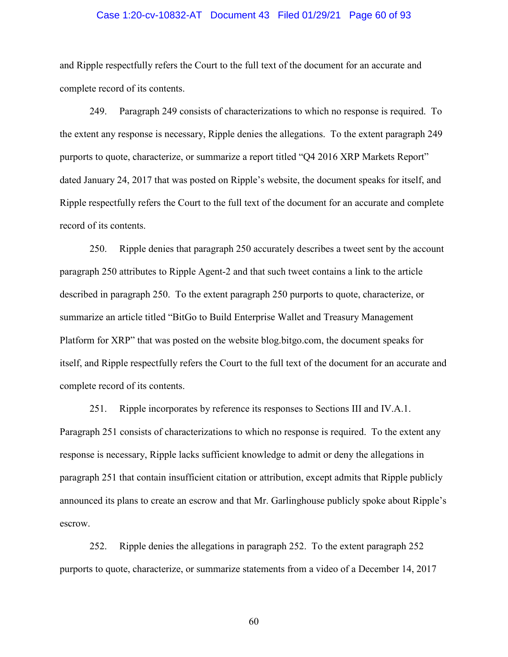## Case 1:20-cv-10832-AT Document 43 Filed 01/29/21 Page 60 of 93

and Ripple respectfully refers the Court to the full text of the document for an accurate and complete record of its contents.

249. Paragraph 249 consists of characterizations to which no response is required. To the extent any response is necessary, Ripple denies the allegations. To the extent paragraph 249 purports to quote, characterize, or summarize a report titled "Q4 2016 XRP Markets Report" dated January 24, 2017 that was posted on Ripple's website, the document speaks for itself, and Ripple respectfully refers the Court to the full text of the document for an accurate and complete record of its contents.

250. Ripple denies that paragraph 250 accurately describes a tweet sent by the account paragraph 250 attributes to Ripple Agent-2 and that such tweet contains a link to the article described in paragraph 250. To the extent paragraph 250 purports to quote, characterize, or summarize an article titled "BitGo to Build Enterprise Wallet and Treasury Management Platform for XRP" that was posted on the website blog.bitgo.com, the document speaks for itself, and Ripple respectfully refers the Court to the full text of the document for an accurate and complete record of its contents.

251. Ripple incorporates by reference its responses to Sections III and IV.A.1. Paragraph 251 consists of characterizations to which no response is required. To the extent any response is necessary, Ripple lacks sufficient knowledge to admit or deny the allegations in paragraph 251 that contain insufficient citation or attribution, except admits that Ripple publicly announced its plans to create an escrow and that Mr. Garlinghouse publicly spoke about Ripple's escrow.

252. Ripple denies the allegations in paragraph 252. To the extent paragraph 252 purports to quote, characterize, or summarize statements from a video of a December 14, 2017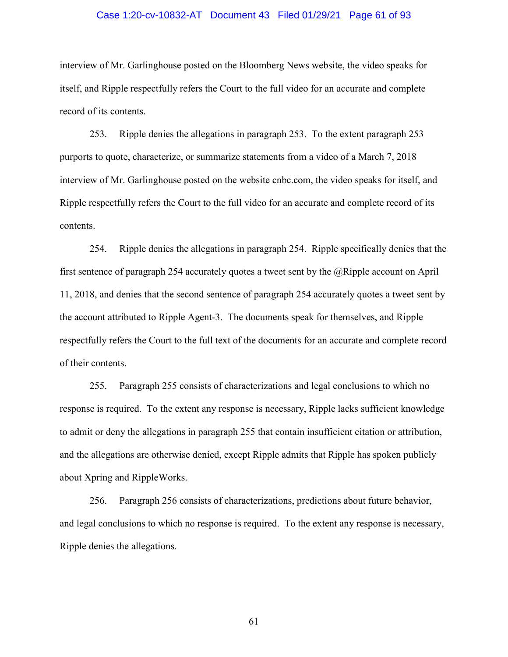## Case 1:20-cv-10832-AT Document 43 Filed 01/29/21 Page 61 of 93

interview of Mr. Garlinghouse posted on the Bloomberg News website, the video speaks for itself, and Ripple respectfully refers the Court to the full video for an accurate and complete record of its contents.

253. Ripple denies the allegations in paragraph 253. To the extent paragraph 253 purports to quote, characterize, or summarize statements from a video of a March 7, 2018 interview of Mr. Garlinghouse posted on the website cnbc.com, the video speaks for itself, and Ripple respectfully refers the Court to the full video for an accurate and complete record of its contents.

254. Ripple denies the allegations in paragraph 254. Ripple specifically denies that the first sentence of paragraph 254 accurately quotes a tweet sent by the  $\omega$ Ripple account on April 11, 2018, and denies that the second sentence of paragraph 254 accurately quotes a tweet sent by the account attributed to Ripple Agent-3. The documents speak for themselves, and Ripple respectfully refers the Court to the full text of the documents for an accurate and complete record of their contents.

255. Paragraph 255 consists of characterizations and legal conclusions to which no response is required. To the extent any response is necessary, Ripple lacks sufficient knowledge to admit or deny the allegations in paragraph 255 that contain insufficient citation or attribution, and the allegations are otherwise denied, except Ripple admits that Ripple has spoken publicly about Xpring and RippleWorks.

256. Paragraph 256 consists of characterizations, predictions about future behavior, and legal conclusions to which no response is required. To the extent any response is necessary, Ripple denies the allegations.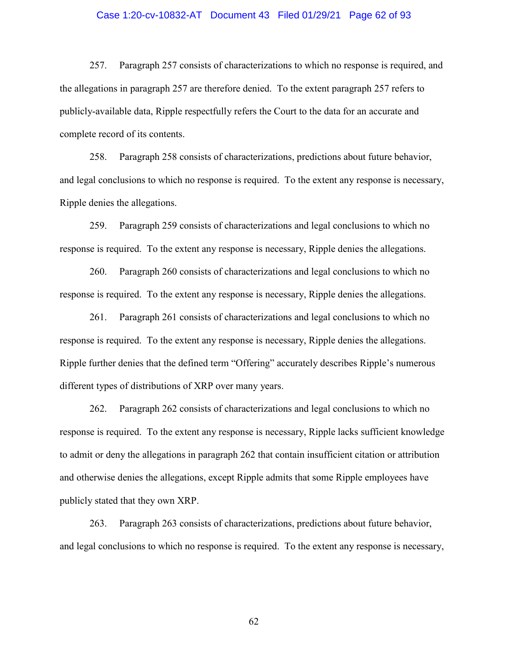## Case 1:20-cv-10832-AT Document 43 Filed 01/29/21 Page 62 of 93

257. Paragraph 257 consists of characterizations to which no response is required, and the allegations in paragraph 257 are therefore denied. To the extent paragraph 257 refers to publicly-available data, Ripple respectfully refers the Court to the data for an accurate and complete record of its contents.

258. Paragraph 258 consists of characterizations, predictions about future behavior, and legal conclusions to which no response is required. To the extent any response is necessary, Ripple denies the allegations.

259. Paragraph 259 consists of characterizations and legal conclusions to which no response is required. To the extent any response is necessary, Ripple denies the allegations.

260. Paragraph 260 consists of characterizations and legal conclusions to which no response is required. To the extent any response is necessary, Ripple denies the allegations.

261. Paragraph 261 consists of characterizations and legal conclusions to which no response is required. To the extent any response is necessary, Ripple denies the allegations. Ripple further denies that the defined term "Offering" accurately describes Ripple's numerous different types of distributions of XRP over many years.

262. Paragraph 262 consists of characterizations and legal conclusions to which no response is required. To the extent any response is necessary, Ripple lacks sufficient knowledge to admit or deny the allegations in paragraph 262 that contain insufficient citation or attribution and otherwise denies the allegations, except Ripple admits that some Ripple employees have publicly stated that they own XRP.

263. Paragraph 263 consists of characterizations, predictions about future behavior, and legal conclusions to which no response is required. To the extent any response is necessary,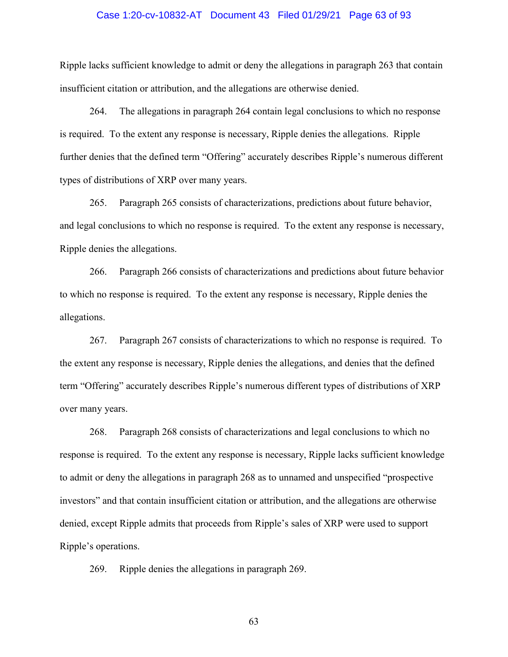## Case 1:20-cv-10832-AT Document 43 Filed 01/29/21 Page 63 of 93

Ripple lacks sufficient knowledge to admit or deny the allegations in paragraph 263 that contain insufficient citation or attribution, and the allegations are otherwise denied.

264. The allegations in paragraph 264 contain legal conclusions to which no response is required. To the extent any response is necessary, Ripple denies the allegations. Ripple further denies that the defined term "Offering" accurately describes Ripple's numerous different types of distributions of XRP over many years.

265. Paragraph 265 consists of characterizations, predictions about future behavior, and legal conclusions to which no response is required. To the extent any response is necessary, Ripple denies the allegations.

266. Paragraph 266 consists of characterizations and predictions about future behavior to which no response is required. To the extent any response is necessary, Ripple denies the allegations.

267. Paragraph 267 consists of characterizations to which no response is required. To the extent any response is necessary, Ripple denies the allegations, and denies that the defined term "Offering" accurately describes Ripple's numerous different types of distributions of XRP over many years.

268. Paragraph 268 consists of characterizations and legal conclusions to which no response is required. To the extent any response is necessary, Ripple lacks sufficient knowledge to admit or deny the allegations in paragraph 268 as to unnamed and unspecified "prospective investors" and that contain insufficient citation or attribution, and the allegations are otherwise denied, except Ripple admits that proceeds from Ripple's sales of XRP were used to support Ripple's operations.

269. Ripple denies the allegations in paragraph 269.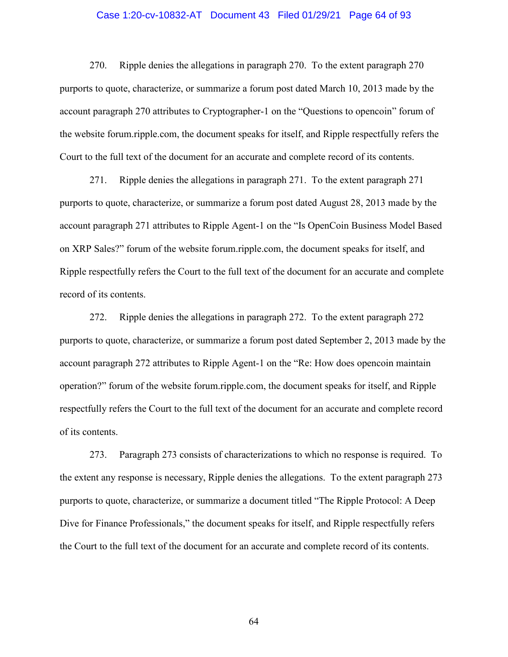## Case 1:20-cv-10832-AT Document 43 Filed 01/29/21 Page 64 of 93

270. Ripple denies the allegations in paragraph 270. To the extent paragraph 270 purports to quote, characterize, or summarize a forum post dated March 10, 2013 made by the account paragraph 270 attributes to Cryptographer-1 on the "Questions to opencoin" forum of the website forum.ripple.com, the document speaks for itself, and Ripple respectfully refers the Court to the full text of the document for an accurate and complete record of its contents.

271. Ripple denies the allegations in paragraph 271. To the extent paragraph 271 purports to quote, characterize, or summarize a forum post dated August 28, 2013 made by the account paragraph 271 attributes to Ripple Agent-1 on the "Is OpenCoin Business Model Based on XRP Sales?" forum of the website forum.ripple.com, the document speaks for itself, and Ripple respectfully refers the Court to the full text of the document for an accurate and complete record of its contents.

272. Ripple denies the allegations in paragraph 272. To the extent paragraph 272 purports to quote, characterize, or summarize a forum post dated September 2, 2013 made by the account paragraph 272 attributes to Ripple Agent-1 on the "Re: How does opencoin maintain operation?" forum of the website forum.ripple.com, the document speaks for itself, and Ripple respectfully refers the Court to the full text of the document for an accurate and complete record of its contents.

273. Paragraph 273 consists of characterizations to which no response is required. To the extent any response is necessary, Ripple denies the allegations. To the extent paragraph 273 purports to quote, characterize, or summarize a document titled "The Ripple Protocol: A Deep Dive for Finance Professionals," the document speaks for itself, and Ripple respectfully refers the Court to the full text of the document for an accurate and complete record of its contents.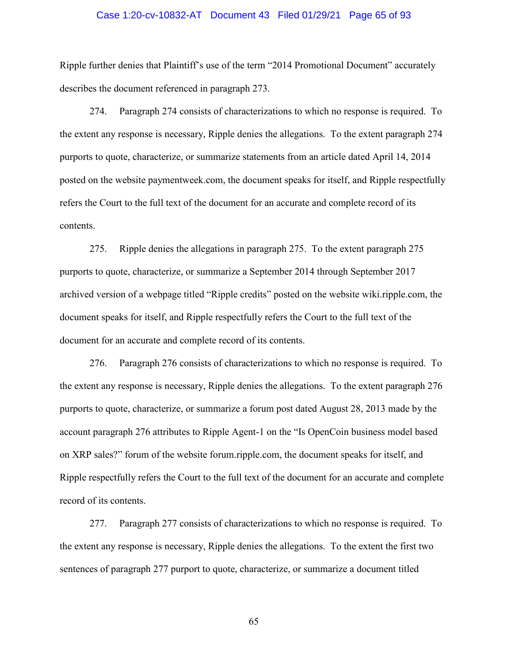## Case 1:20-cv-10832-AT Document 43 Filed 01/29/21 Page 65 of 93

Ripple further denies that Plaintiff's use of the term "2014 Promotional Document" accurately describes the document referenced in paragraph 273.

274. Paragraph 274 consists of characterizations to which no response is required. To the extent any response is necessary, Ripple denies the allegations. To the extent paragraph 274 purports to quote, characterize, or summarize statements from an article dated April 14, 2014 posted on the website paymentweek.com, the document speaks for itself, and Ripple respectfully refers the Court to the full text of the document for an accurate and complete record of its contents.

275. Ripple denies the allegations in paragraph 275. To the extent paragraph 275 purports to quote, characterize, or summarize a September 2014 through September 2017 archived version of a webpage titled "Ripple credits" posted on the website wiki.ripple.com, the document speaks for itself, and Ripple respectfully refers the Court to the full text of the document for an accurate and complete record of its contents.

276. Paragraph 276 consists of characterizations to which no response is required. To the extent any response is necessary, Ripple denies the allegations. To the extent paragraph 276 purports to quote, characterize, or summarize a forum post dated August 28, 2013 made by the account paragraph 276 attributes to Ripple Agent-1 on the "Is OpenCoin business model based on XRP sales?" forum of the website forum.ripple.com, the document speaks for itself, and Ripple respectfully refers the Court to the full text of the document for an accurate and complete record of its contents.

277. Paragraph 277 consists of characterizations to which no response is required. To the extent any response is necessary, Ripple denies the allegations. To the extent the first two sentences of paragraph 277 purport to quote, characterize, or summarize a document titled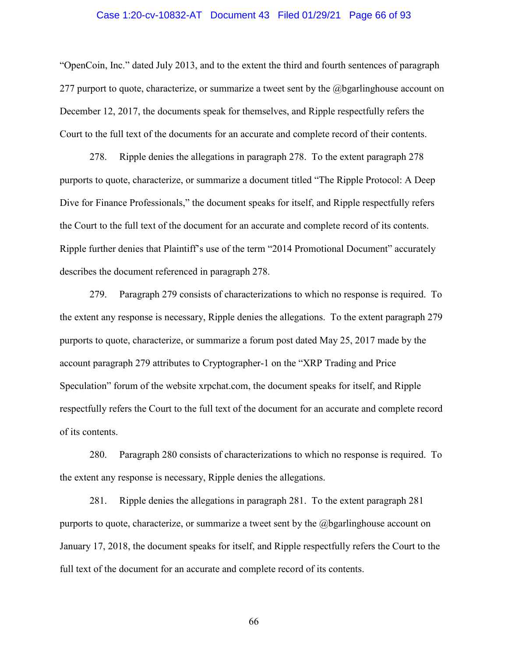## Case 1:20-cv-10832-AT Document 43 Filed 01/29/21 Page 66 of 93

"OpenCoin, Inc." dated July 2013, and to the extent the third and fourth sentences of paragraph 277 purport to quote, characterize, or summarize a tweet sent by the  $@$  begarlinghouse account on December 12, 2017, the documents speak for themselves, and Ripple respectfully refers the Court to the full text of the documents for an accurate and complete record of their contents.

278. Ripple denies the allegations in paragraph 278. To the extent paragraph 278 purports to quote, characterize, or summarize a document titled "The Ripple Protocol: A Deep Dive for Finance Professionals," the document speaks for itself, and Ripple respectfully refers the Court to the full text of the document for an accurate and complete record of its contents. Ripple further denies that Plaintiff's use of the term "2014 Promotional Document" accurately describes the document referenced in paragraph 278.

279. Paragraph 279 consists of characterizations to which no response is required. To the extent any response is necessary, Ripple denies the allegations. To the extent paragraph 279 purports to quote, characterize, or summarize a forum post dated May 25, 2017 made by the account paragraph 279 attributes to Cryptographer-1 on the "XRP Trading and Price Speculation" forum of the website xrpchat.com, the document speaks for itself, and Ripple respectfully refers the Court to the full text of the document for an accurate and complete record of its contents.

280. Paragraph 280 consists of characterizations to which no response is required. To the extent any response is necessary, Ripple denies the allegations.

281. Ripple denies the allegations in paragraph 281. To the extent paragraph 281 purports to quote, characterize, or summarize a tweet sent by the @bgarlinghouse account on January 17, 2018, the document speaks for itself, and Ripple respectfully refers the Court to the full text of the document for an accurate and complete record of its contents.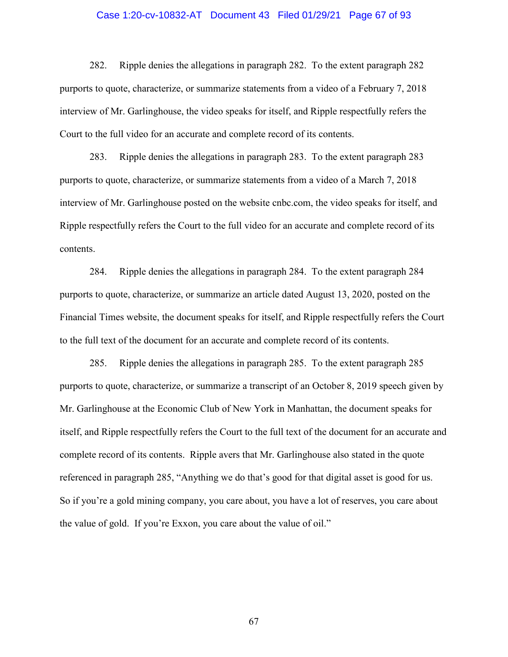## Case 1:20-cv-10832-AT Document 43 Filed 01/29/21 Page 67 of 93

282. Ripple denies the allegations in paragraph 282. To the extent paragraph 282 purports to quote, characterize, or summarize statements from a video of a February 7, 2018 interview of Mr. Garlinghouse, the video speaks for itself, and Ripple respectfully refers the Court to the full video for an accurate and complete record of its contents.

283. Ripple denies the allegations in paragraph 283. To the extent paragraph 283 purports to quote, characterize, or summarize statements from a video of a March 7, 2018 interview of Mr. Garlinghouse posted on the website cnbc.com, the video speaks for itself, and Ripple respectfully refers the Court to the full video for an accurate and complete record of its contents.

284. Ripple denies the allegations in paragraph 284. To the extent paragraph 284 purports to quote, characterize, or summarize an article dated August 13, 2020, posted on the Financial Times website, the document speaks for itself, and Ripple respectfully refers the Court to the full text of the document for an accurate and complete record of its contents.

285. Ripple denies the allegations in paragraph 285. To the extent paragraph 285 purports to quote, characterize, or summarize a transcript of an October 8, 2019 speech given by Mr. Garlinghouse at the Economic Club of New York in Manhattan, the document speaks for itself, and Ripple respectfully refers the Court to the full text of the document for an accurate and complete record of its contents. Ripple avers that Mr. Garlinghouse also stated in the quote referenced in paragraph 285, "Anything we do that's good for that digital asset is good for us. So if you're a gold mining company, you care about, you have a lot of reserves, you care about the value of gold. If you're Exxon, you care about the value of oil."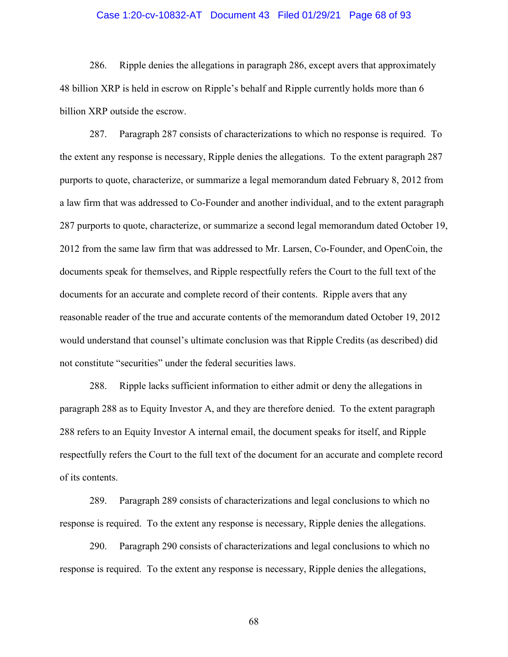# Case 1:20-cv-10832-AT Document 43 Filed 01/29/21 Page 68 of 93

286. Ripple denies the allegations in paragraph 286, except avers that approximately 48 billion XRP is held in escrow on Ripple's behalf and Ripple currently holds more than 6 billion XRP outside the escrow.

287. Paragraph 287 consists of characterizations to which no response is required. To the extent any response is necessary, Ripple denies the allegations. To the extent paragraph 287 purports to quote, characterize, or summarize a legal memorandum dated February 8, 2012 from a law firm that was addressed to Co-Founder and another individual, and to the extent paragraph 287 purports to quote, characterize, or summarize a second legal memorandum dated October 19, 2012 from the same law firm that was addressed to Mr. Larsen, Co-Founder, and OpenCoin, the documents speak for themselves, and Ripple respectfully refers the Court to the full text of the documents for an accurate and complete record of their contents. Ripple avers that any reasonable reader of the true and accurate contents of the memorandum dated October 19, 2012 would understand that counsel's ultimate conclusion was that Ripple Credits (as described) did not constitute "securities" under the federal securities laws.

288. Ripple lacks sufficient information to either admit or deny the allegations in paragraph 288 as to Equity Investor A, and they are therefore denied. To the extent paragraph 288 refers to an Equity Investor A internal email, the document speaks for itself, and Ripple respectfully refers the Court to the full text of the document for an accurate and complete record of its contents.

289. Paragraph 289 consists of characterizations and legal conclusions to which no response is required. To the extent any response is necessary, Ripple denies the allegations.

290. Paragraph 290 consists of characterizations and legal conclusions to which no response is required. To the extent any response is necessary, Ripple denies the allegations,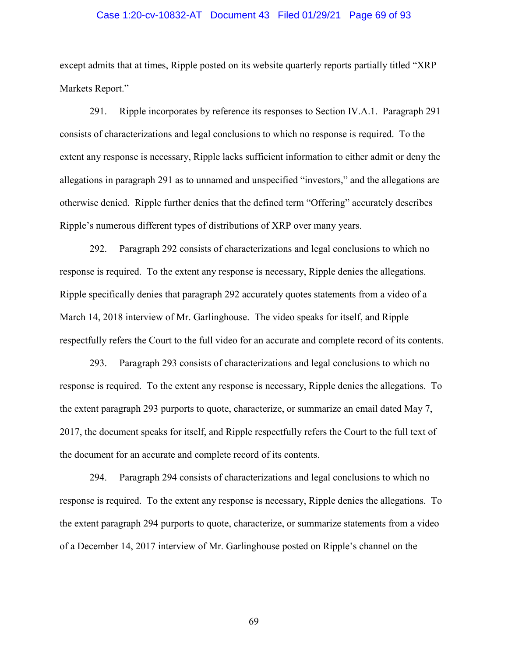## Case 1:20-cv-10832-AT Document 43 Filed 01/29/21 Page 69 of 93

except admits that at times, Ripple posted on its website quarterly reports partially titled "XRP Markets Report."

291. Ripple incorporates by reference its responses to Section IV.A.1. Paragraph 291 consists of characterizations and legal conclusions to which no response is required. To the extent any response is necessary, Ripple lacks sufficient information to either admit or deny the allegations in paragraph 291 as to unnamed and unspecified "investors," and the allegations are otherwise denied. Ripple further denies that the defined term "Offering" accurately describes Ripple's numerous different types of distributions of XRP over many years.

292. Paragraph 292 consists of characterizations and legal conclusions to which no response is required. To the extent any response is necessary, Ripple denies the allegations. Ripple specifically denies that paragraph 292 accurately quotes statements from a video of a March 14, 2018 interview of Mr. Garlinghouse. The video speaks for itself, and Ripple respectfully refers the Court to the full video for an accurate and complete record of its contents.

293. Paragraph 293 consists of characterizations and legal conclusions to which no response is required. To the extent any response is necessary, Ripple denies the allegations. To the extent paragraph 293 purports to quote, characterize, or summarize an email dated May 7, 2017, the document speaks for itself, and Ripple respectfully refers the Court to the full text of the document for an accurate and complete record of its contents.

294. Paragraph 294 consists of characterizations and legal conclusions to which no response is required. To the extent any response is necessary, Ripple denies the allegations. To the extent paragraph 294 purports to quote, characterize, or summarize statements from a video of a December 14, 2017 interview of Mr. Garlinghouse posted on Ripple's channel on the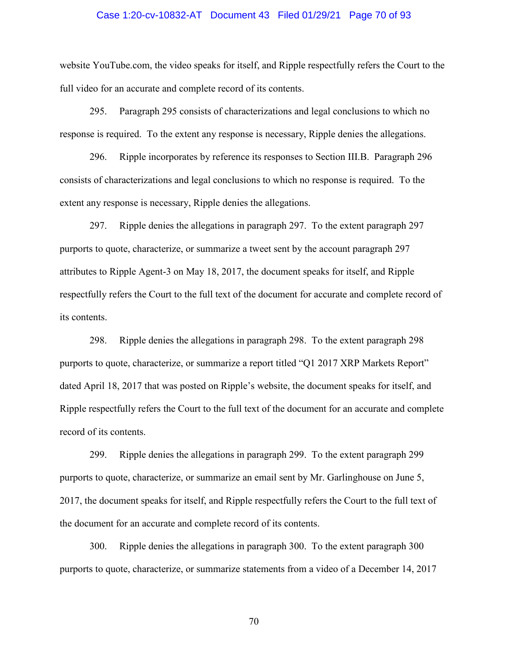## Case 1:20-cv-10832-AT Document 43 Filed 01/29/21 Page 70 of 93

website YouTube.com, the video speaks for itself, and Ripple respectfully refers the Court to the full video for an accurate and complete record of its contents.

295. Paragraph 295 consists of characterizations and legal conclusions to which no response is required. To the extent any response is necessary, Ripple denies the allegations.

296. Ripple incorporates by reference its responses to Section III.B. Paragraph 296 consists of characterizations and legal conclusions to which no response is required. To the extent any response is necessary, Ripple denies the allegations.

297. Ripple denies the allegations in paragraph 297. To the extent paragraph 297 purports to quote, characterize, or summarize a tweet sent by the account paragraph 297 attributes to Ripple Agent-3 on May 18, 2017, the document speaks for itself, and Ripple respectfully refers the Court to the full text of the document for accurate and complete record of its contents.

298. Ripple denies the allegations in paragraph 298. To the extent paragraph 298 purports to quote, characterize, or summarize a report titled "Q1 2017 XRP Markets Report" dated April 18, 2017 that was posted on Ripple's website, the document speaks for itself, and Ripple respectfully refers the Court to the full text of the document for an accurate and complete record of its contents.

299. Ripple denies the allegations in paragraph 299. To the extent paragraph 299 purports to quote, characterize, or summarize an email sent by Mr. Garlinghouse on June 5, 2017, the document speaks for itself, and Ripple respectfully refers the Court to the full text of the document for an accurate and complete record of its contents.

300. Ripple denies the allegations in paragraph 300. To the extent paragraph 300 purports to quote, characterize, or summarize statements from a video of a December 14, 2017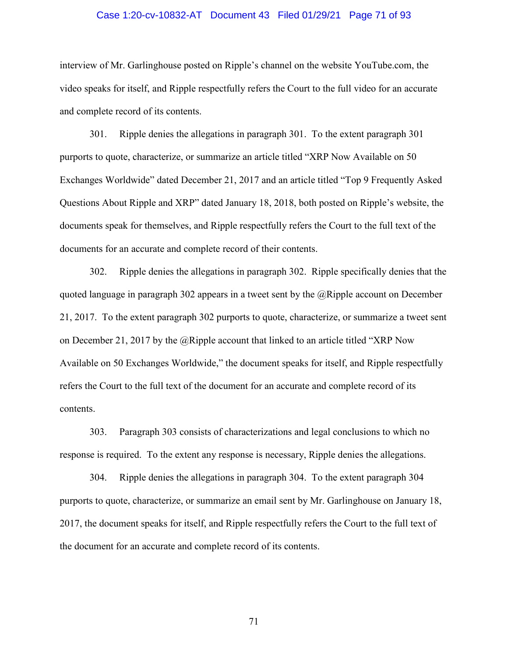## Case 1:20-cv-10832-AT Document 43 Filed 01/29/21 Page 71 of 93

interview of Mr. Garlinghouse posted on Ripple's channel on the website YouTube.com, the video speaks for itself, and Ripple respectfully refers the Court to the full video for an accurate and complete record of its contents.

301. Ripple denies the allegations in paragraph 301. To the extent paragraph 301 purports to quote, characterize, or summarize an article titled "XRP Now Available on 50 Exchanges Worldwide" dated December 21, 2017 and an article titled "Top 9 Frequently Asked Questions About Ripple and XRP" dated January 18, 2018, both posted on Ripple's website, the documents speak for themselves, and Ripple respectfully refers the Court to the full text of the documents for an accurate and complete record of their contents.

302. Ripple denies the allegations in paragraph 302. Ripple specifically denies that the quoted language in paragraph 302 appears in a tweet sent by the  $(a)$ Ripple account on December 21, 2017. To the extent paragraph 302 purports to quote, characterize, or summarize a tweet sent on December 21, 2017 by the @Ripple account that linked to an article titled "XRP Now Available on 50 Exchanges Worldwide," the document speaks for itself, and Ripple respectfully refers the Court to the full text of the document for an accurate and complete record of its contents.

303. Paragraph 303 consists of characterizations and legal conclusions to which no response is required. To the extent any response is necessary, Ripple denies the allegations.

304. Ripple denies the allegations in paragraph 304. To the extent paragraph 304 purports to quote, characterize, or summarize an email sent by Mr. Garlinghouse on January 18, 2017, the document speaks for itself, and Ripple respectfully refers the Court to the full text of the document for an accurate and complete record of its contents.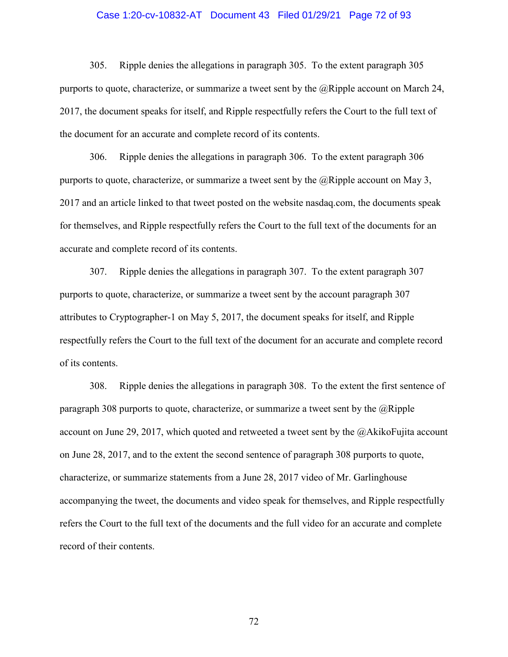## Case 1:20-cv-10832-AT Document 43 Filed 01/29/21 Page 72 of 93

305. Ripple denies the allegations in paragraph 305. To the extent paragraph 305 purports to quote, characterize, or summarize a tweet sent by the @Ripple account on March 24, 2017, the document speaks for itself, and Ripple respectfully refers the Court to the full text of the document for an accurate and complete record of its contents.

306. Ripple denies the allegations in paragraph 306. To the extent paragraph 306 purports to quote, characterize, or summarize a tweet sent by the  $(a)$ Ripple account on May 3, 2017 and an article linked to that tweet posted on the website nasdaq.com, the documents speak for themselves, and Ripple respectfully refers the Court to the full text of the documents for an accurate and complete record of its contents.

307. Ripple denies the allegations in paragraph 307. To the extent paragraph 307 purports to quote, characterize, or summarize a tweet sent by the account paragraph 307 attributes to Cryptographer-1 on May 5, 2017, the document speaks for itself, and Ripple respectfully refers the Court to the full text of the document for an accurate and complete record of its contents.

308. Ripple denies the allegations in paragraph 308. To the extent the first sentence of paragraph 308 purports to quote, characterize, or summarize a tweet sent by the  $\omega$ Ripple account on June 29, 2017, which quoted and retweeted a tweet sent by the @AkikoFujita account on June 28, 2017, and to the extent the second sentence of paragraph 308 purports to quote, characterize, or summarize statements from a June 28, 2017 video of Mr. Garlinghouse accompanying the tweet, the documents and video speak for themselves, and Ripple respectfully refers the Court to the full text of the documents and the full video for an accurate and complete record of their contents.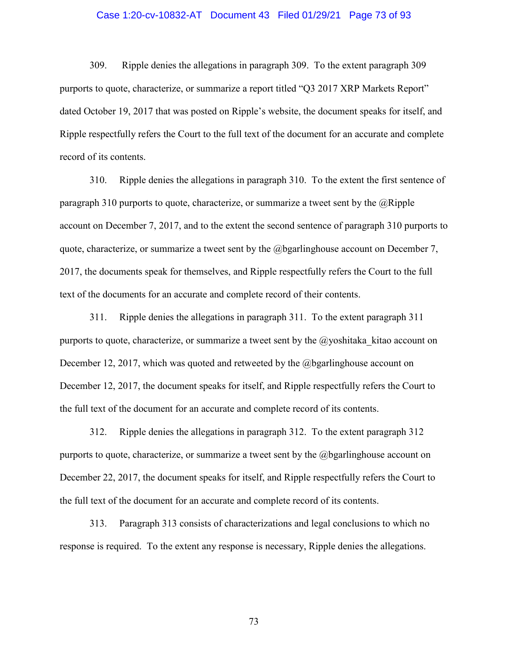### Case 1:20-cv-10832-AT Document 43 Filed 01/29/21 Page 73 of 93

309. Ripple denies the allegations in paragraph 309. To the extent paragraph 309 purports to quote, characterize, or summarize a report titled "Q3 2017 XRP Markets Report" dated October 19, 2017 that was posted on Ripple's website, the document speaks for itself, and Ripple respectfully refers the Court to the full text of the document for an accurate and complete record of its contents.

310. Ripple denies the allegations in paragraph 310. To the extent the first sentence of paragraph 310 purports to quote, characterize, or summarize a tweet sent by the  $@Ripple$ account on December 7, 2017, and to the extent the second sentence of paragraph 310 purports to quote, characterize, or summarize a tweet sent by the @bgarlinghouse account on December 7, 2017, the documents speak for themselves, and Ripple respectfully refers the Court to the full text of the documents for an accurate and complete record of their contents.

311. Ripple denies the allegations in paragraph 311. To the extent paragraph 311 purports to quote, characterize, or summarize a tweet sent by the  $\omega$  yoshitaka kitao account on December 12, 2017, which was quoted and retweeted by the  $@$  begaringhouse account on December 12, 2017, the document speaks for itself, and Ripple respectfully refers the Court to the full text of the document for an accurate and complete record of its contents.

312. Ripple denies the allegations in paragraph 312. To the extent paragraph 312 purports to quote, characterize, or summarize a tweet sent by the @bgarlinghouse account on December 22, 2017, the document speaks for itself, and Ripple respectfully refers the Court to the full text of the document for an accurate and complete record of its contents.

313. Paragraph 313 consists of characterizations and legal conclusions to which no response is required. To the extent any response is necessary, Ripple denies the allegations.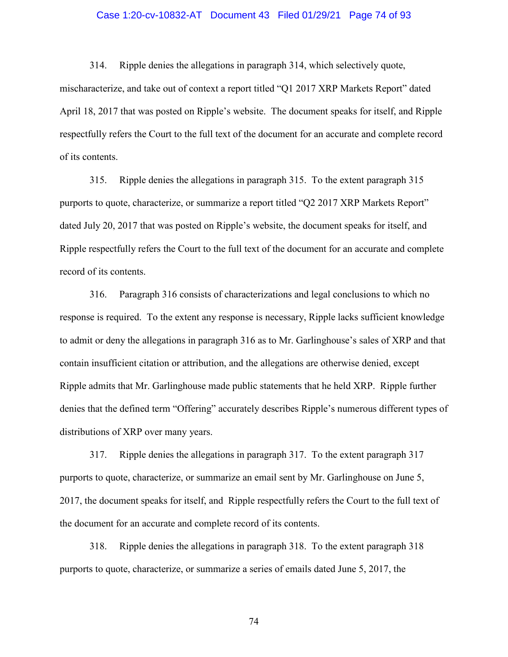## Case 1:20-cv-10832-AT Document 43 Filed 01/29/21 Page 74 of 93

314. Ripple denies the allegations in paragraph 314, which selectively quote, mischaracterize, and take out of context a report titled "Q1 2017 XRP Markets Report" dated April 18, 2017 that was posted on Ripple's website. The document speaks for itself, and Ripple respectfully refers the Court to the full text of the document for an accurate and complete record of its contents.

315. Ripple denies the allegations in paragraph 315. To the extent paragraph 315 purports to quote, characterize, or summarize a report titled "Q2 2017 XRP Markets Report" dated July 20, 2017 that was posted on Ripple's website, the document speaks for itself, and Ripple respectfully refers the Court to the full text of the document for an accurate and complete record of its contents.

316. Paragraph 316 consists of characterizations and legal conclusions to which no response is required. To the extent any response is necessary, Ripple lacks sufficient knowledge to admit or deny the allegations in paragraph 316 as to Mr. Garlinghouse's sales of XRP and that contain insufficient citation or attribution, and the allegations are otherwise denied, except Ripple admits that Mr. Garlinghouse made public statements that he held XRP. Ripple further denies that the defined term "Offering" accurately describes Ripple's numerous different types of distributions of XRP over many years.

317. Ripple denies the allegations in paragraph 317. To the extent paragraph 317 purports to quote, characterize, or summarize an email sent by Mr. Garlinghouse on June 5, 2017, the document speaks for itself, and Ripple respectfully refers the Court to the full text of the document for an accurate and complete record of its contents.

318. Ripple denies the allegations in paragraph 318. To the extent paragraph 318 purports to quote, characterize, or summarize a series of emails dated June 5, 2017, the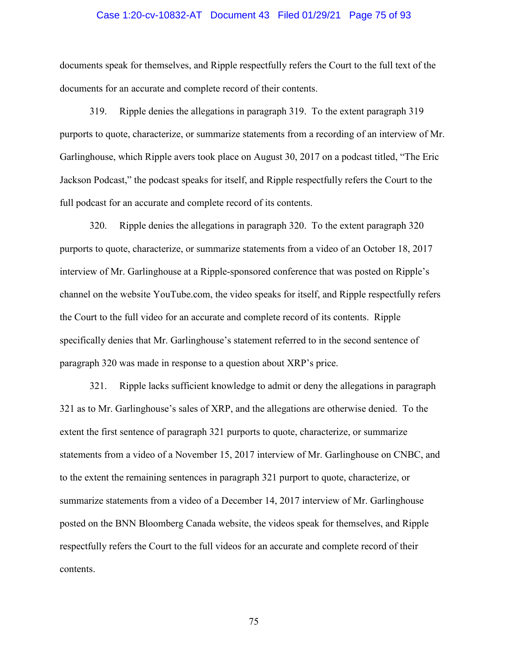### Case 1:20-cv-10832-AT Document 43 Filed 01/29/21 Page 75 of 93

documents speak for themselves, and Ripple respectfully refers the Court to the full text of the documents for an accurate and complete record of their contents.

319. Ripple denies the allegations in paragraph 319. To the extent paragraph 319 purports to quote, characterize, or summarize statements from a recording of an interview of Mr. Garlinghouse, which Ripple avers took place on August 30, 2017 on a podcast titled, "The Eric Jackson Podcast," the podcast speaks for itself, and Ripple respectfully refers the Court to the full podcast for an accurate and complete record of its contents.

320. Ripple denies the allegations in paragraph 320. To the extent paragraph 320 purports to quote, characterize, or summarize statements from a video of an October 18, 2017 interview of Mr. Garlinghouse at a Ripple-sponsored conference that was posted on Ripple's channel on the website YouTube.com, the video speaks for itself, and Ripple respectfully refers the Court to the full video for an accurate and complete record of its contents. Ripple specifically denies that Mr. Garlinghouse's statement referred to in the second sentence of paragraph 320 was made in response to a question about XRP's price.

321. Ripple lacks sufficient knowledge to admit or deny the allegations in paragraph 321 as to Mr. Garlinghouse's sales of XRP, and the allegations are otherwise denied. To the extent the first sentence of paragraph 321 purports to quote, characterize, or summarize statements from a video of a November 15, 2017 interview of Mr. Garlinghouse on CNBC, and to the extent the remaining sentences in paragraph 321 purport to quote, characterize, or summarize statements from a video of a December 14, 2017 interview of Mr. Garlinghouse posted on the BNN Bloomberg Canada website, the videos speak for themselves, and Ripple respectfully refers the Court to the full videos for an accurate and complete record of their contents.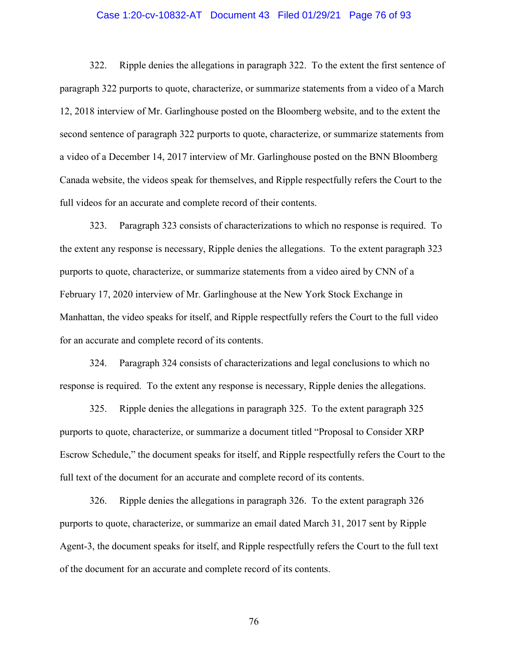## Case 1:20-cv-10832-AT Document 43 Filed 01/29/21 Page 76 of 93

322. Ripple denies the allegations in paragraph 322. To the extent the first sentence of paragraph 322 purports to quote, characterize, or summarize statements from a video of a March 12, 2018 interview of Mr. Garlinghouse posted on the Bloomberg website, and to the extent the second sentence of paragraph 322 purports to quote, characterize, or summarize statements from a video of a December 14, 2017 interview of Mr. Garlinghouse posted on the BNN Bloomberg Canada website, the videos speak for themselves, and Ripple respectfully refers the Court to the full videos for an accurate and complete record of their contents.

323. Paragraph 323 consists of characterizations to which no response is required. To the extent any response is necessary, Ripple denies the allegations. To the extent paragraph 323 purports to quote, characterize, or summarize statements from a video aired by CNN of a February 17, 2020 interview of Mr. Garlinghouse at the New York Stock Exchange in Manhattan, the video speaks for itself, and Ripple respectfully refers the Court to the full video for an accurate and complete record of its contents.

324. Paragraph 324 consists of characterizations and legal conclusions to which no response is required. To the extent any response is necessary, Ripple denies the allegations.

325. Ripple denies the allegations in paragraph 325. To the extent paragraph 325 purports to quote, characterize, or summarize a document titled "Proposal to Consider XRP Escrow Schedule," the document speaks for itself, and Ripple respectfully refers the Court to the full text of the document for an accurate and complete record of its contents.

326. Ripple denies the allegations in paragraph 326. To the extent paragraph 326 purports to quote, characterize, or summarize an email dated March 31, 2017 sent by Ripple Agent-3, the document speaks for itself, and Ripple respectfully refers the Court to the full text of the document for an accurate and complete record of its contents.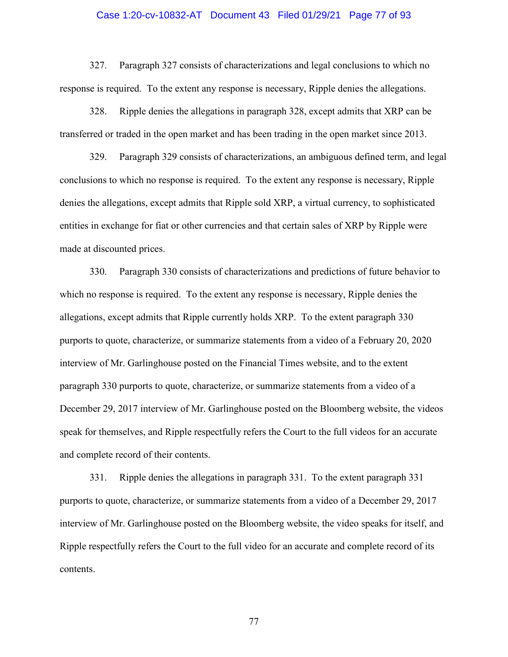#### Case 1:20-cv-10832-AT Document 43 Filed 01/29/21 Page 77 of 93

327. Paragraph 327 consists of characterizations and legal conclusions to which no response is required. To the extent any response is necessary, Ripple denies the allegations.

328. Ripple denies the allegations in paragraph 328, except admits that XRP can be transferred or traded in the open market and has been trading in the open market since 2013.

329. Paragraph 329 consists of characterizations, an ambiguous defined term, and legal conclusions to which no response is required. To the extent any response is necessary, Ripple denies the allegations, except admits that Ripple sold XRP, a virtual currency, to sophisticated entities in exchange for fiat or other currencies and that certain sales of XRP by Ripple were made at discounted prices.

330. Paragraph 330 consists of characterizations and predictions of future behavior to which no response is required. To the extent any response is necessary, Ripple denies the allegations, except admits that Ripple currently holds XRP. To the extent paragraph 330 purports to quote, characterize, or summarize statements from a video of a February 20, 2020 interview of Mr. Garlinghouse posted on the Financial Times website, and to the extent paragraph 330 purports to quote, characterize, or summarize statements from a video of a December 29, 2017 interview of Mr. Garlinghouse posted on the Bloomberg website, the videos speak for themselves, and Ripple respectfully refers the Court to the full videos for an accurate and complete record of their contents.

331. Ripple denies the allegations in paragraph 331. To the extent paragraph 331 purports to quote, characterize, or summarize statements from a video of a December 29, 2017 interview of Mr. Garlinghouse posted on the Bloomberg website, the video speaks for itself, and Ripple respectfully refers the Court to the full video for an accurate and complete record of its contents.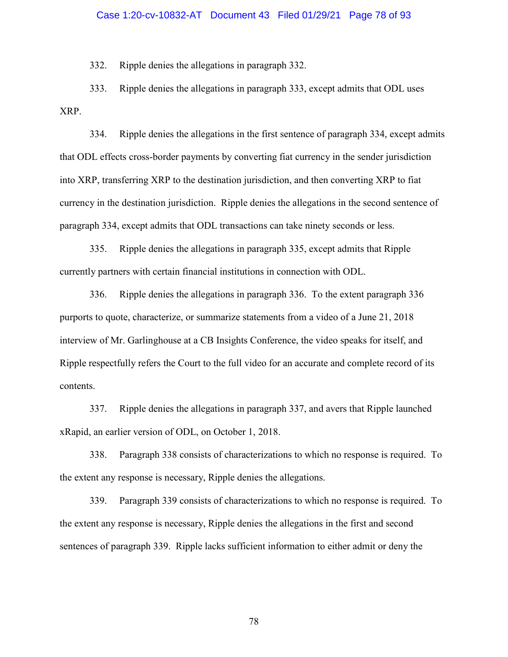### Case 1:20-cv-10832-AT Document 43 Filed 01/29/21 Page 78 of 93

332. Ripple denies the allegations in paragraph 332.

333. Ripple denies the allegations in paragraph 333, except admits that ODL uses XRP.

334. Ripple denies the allegations in the first sentence of paragraph 334, except admits that ODL effects cross-border payments by converting fiat currency in the sender jurisdiction into XRP, transferring XRP to the destination jurisdiction, and then converting XRP to fiat currency in the destination jurisdiction. Ripple denies the allegations in the second sentence of paragraph 334, except admits that ODL transactions can take ninety seconds or less.

335. Ripple denies the allegations in paragraph 335, except admits that Ripple currently partners with certain financial institutions in connection with ODL.

336. Ripple denies the allegations in paragraph 336. To the extent paragraph 336 purports to quote, characterize, or summarize statements from a video of a June 21, 2018 interview of Mr. Garlinghouse at a CB Insights Conference, the video speaks for itself, and Ripple respectfully refers the Court to the full video for an accurate and complete record of its contents.

337. Ripple denies the allegations in paragraph 337, and avers that Ripple launched xRapid, an earlier version of ODL, on October 1, 2018.

338. Paragraph 338 consists of characterizations to which no response is required. To the extent any response is necessary, Ripple denies the allegations.

339. Paragraph 339 consists of characterizations to which no response is required. To the extent any response is necessary, Ripple denies the allegations in the first and second sentences of paragraph 339. Ripple lacks sufficient information to either admit or deny the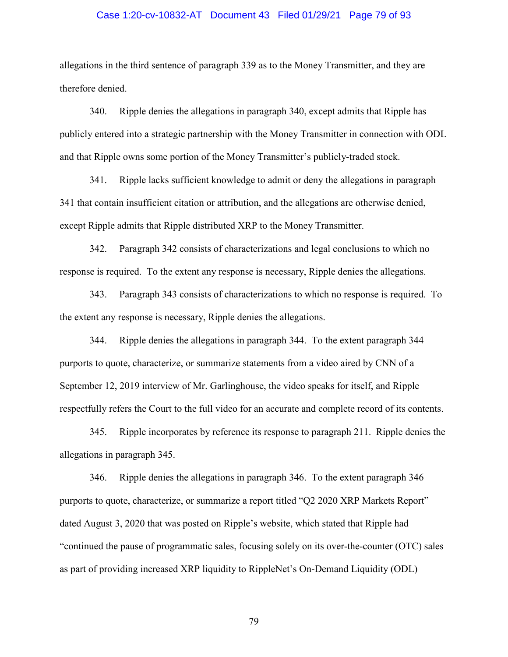### Case 1:20-cv-10832-AT Document 43 Filed 01/29/21 Page 79 of 93

allegations in the third sentence of paragraph 339 as to the Money Transmitter, and they are therefore denied.

340. Ripple denies the allegations in paragraph 340, except admits that Ripple has publicly entered into a strategic partnership with the Money Transmitter in connection with ODL and that Ripple owns some portion of the Money Transmitter's publicly-traded stock.

341. Ripple lacks sufficient knowledge to admit or deny the allegations in paragraph 341 that contain insufficient citation or attribution, and the allegations are otherwise denied, except Ripple admits that Ripple distributed XRP to the Money Transmitter.

342. Paragraph 342 consists of characterizations and legal conclusions to which no response is required. To the extent any response is necessary, Ripple denies the allegations.

343. Paragraph 343 consists of characterizations to which no response is required. To the extent any response is necessary, Ripple denies the allegations.

344. Ripple denies the allegations in paragraph 344. To the extent paragraph 344 purports to quote, characterize, or summarize statements from a video aired by CNN of a September 12, 2019 interview of Mr. Garlinghouse, the video speaks for itself, and Ripple respectfully refers the Court to the full video for an accurate and complete record of its contents.

345. Ripple incorporates by reference its response to paragraph 211. Ripple denies the allegations in paragraph 345.

346. Ripple denies the allegations in paragraph 346. To the extent paragraph 346 purports to quote, characterize, or summarize a report titled "Q2 2020 XRP Markets Report" dated August 3, 2020 that was posted on Ripple's website, which stated that Ripple had "continued the pause of programmatic sales, focusing solely on its over-the-counter (OTC) sales as part of providing increased XRP liquidity to RippleNet's On-Demand Liquidity (ODL)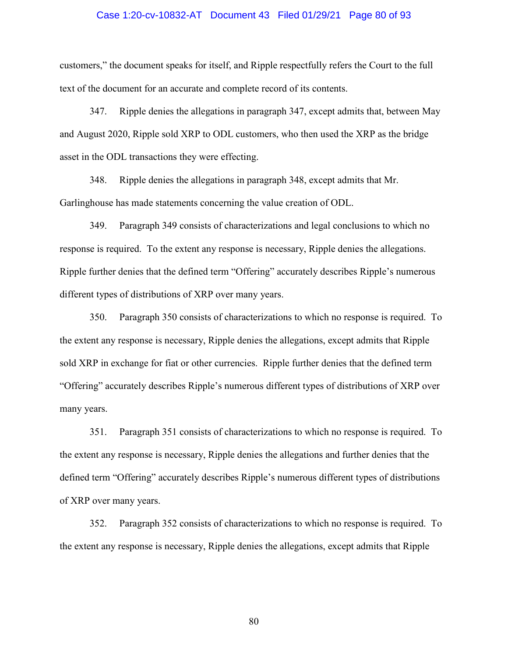### Case 1:20-cv-10832-AT Document 43 Filed 01/29/21 Page 80 of 93

customers," the document speaks for itself, and Ripple respectfully refers the Court to the full text of the document for an accurate and complete record of its contents.

347. Ripple denies the allegations in paragraph 347, except admits that, between May and August 2020, Ripple sold XRP to ODL customers, who then used the XRP as the bridge asset in the ODL transactions they were effecting.

348. Ripple denies the allegations in paragraph 348, except admits that Mr. Garlinghouse has made statements concerning the value creation of ODL.

349. Paragraph 349 consists of characterizations and legal conclusions to which no response is required. To the extent any response is necessary, Ripple denies the allegations. Ripple further denies that the defined term "Offering" accurately describes Ripple's numerous different types of distributions of XRP over many years.

350. Paragraph 350 consists of characterizations to which no response is required. To the extent any response is necessary, Ripple denies the allegations, except admits that Ripple sold XRP in exchange for fiat or other currencies. Ripple further denies that the defined term "Offering" accurately describes Ripple's numerous different types of distributions of XRP over many years.

351. Paragraph 351 consists of characterizations to which no response is required. To the extent any response is necessary, Ripple denies the allegations and further denies that the defined term "Offering" accurately describes Ripple's numerous different types of distributions of XRP over many years.

352. Paragraph 352 consists of characterizations to which no response is required. To the extent any response is necessary, Ripple denies the allegations, except admits that Ripple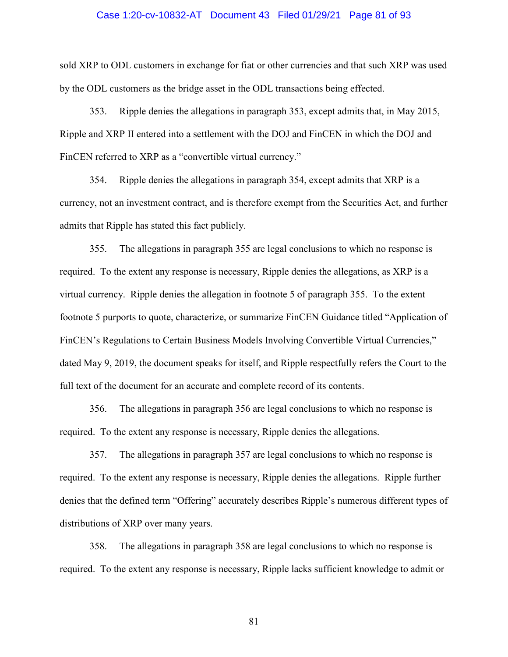#### Case 1:20-cv-10832-AT Document 43 Filed 01/29/21 Page 81 of 93

sold XRP to ODL customers in exchange for fiat or other currencies and that such XRP was used by the ODL customers as the bridge asset in the ODL transactions being effected.

353. Ripple denies the allegations in paragraph 353, except admits that, in May 2015, Ripple and XRP II entered into a settlement with the DOJ and FinCEN in which the DOJ and FinCEN referred to XRP as a "convertible virtual currency."

354. Ripple denies the allegations in paragraph 354, except admits that XRP is a currency, not an investment contract, and is therefore exempt from the Securities Act, and further admits that Ripple has stated this fact publicly.

355. The allegations in paragraph 355 are legal conclusions to which no response is required. To the extent any response is necessary, Ripple denies the allegations, as XRP is a virtual currency. Ripple denies the allegation in footnote 5 of paragraph 355. To the extent footnote 5 purports to quote, characterize, or summarize FinCEN Guidance titled "Application of FinCEN's Regulations to Certain Business Models Involving Convertible Virtual Currencies," dated May 9, 2019, the document speaks for itself, and Ripple respectfully refers the Court to the full text of the document for an accurate and complete record of its contents.

356. The allegations in paragraph 356 are legal conclusions to which no response is required. To the extent any response is necessary, Ripple denies the allegations.

357. The allegations in paragraph 357 are legal conclusions to which no response is required. To the extent any response is necessary, Ripple denies the allegations. Ripple further denies that the defined term "Offering" accurately describes Ripple's numerous different types of distributions of XRP over many years.

358. The allegations in paragraph 358 are legal conclusions to which no response is required. To the extent any response is necessary, Ripple lacks sufficient knowledge to admit or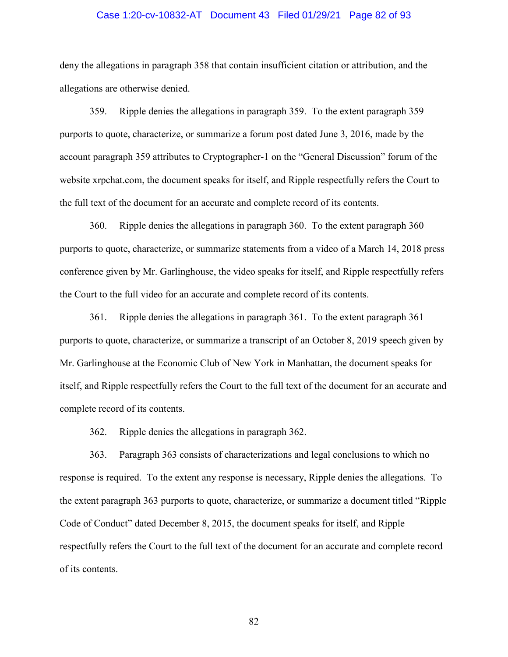### Case 1:20-cv-10832-AT Document 43 Filed 01/29/21 Page 82 of 93

deny the allegations in paragraph 358 that contain insufficient citation or attribution, and the allegations are otherwise denied.

359. Ripple denies the allegations in paragraph 359. To the extent paragraph 359 purports to quote, characterize, or summarize a forum post dated June 3, 2016, made by the account paragraph 359 attributes to Cryptographer-1 on the "General Discussion" forum of the website xrpchat.com, the document speaks for itself, and Ripple respectfully refers the Court to the full text of the document for an accurate and complete record of its contents.

360. Ripple denies the allegations in paragraph 360. To the extent paragraph 360 purports to quote, characterize, or summarize statements from a video of a March 14, 2018 press conference given by Mr. Garlinghouse, the video speaks for itself, and Ripple respectfully refers the Court to the full video for an accurate and complete record of its contents.

361. Ripple denies the allegations in paragraph 361. To the extent paragraph 361 purports to quote, characterize, or summarize a transcript of an October 8, 2019 speech given by Mr. Garlinghouse at the Economic Club of New York in Manhattan, the document speaks for itself, and Ripple respectfully refers the Court to the full text of the document for an accurate and complete record of its contents.

362. Ripple denies the allegations in paragraph 362.

363. Paragraph 363 consists of characterizations and legal conclusions to which no response is required. To the extent any response is necessary, Ripple denies the allegations. To the extent paragraph 363 purports to quote, characterize, or summarize a document titled "Ripple Code of Conduct" dated December 8, 2015, the document speaks for itself, and Ripple respectfully refers the Court to the full text of the document for an accurate and complete record of its contents.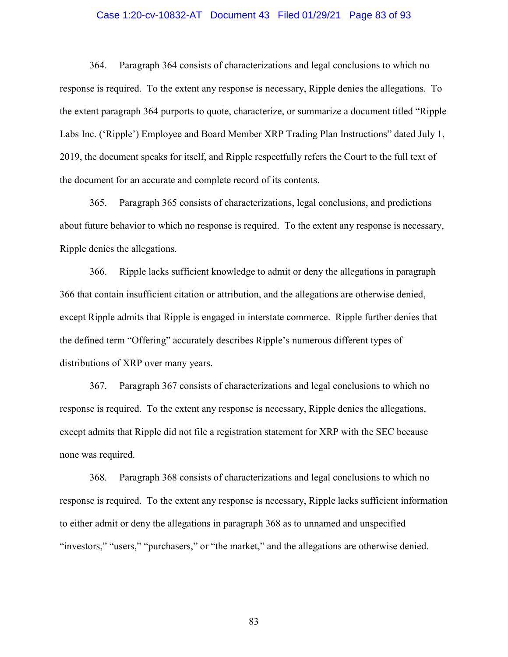### Case 1:20-cv-10832-AT Document 43 Filed 01/29/21 Page 83 of 93

364. Paragraph 364 consists of characterizations and legal conclusions to which no response is required. To the extent any response is necessary, Ripple denies the allegations. To the extent paragraph 364 purports to quote, characterize, or summarize a document titled "Ripple Labs Inc. ('Ripple') Employee and Board Member XRP Trading Plan Instructions" dated July 1, 2019, the document speaks for itself, and Ripple respectfully refers the Court to the full text of the document for an accurate and complete record of its contents.

365. Paragraph 365 consists of characterizations, legal conclusions, and predictions about future behavior to which no response is required. To the extent any response is necessary, Ripple denies the allegations.

366. Ripple lacks sufficient knowledge to admit or deny the allegations in paragraph 366 that contain insufficient citation or attribution, and the allegations are otherwise denied, except Ripple admits that Ripple is engaged in interstate commerce. Ripple further denies that the defined term "Offering" accurately describes Ripple's numerous different types of distributions of XRP over many years.

367. Paragraph 367 consists of characterizations and legal conclusions to which no response is required. To the extent any response is necessary, Ripple denies the allegations, except admits that Ripple did not file a registration statement for XRP with the SEC because none was required.

368. Paragraph 368 consists of characterizations and legal conclusions to which no response is required. To the extent any response is necessary, Ripple lacks sufficient information to either admit or deny the allegations in paragraph 368 as to unnamed and unspecified "investors," "users," "purchasers," or "the market," and the allegations are otherwise denied.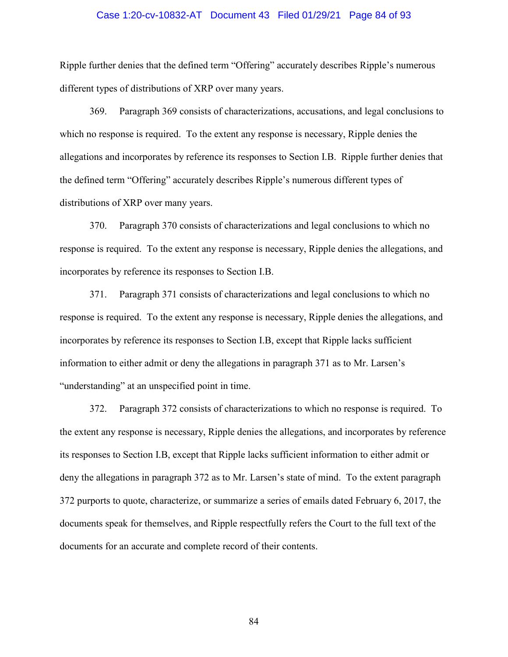#### Case 1:20-cv-10832-AT Document 43 Filed 01/29/21 Page 84 of 93

Ripple further denies that the defined term "Offering" accurately describes Ripple's numerous different types of distributions of XRP over many years.

369. Paragraph 369 consists of characterizations, accusations, and legal conclusions to which no response is required. To the extent any response is necessary, Ripple denies the allegations and incorporates by reference its responses to Section I.B. Ripple further denies that the defined term "Offering" accurately describes Ripple's numerous different types of distributions of XRP over many years.

370. Paragraph 370 consists of characterizations and legal conclusions to which no response is required. To the extent any response is necessary, Ripple denies the allegations, and incorporates by reference its responses to Section I.B.

371. Paragraph 371 consists of characterizations and legal conclusions to which no response is required. To the extent any response is necessary, Ripple denies the allegations, and incorporates by reference its responses to Section I.B, except that Ripple lacks sufficient information to either admit or deny the allegations in paragraph 371 as to Mr. Larsen's "understanding" at an unspecified point in time.

372. Paragraph 372 consists of characterizations to which no response is required. To the extent any response is necessary, Ripple denies the allegations, and incorporates by reference its responses to Section I.B, except that Ripple lacks sufficient information to either admit or deny the allegations in paragraph 372 as to Mr. Larsen's state of mind. To the extent paragraph 372 purports to quote, characterize, or summarize a series of emails dated February 6, 2017, the documents speak for themselves, and Ripple respectfully refers the Court to the full text of the documents for an accurate and complete record of their contents.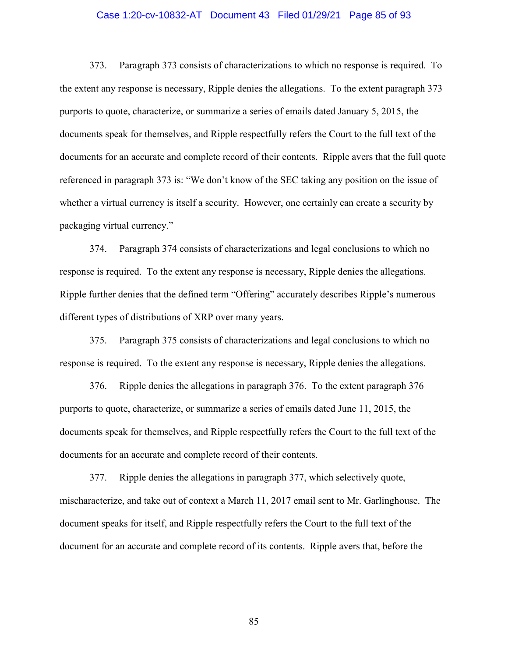### Case 1:20-cv-10832-AT Document 43 Filed 01/29/21 Page 85 of 93

373. Paragraph 373 consists of characterizations to which no response is required. To the extent any response is necessary, Ripple denies the allegations. To the extent paragraph 373 purports to quote, characterize, or summarize a series of emails dated January 5, 2015, the documents speak for themselves, and Ripple respectfully refers the Court to the full text of the documents for an accurate and complete record of their contents. Ripple avers that the full quote referenced in paragraph 373 is: "We don't know of the SEC taking any position on the issue of whether a virtual currency is itself a security. However, one certainly can create a security by packaging virtual currency."

374. Paragraph 374 consists of characterizations and legal conclusions to which no response is required. To the extent any response is necessary, Ripple denies the allegations. Ripple further denies that the defined term "Offering" accurately describes Ripple's numerous different types of distributions of XRP over many years.

375. Paragraph 375 consists of characterizations and legal conclusions to which no response is required. To the extent any response is necessary, Ripple denies the allegations.

376. Ripple denies the allegations in paragraph 376. To the extent paragraph 376 purports to quote, characterize, or summarize a series of emails dated June 11, 2015, the documents speak for themselves, and Ripple respectfully refers the Court to the full text of the documents for an accurate and complete record of their contents.

377. Ripple denies the allegations in paragraph 377, which selectively quote, mischaracterize, and take out of context a March 11, 2017 email sent to Mr. Garlinghouse. The document speaks for itself, and Ripple respectfully refers the Court to the full text of the document for an accurate and complete record of its contents. Ripple avers that, before the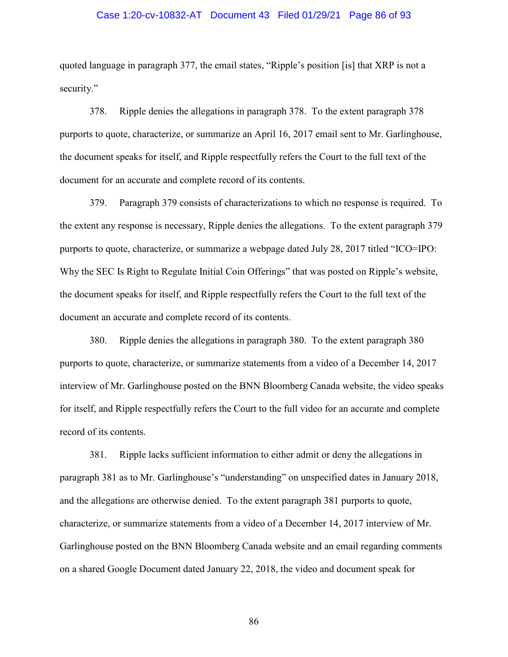#### Case 1:20-cv-10832-AT Document 43 Filed 01/29/21 Page 86 of 93

quoted language in paragraph 377, the email states, "Ripple's position [is] that XRP is not a security."

378. Ripple denies the allegations in paragraph 378. To the extent paragraph 378 purports to quote, characterize, or summarize an April 16, 2017 email sent to Mr. Garlinghouse, the document speaks for itself, and Ripple respectfully refers the Court to the full text of the document for an accurate and complete record of its contents.

379. Paragraph 379 consists of characterizations to which no response is required. To the extent any response is necessary, Ripple denies the allegations. To the extent paragraph 379 purports to quote, characterize, or summarize a webpage dated July 28, 2017 titled "ICO=IPO: Why the SEC Is Right to Regulate Initial Coin Offerings" that was posted on Ripple's website, the document speaks for itself, and Ripple respectfully refers the Court to the full text of the document an accurate and complete record of its contents.

380. Ripple denies the allegations in paragraph 380. To the extent paragraph 380 purports to quote, characterize, or summarize statements from a video of a December 14, 2017 interview of Mr. Garlinghouse posted on the BNN Bloomberg Canada website, the video speaks for itself, and Ripple respectfully refers the Court to the full video for an accurate and complete record of its contents.

381. Ripple lacks sufficient information to either admit or deny the allegations in paragraph 381 as to Mr. Garlinghouse's "understanding" on unspecified dates in January 2018, and the allegations are otherwise denied. To the extent paragraph 381 purports to quote, characterize, or summarize statements from a video of a December 14, 2017 interview of Mr. Garlinghouse posted on the BNN Bloomberg Canada website and an email regarding comments on a shared Google Document dated January 22, 2018, the video and document speak for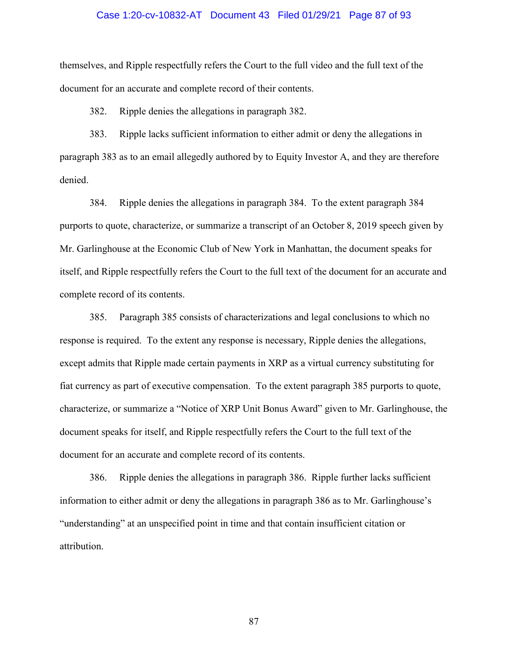### Case 1:20-cv-10832-AT Document 43 Filed 01/29/21 Page 87 of 93

themselves, and Ripple respectfully refers the Court to the full video and the full text of the document for an accurate and complete record of their contents.

382. Ripple denies the allegations in paragraph 382.

383. Ripple lacks sufficient information to either admit or deny the allegations in paragraph 383 as to an email allegedly authored by to Equity Investor A, and they are therefore denied.

384. Ripple denies the allegations in paragraph 384. To the extent paragraph 384 purports to quote, characterize, or summarize a transcript of an October 8, 2019 speech given by Mr. Garlinghouse at the Economic Club of New York in Manhattan, the document speaks for itself, and Ripple respectfully refers the Court to the full text of the document for an accurate and complete record of its contents.

385. Paragraph 385 consists of characterizations and legal conclusions to which no response is required. To the extent any response is necessary, Ripple denies the allegations, except admits that Ripple made certain payments in XRP as a virtual currency substituting for fiat currency as part of executive compensation. To the extent paragraph 385 purports to quote, characterize, or summarize a "Notice of XRP Unit Bonus Award" given to Mr. Garlinghouse, the document speaks for itself, and Ripple respectfully refers the Court to the full text of the document for an accurate and complete record of its contents.

386. Ripple denies the allegations in paragraph 386. Ripple further lacks sufficient information to either admit or deny the allegations in paragraph 386 as to Mr. Garlinghouse's "understanding" at an unspecified point in time and that contain insufficient citation or attribution.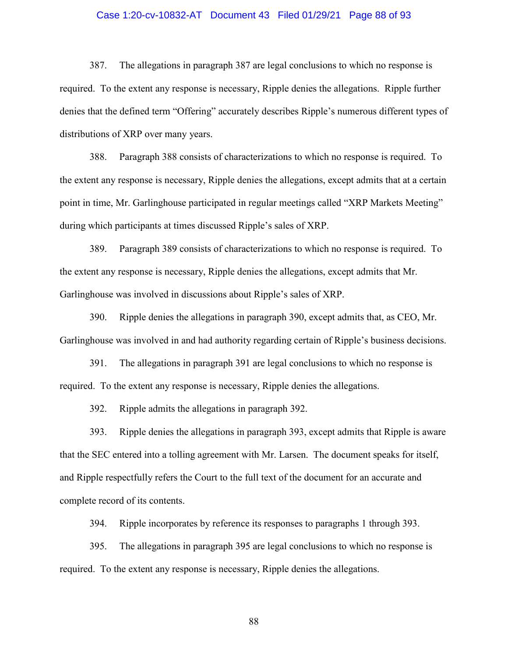### Case 1:20-cv-10832-AT Document 43 Filed 01/29/21 Page 88 of 93

387. The allegations in paragraph 387 are legal conclusions to which no response is required. To the extent any response is necessary, Ripple denies the allegations. Ripple further denies that the defined term "Offering" accurately describes Ripple's numerous different types of distributions of XRP over many years.

388. Paragraph 388 consists of characterizations to which no response is required. To the extent any response is necessary, Ripple denies the allegations, except admits that at a certain point in time, Mr. Garlinghouse participated in regular meetings called "XRP Markets Meeting" during which participants at times discussed Ripple's sales of XRP.

389. Paragraph 389 consists of characterizations to which no response is required. To the extent any response is necessary, Ripple denies the allegations, except admits that Mr. Garlinghouse was involved in discussions about Ripple's sales of XRP.

390. Ripple denies the allegations in paragraph 390, except admits that, as CEO, Mr. Garlinghouse was involved in and had authority regarding certain of Ripple's business decisions.

391. The allegations in paragraph 391 are legal conclusions to which no response is required. To the extent any response is necessary, Ripple denies the allegations.

392. Ripple admits the allegations in paragraph 392.

393. Ripple denies the allegations in paragraph 393, except admits that Ripple is aware that the SEC entered into a tolling agreement with Mr. Larsen. The document speaks for itself, and Ripple respectfully refers the Court to the full text of the document for an accurate and complete record of its contents.

394. Ripple incorporates by reference its responses to paragraphs 1 through 393.

395. The allegations in paragraph 395 are legal conclusions to which no response is required. To the extent any response is necessary, Ripple denies the allegations.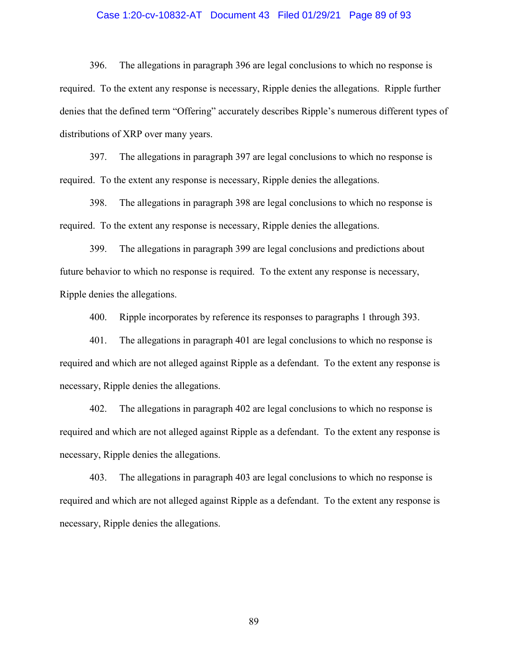### Case 1:20-cv-10832-AT Document 43 Filed 01/29/21 Page 89 of 93

396. The allegations in paragraph 396 are legal conclusions to which no response is required. To the extent any response is necessary, Ripple denies the allegations. Ripple further denies that the defined term "Offering" accurately describes Ripple's numerous different types of distributions of XRP over many years.

397. The allegations in paragraph 397 are legal conclusions to which no response is required. To the extent any response is necessary, Ripple denies the allegations.

398. The allegations in paragraph 398 are legal conclusions to which no response is required. To the extent any response is necessary, Ripple denies the allegations.

399. The allegations in paragraph 399 are legal conclusions and predictions about future behavior to which no response is required. To the extent any response is necessary, Ripple denies the allegations.

400. Ripple incorporates by reference its responses to paragraphs 1 through 393.

401. The allegations in paragraph 401 are legal conclusions to which no response is required and which are not alleged against Ripple as a defendant. To the extent any response is necessary, Ripple denies the allegations.

402. The allegations in paragraph 402 are legal conclusions to which no response is required and which are not alleged against Ripple as a defendant. To the extent any response is necessary, Ripple denies the allegations.

403. The allegations in paragraph 403 are legal conclusions to which no response is required and which are not alleged against Ripple as a defendant. To the extent any response is necessary, Ripple denies the allegations.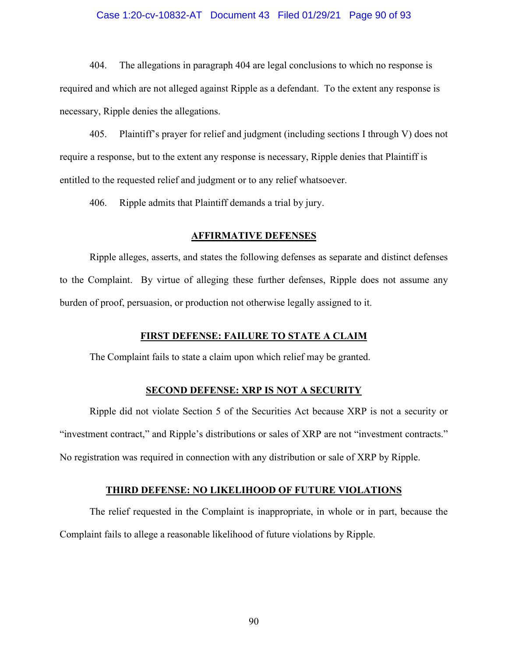### Case 1:20-cv-10832-AT Document 43 Filed 01/29/21 Page 90 of 93

404. The allegations in paragraph 404 are legal conclusions to which no response is required and which are not alleged against Ripple as a defendant. To the extent any response is necessary, Ripple denies the allegations.

405. Plaintiff's prayer for relief and judgment (including sections I through V) does not require a response, but to the extent any response is necessary, Ripple denies that Plaintiff is entitled to the requested relief and judgment or to any relief whatsoever.

406. Ripple admits that Plaintiff demands a trial by jury.

#### **AFFIRMATIVE DEFENSES**

Ripple alleges, asserts, and states the following defenses as separate and distinct defenses to the Complaint. By virtue of alleging these further defenses, Ripple does not assume any burden of proof, persuasion, or production not otherwise legally assigned to it.

## **FIRST DEFENSE: FAILURE TO STATE A CLAIM**

The Complaint fails to state a claim upon which relief may be granted.

#### **SECOND DEFENSE: XRP IS NOT A SECURITY**

Ripple did not violate Section 5 of the Securities Act because XRP is not a security or "investment contract," and Ripple's distributions or sales of XRP are not "investment contracts." No registration was required in connection with any distribution or sale of XRP by Ripple.

## **THIRD DEFENSE: NO LIKELIHOOD OF FUTURE VIOLATIONS**

The relief requested in the Complaint is inappropriate, in whole or in part, because the Complaint fails to allege a reasonable likelihood of future violations by Ripple.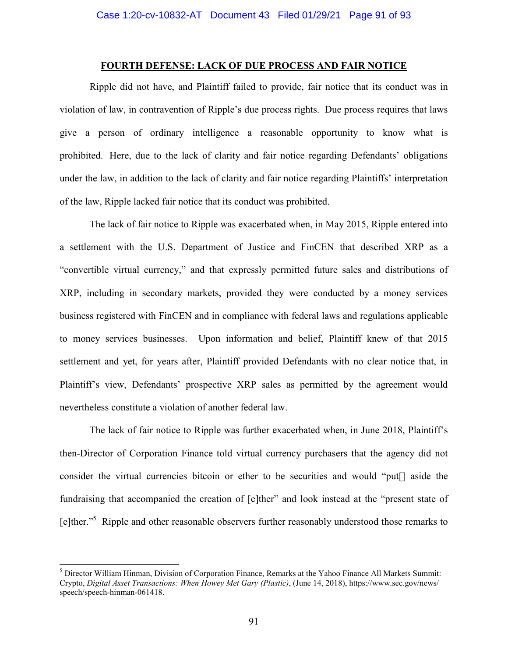# **FOURTH DEFENSE: LACK OF DUE PROCESS AND FAIR NOTICE**

Ripple did not have, and Plaintiff failed to provide, fair notice that its conduct was in violation of law, in contravention of Ripple's due process rights. Due process requires that laws give a person of ordinary intelligence a reasonable opportunity to know what is prohibited. Here, due to the lack of clarity and fair notice regarding Defendants' obligations under the law, in addition to the lack of clarity and fair notice regarding Plaintiffs' interpretation of the law, Ripple lacked fair notice that its conduct was prohibited.

The lack of fair notice to Ripple was exacerbated when, in May 2015, Ripple entered into a settlement with the U.S. Department of Justice and FinCEN that described XRP as a "convertible virtual currency," and that expressly permitted future sales and distributions of XRP, including in secondary markets, provided they were conducted by a money services business registered with FinCEN and in compliance with federal laws and regulations applicable to money services businesses. Upon information and belief, Plaintiff knew of that 2015 settlement and yet, for years after, Plaintiff provided Defendants with no clear notice that, in Plaintiff's view, Defendants' prospective XRP sales as permitted by the agreement would nevertheless constitute a violation of another federal law.

The lack of fair notice to Ripple was further exacerbated when, in June 2018, Plaintiff's then-Director of Corporation Finance told virtual currency purchasers that the agency did not consider the virtual currencies bitcoin or ether to be securities and would "put[] aside the fundraising that accompanied the creation of [e]ther" and look instead at the "present state of [e]ther."<sup>5</sup> Ripple and other reasonable observers further reasonably understood those remarks to

<sup>5</sup> Director William Hinman, Division of Corporation Finance, Remarks at the Yahoo Finance All Markets Summit: Crypto, *Digital Asset Transactions: When Howey Met Gary (Plastic)*, (June 14, 2018), https://www.sec.gov/news/ speech/speech-hinman-061418.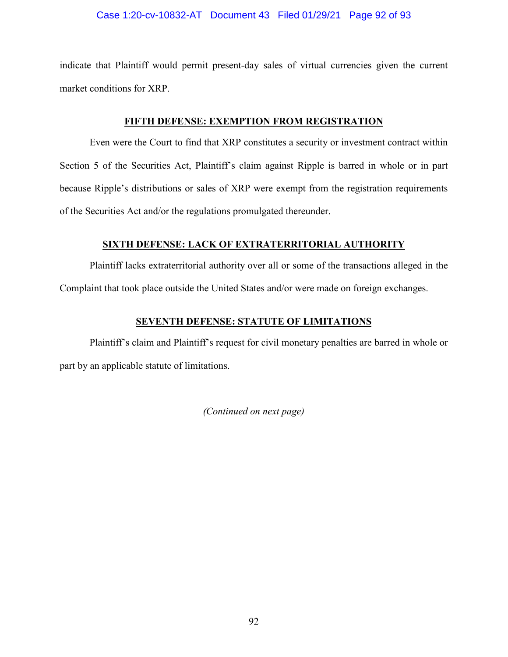# Case 1:20-cv-10832-AT Document 43 Filed 01/29/21 Page 92 of 93

indicate that Plaintiff would permit present-day sales of virtual currencies given the current market conditions for XRP.

# **FIFTH DEFENSE: EXEMPTION FROM REGISTRATION**

Even were the Court to find that XRP constitutes a security or investment contract within Section 5 of the Securities Act, Plaintiff's claim against Ripple is barred in whole or in part because Ripple's distributions or sales of XRP were exempt from the registration requirements of the Securities Act and/or the regulations promulgated thereunder.

# **SIXTH DEFENSE: LACK OF EXTRATERRITORIAL AUTHORITY**

Plaintiff lacks extraterritorial authority over all or some of the transactions alleged in the Complaint that took place outside the United States and/or were made on foreign exchanges.

# **SEVENTH DEFENSE: STATUTE OF LIMITATIONS**

Plaintiff's claim and Plaintiff's request for civil monetary penalties are barred in whole or part by an applicable statute of limitations.

*(Continued on next page)*